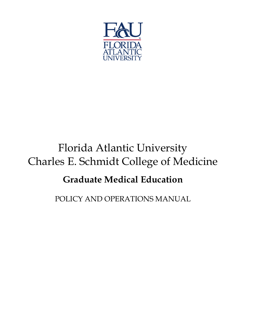

# Florida Atlantic University Charles E. Schmidt College of Medicine

## **Graduate Medical Education**

POLICY AND OPERATIONS MANUAL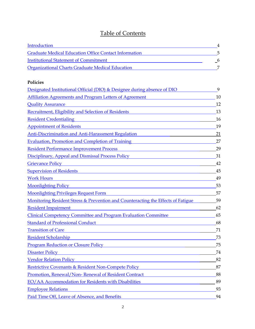## Table of Contents

<span id="page-1-0"></span>

| Introduction                                                                                                                                                                                                                   | 4                          |
|--------------------------------------------------------------------------------------------------------------------------------------------------------------------------------------------------------------------------------|----------------------------|
| <b>Graduate Medical Education Office Contact Information</b>                                                                                                                                                                   | 5                          |
| <b>Institutional Statement of Commitment</b>                                                                                                                                                                                   | $\overline{\phantom{0}}^6$ |
| <b>Organizational Charts Graduate Medical Education</b>                                                                                                                                                                        | 7                          |
| <b>Policies</b>                                                                                                                                                                                                                |                            |
| Designated Institutional Official (DIO) & Designee during absence of DIO                                                                                                                                                       | 9                          |
| <b>Affiliation Agreements and Program Letters of Agreement</b>                                                                                                                                                                 | 10                         |
| <b>Quality Assurance</b>                                                                                                                                                                                                       | 12                         |
| <b>Recruitment, Eligibility and Selection of Residents</b>                                                                                                                                                                     | 13                         |
| <b>Resident Credentialing</b>                                                                                                                                                                                                  | 16                         |
| <b>Appointment of Residents</b>                                                                                                                                                                                                | 19                         |
| <b>Anti-Discrimination and Anti-Harassment Regulation</b>                                                                                                                                                                      | 21                         |
| <b>Evaluation, Promotion and Completion of Training</b>                                                                                                                                                                        | 27                         |
| <b>Resident Performance Improvement Process</b>                                                                                                                                                                                | 29                         |
| Disciplinary, Appeal and Dismissal Process Policy                                                                                                                                                                              | 31                         |
| <b>Grievance Policy</b>                                                                                                                                                                                                        | 42                         |
| <b>Supervision of Residents</b>                                                                                                                                                                                                | 45                         |
| <b>Work Hours</b>                                                                                                                                                                                                              | 49                         |
| <b>Moonlighting Policy</b>                                                                                                                                                                                                     | 53                         |
| <b>Moonlighting Privileges Request Form</b>                                                                                                                                                                                    | 57                         |
| Monitoring Resident Stress & Prevention and Counteracting the Effects of Fatigue                                                                                                                                               | 59                         |
| <b>Resident Impairment</b>                                                                                                                                                                                                     | 62                         |
| <b>Clinical Competency Committee and Program Evaluation Committee</b>                                                                                                                                                          | 65                         |
| <b>Standard of Professional Conduct</b>                                                                                                                                                                                        | 68                         |
| <b>Transition of Care</b>                                                                                                                                                                                                      | 71                         |
| <b>Resident Scholarship</b><br><u> 1980 - Johann Stoff, fransk politik (d. 1980)</u>                                                                                                                                           | 73                         |
| Program Reduction or Closure Policy and the contract of the contract of the contract of the contract of the contract of the contract of the contract of the contract of the contract of the contract of the contract of the co | 75                         |
| <b>Disaster Policy</b><br><u> 1989 - Johann Stein, marwolaethau a bhann an t-Amhain Aonaichte ann an t-Amhain Aonaichte ann an t-Amhain Ao</u>                                                                                 | 74                         |
| <b>Vendor Relation Policy</b>                                                                                                                                                                                                  | 82                         |
| Restrictive Covenants & Resident Non-Compete Policy                                                                                                                                                                            | 87                         |
| Promotion, Renewal/Non-Renewal of Resident Contract                                                                                                                                                                            | 88                         |
| EO/AA Accommodation for Residents with Disabilities                                                                                                                                                                            | 89                         |
| <b>Employee Relations</b>                                                                                                                                                                                                      | 93                         |
| Paid Time Off, Leave of Absence, and Benefits                                                                                                                                                                                  | 94                         |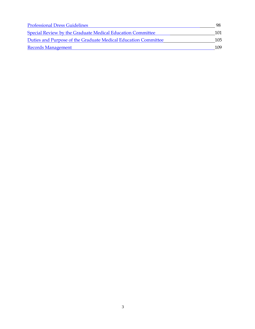<span id="page-2-0"></span>

| <b>Professional Dress Guidelines</b>                           |     |
|----------------------------------------------------------------|-----|
| Special Review by the Graduate Medical Education Committee     | 101 |
| Duties and Purpose of the Graduate Medical Education Committee | 105 |
| <b>Records Management</b>                                      | 109 |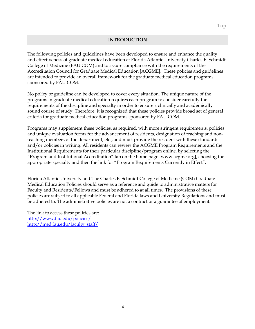#### **INTRODUCTION**

The following policies and guidelines have been developed to ensure and enhance the quality and effectiveness of graduate medical education at Florida Atlantic University Charles E. Schmidt College of Medicine (FAU COM) and to assure compliance with the requirements of the Accreditation Council for Graduate Medical Education [ACGME]. These policies and guidelines are intended to provide an overall framework for the graduate medical education programs sponsored by FAU COM.

No policy or guideline can be developed to cover every situation. The unique nature of the programs in graduate medical education requires each program to consider carefully the requirements of the discipline and specialty in order to ensure a clinically and academically sound course of study. Therefore, it is recognized that these policies provide broad set of general criteria for graduate medical education programs sponsored by FAU COM.

Programs may supplement these policies, as required, with more stringent requirements, policies and unique evaluation forms for the advancement of residents, designation of teaching and nonteaching members of the department, etc., and must provide the resident with these standards and/or policies in writing. All residents can review the ACGME Program Requirements and the Institutional Requirements for their particular discipline/program online, by selecting the "Program and Institutional Accreditation" tab on the home page [www.acgme.org], choosing the appropriate specialty and then the link for "Program Requirements Currently in Effect".

Florida Atlantic University and The Charles E. Schmidt College of Medicine (COM) Graduate Medical Education Policies should serve as a reference and guide to administrative matters for Faculty and Residents/Fellows and must be adhered to at all times. The provisions of these policies are subject to all applicable Federal and Florida laws and University Regulations and must be adhered to. The administrative policies are not a contract or a guarantee of employment.

The link to access these policies are: <http://www.fau.edu/policies/> [http://med.fau.edu/faculty\\_staff/](http://med.fau.edu/faculty_staff/)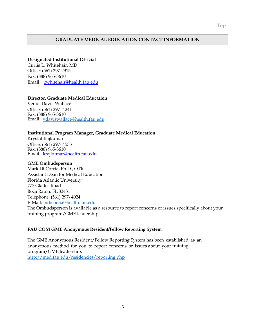#### <span id="page-4-0"></span>**GRADUATE MEDICAL EDUCATION CONTACT INFORMATION**

#### **Designated Institutional Official**

Curtis L. Whitehair, MD Office: (561) 297-2915 Fax: (888) 965-3610 Email: [cwhitehair@health.fau.edu](mailto:cwhitehair@health.fau.edu)

#### **Director, Graduate Medical Education**

Venus Davis-Wallace Office: (561) 297- 4241 Fax: (888) 965-3610 Email:[vdaviswallace@health.fau.edu](mailto:vdaviswallace@health.fau.edu)

#### **Institutional Program Manager, Graduate Medical Education**

Krystal Rajkumar Office: (561) 297- 4533 Fax: (888) 965-3610 Email:[krajkumar@health.fau.edu](mailto:krajkumar@health.fau.edu)

#### **GME Ombudsperson**

Mark Di Corcia, Ph.D., OTR Assistant Dean for Medical Education Florida Atlantic University 777 Glades Road Boca Raton, FL 33431 Telephone: (561) 297- 4024 E-Mail: [mdicorcia@health.fau.edu](mailto:mdicorcia@health.fau.edu)

The Ombudsperson is available as a resource to report concerns or issues specifically about your training program/GME leadership.

#### **FAU COM GME Anonymous Resident/Fellow Reporting System**

The GME Anonymous Resident/Fellow Reporting System has been established as an anonymous method for you to report concerns or issues about your training program/GME leadership. <http://med.fau.edu/residencies/reporting.php>

5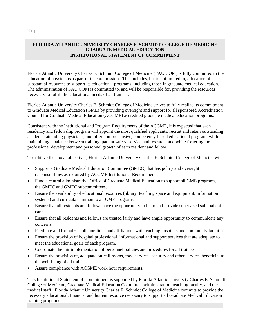#### <span id="page-5-0"></span>**FLORIDA ATLANTIC UNIVERSITY CHARLES E. SCHMIDT COLLEGE OF MEDICINE GRADUATE MEDICAL EDUCATION INSTITUTIONAL STATEMENT OF COMMITMENT**

Florida Atlantic University Charles E. Schmidt College of Medicine (FAU COM) is fully committed to the education of physicians as part of its core mission. This includes, but is not limited to, allocation of substantial resources to support its educational programs, including those in graduate medical education. The administration of FAU COM is committed to, and will be responsible for, providing the resources necessary to fulfill the educational needs of all trainees.

Florida Atlantic University Charles E. Schmidt College of Medicine strives to fully realize its commitment to Graduate Medical Education (GME) by providing oversight and support for all sponsored Accreditation Council for Graduate Medical Education (ACGME) accredited graduate medical education programs.

Consistent with the Institutional and Program Requirements of the ACGME, it is expected that each residency and fellowship program will appoint the most qualified applicants, recruit and retain outstanding academic attending physicians, and offer comprehensive, competency-based educational program, while maintaining a balance between training, patient safety, service and research, and while fostering the professional development and personnel growth of each resident and fellow.

To achieve the above objectives, Florida Atlantic University Charles E. Schmidt College of Medicine will:

- Support a Graduate Medical Education Committee (GMEC) that has policy and oversight responsibilities as required by ACGME Institutional Requirements.
- Fund a central administrative Office of Graduate Medical Education to support all GME programs, the GMEC and GMEC subcommittees.
- Ensure the availability of educational resources (library, teaching space and equipment, information systems) and curricula common to all GME programs.
- Ensure that all residents and fellows have the opportunity to learn and provide supervised safe patient care.
- Ensure that all residents and fellows are treated fairly and have ample opportunity to communicate any concerns.
- Facilitate and formalize collaborations and affiliations with teaching hospitals and community facilities.
- Ensure the provision of hospital professional, informational and support services that are adequate to meet the educational goals of each program.
- Coordinate the fair implementation of personnel policies and procedures for all trainees.
- Ensure the provision of, adequate on-call rooms, food services, security and other services beneficial to the well-being of all trainees.
- Assure compliance with ACGME work hour requirements.

This Institutional Statement of Commitment is supported by Florida Atlantic University Charles E. Schmidt College of Medicine, Graduate Medical Education Committee, administration, teaching faculty, and the medical staff. Florida Atlantic University Charles E. Schmidt College of Medicine commits to provide the necessary educational, financial and human resource necessary to support all Graduate Medical Education training programs.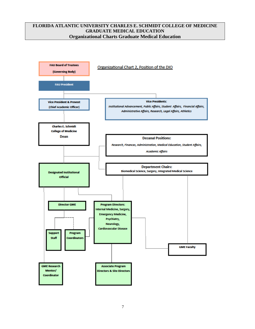#### <span id="page-6-0"></span>**FLORIDA ATLANTIC UNIVERSITY CHARLES E. SCHMIDT COLLEGE OF MEDICINE GRADUATE MEDICAL EDUCATION Organizational Charts Graduate Medical Education**

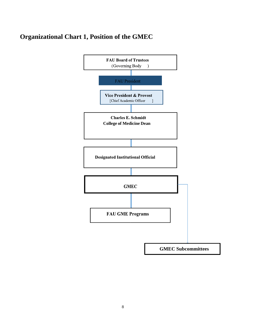## **Organizational Chart 1, Position of the GMEC**

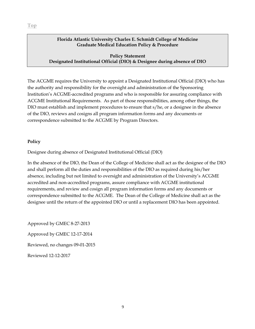#### <span id="page-8-0"></span>**Policy Statement Designated Institutional Official (DIO) & Designee during absence of DIO**

The ACGME requires the University to appoint a Designated Institutional Official (DIO) who has the authority and responsibility for the oversight and administration of the Sponsoring Institution's ACGME-accredited programs and who is responsible for assuring compliance with ACGME Institutional Requirements. As part of those responsibilities, among other things, the DIO must establish and implement procedures to ensure that s/he, or a designee in the absence of the DIO, reviews and cosigns all program information forms and any documents or correspondence submitted to the ACGME by Program Directors.

#### **Policy**

Designee during absence of Designated Institutional Official (DIO)

In the absence of the DIO, the Dean of the College of Medicine shall act as the designee of the DIO and shall perform all the duties and responsibilities of the DIO as required during his/her absence, including but not limited to oversight and administration of the University's ACGME accredited and non-accredited programs, assure compliance with ACGME institutional requirements, and review and cosign all program information forms and any documents or correspondence submitted to the ACGME. The Dean of the College of Medicine shall act as the designee until the return of the appointed DIO or until a replacement DIO has been appointed.

Approved by GMEC 8-27-2013 Approved by GMEC 12-17-2014 Reviewed, no changes 09-01-2015 Reviewed 12-12-2017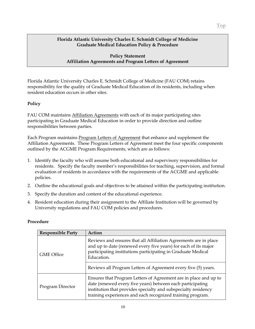#### **Policy Statement Affiliation Agreements and Program Letters of Agreement**

<span id="page-9-0"></span>Florida Atlantic University Charles E. Schmidt College of Medicine (FAU COM) retains responsibility for the quality of Graduate Medical Education of its residents, including when resident education occurs in other sites.

#### **Policy**

FAU COM maintains Affiliation Agreements with each of its major participating sites participating in Graduate Medical Education in order to provide direction and outline responsibilities between parties.

Each Program maintains Program Letters of Agreement that enhance and supplement the Affiliation Agreements. These Program Letters of Agreement meet the four specific components outlined by the ACGME Program Requirements, which are as follows:

- 1. Identify the faculty who will assume both educational and supervisory responsibilities for residents. Specify the faculty member's responsibilities for teaching, supervision, and formal evaluation of residents in accordance with the requirements of the ACGME and applicable policies.
- 2. Outline the educational goals and objectives to be attained within the participating institution.
- 3. Specify the duration and content of the educational experience.
- 4. Resident education during their assignment to the Affiliate Institution will be governed by University regulations and FAU COM policies and procedures.

| <b>Responsible Party</b> | Action                                                                                                                                                                                                                                                         |
|--------------------------|----------------------------------------------------------------------------------------------------------------------------------------------------------------------------------------------------------------------------------------------------------------|
| <b>GME Office</b>        | Reviews and ensures that all Affiliation Agreements are in place<br>and up to date (renewed every five years) for each of its major<br>participating institutions participating in Graduate Medical<br>Education.                                              |
|                          | Reviews all Program Letters of Agreement every five (5) years.                                                                                                                                                                                                 |
| Program Director         | Ensures that Program Letters of Agreement are in place and up to<br>date (renewed every five years) between each participating<br>institution that provides specialty and subspecialty residency<br>training experiences and each recognized training program. |

#### **Procedure**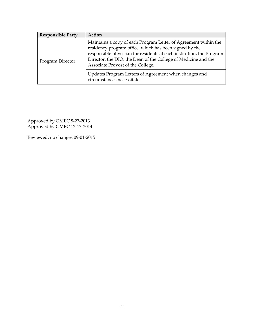| <b>Responsible Party</b> | Action                                                                                                                                                                                                                                                                                                   |
|--------------------------|----------------------------------------------------------------------------------------------------------------------------------------------------------------------------------------------------------------------------------------------------------------------------------------------------------|
| Program Director         | Maintains a copy of each Program Letter of Agreement within the<br>residency program office, which has been signed by the<br>responsible physician for residents at each institution, the Program<br>Director, the DIO, the Dean of the College of Medicine and the<br>Associate Provost of the College. |
|                          | Updates Program Letters of Agreement when changes and<br>circumstances necessitate.                                                                                                                                                                                                                      |

Approved by GMEC 8-27-2013 Approved by GMEC 12-17-2014

Reviewed, no changes 09-01-2015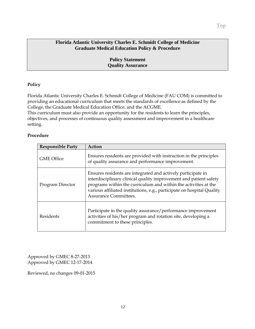**Policy Statement Quality Assurance** 

#### <span id="page-11-0"></span>**Policy**

Florida Atlantic University Charles E. Schmidt College of Medicine (FAU COM) is committed to providing an educational curriculum that meets the standards of excellence as defined by the College, the Graduate Medical Education Office, and the ACGME.

This curriculum must also provide an opportunity for the residents to learn the principles, objectives, and processes of continuous quality assessment and improvement in a healthcare setting.

#### **Procedure**

| <b>Responsible Party</b> | Action                                                                                                                                                                                                                                                                                                         |
|--------------------------|----------------------------------------------------------------------------------------------------------------------------------------------------------------------------------------------------------------------------------------------------------------------------------------------------------------|
| <b>GME Office</b>        | Ensures residents are provided with instruction in the principles<br>of quality assurance and performance improvement.                                                                                                                                                                                         |
| Program Director         | Ensures residents are integrated and actively participate in<br>interdisciplinary clinical quality improvement and patient safety<br>programs within the curriculum and within the activities at the<br>various affiliated institutions, e.g., participate on hospital Quality<br><b>Assurance Committees.</b> |
| Residents                | Participate in the quality assurance/performance improvement<br>activities of his/her program and rotation site, developing a<br>commitment to these principles.                                                                                                                                               |

Approved by GMEC 8-27-2013 Approved by GMEC 12-17-2014

Reviewed, no changes 09-01-2015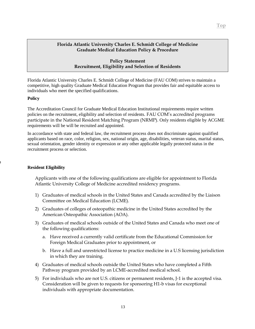#### **Policy Statement Recruitment, Eligibility and Selection of Residents**

<span id="page-12-0"></span>Florida Atlantic University Charles E. Schmidt College of Medicine (FAU COM) strives to maintain a competitive, high quality Graduate Medical Education Program that provides fair and equitable access to individuals who meet the specified qualifications.

#### **Policy**

**Procedure**

The Accreditation Council for Graduate Medical Education Institutional requirements require written policies on the recruitment, eligibility and selection of residents. FAU COM's accredited programs participate in the National Resident Matching Program (NRMP). Only residents eligible by ACGME requirements will be will be recruited and appointed.

In accordance with state and federal law, the recruitment process does not discriminate against qualified applicants based on race, color, religion, sex, national origin, age, disabilities, veteran status, marital status, sexual orientation, gender identity or expression or any other applicable legally protected status in the recruitment process or selection.

#### **Resident Eligibility**

Applicants with one of the following qualifications are eligible for appointment to Florida Atlantic University College of Medicine accredited residency programs.

- 1) Graduates of medical schools in the United States and Canada accredited by the Liaison Committee on Medical Education (LCME).
- 2) Graduates of colleges of osteopathic medicine in the United States accredited by the American Osteopathic Association (AOA).
- 3) Graduates of medical schools outside of the United States and Canada who meet one of the following qualifications:
	- a. Have received a currently valid certificate from the Educational Commission for Foreign Medical Graduates prior to appointment, or
	- b. Have a full and unrestricted license to practice medicine in a U.S licensing jurisdiction in which they are training.
- 4) Graduates of medical schools outside the United States who have completed a Fifth Pathway program provided by an LCME-accredited medical school.
- 5) For individuals who are not U.S. citizens or permanent residents, J-1 is the accepted visa. Consideration will be given to requests for sponsoring H1-b visas for exceptional individuals with appropriate documentation.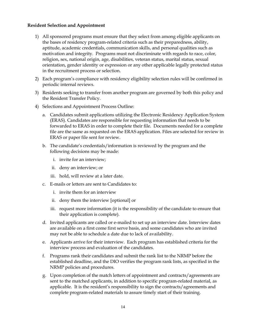#### **Resident Selection and Appointment**

- 1) All sponsored programs must ensure that they select from among eligible applicants on the bases of residency program-related criteria such as their preparedness, ability, aptitude, academic credentials, communication skills, and personal qualities such as motivation and integrity. Programs must not discriminate with regards to race, color, religion, sex, national origin, age, disabilities, veteran status, marital status, sexual orientation, gender identity or expression or any other applicable legally protected status in the recruitment process or selection.
- 2) Each program's compliance with residency eligibility selection rules will be confirmed in periodic internal reviews.
- 3) Residents seeking to transfer from another program are governed by both this policy and the Resident Transfer Policy.
- 4) Selections and Appointment Process Outline:
	- a. Candidates submit applications utilizing the Electronic Residency Application System (ERAS). Candidates are responsible for requesting information that needs to be forwarded to ERAS in order to complete their file. Documents needed for a complete file are the same as requested on the ERAS application. Files are selected for review in ERAS or paper file sent for review.
	- b. The candidate's credentials/information is reviewed by the program and the following decisions may be made:
		- i. invite for an interview;
		- ii. deny an interview; or
		- iii. hold, will review at a later date.
	- c. E-mails or letters are sent to Candidates to:
		- i. invite them for an interview
		- ii. deny them the interview [optional] or
		- iii. request more information (it is the responsibility of the candidate to ensure that their application is complete).
	- d. Invited applicants are called or e-mailed to set up an interview date. Interview dates are available on a first come first serve basis, and some candidates who are invited may not be able to schedule a date due to lack of availability.
	- e. Applicants arrive for their interview. Each program has established criteria for the interview process and evaluation of the candidates.
	- f. Programs rank their candidates and submit the rank list to the NRMP before the established deadline, and the DIO verifies the program rank lists, as specified in the NRMP policies and procedures.
	- g. Upon completion of the match letters of appointment and contracts/agreements are sent to the matched applicants, in addition to specific program-related material, as applicable. It is the resident's responsibility to sign the contracts/agreements and complete program-related materials to assure timely start of their training.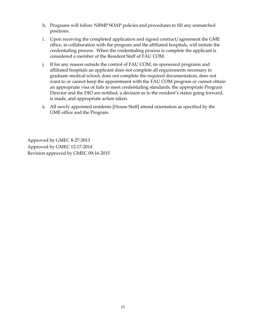- h. Programs will follow NRMP SOAP policies and procedures to fill any unmatched positions.
- i. Upon receiving the completed application and signed contract/agreement the GME office, in collaboration with the program and the affiliated hospitals, will initiate the credentialing process. When the credentialing process is complete the applicant is considered a member of the Resident Staff of FAU COM.
- j. If for any reason outside the control of FAU COM, its sponsored programs and affiliated hospitals an applicant does not complete all requirements necessary to graduate medical school, does not complete the required documentation, does not want to or cannot keep the appointment with the FAU COM program or cannot obtain an appropriate visa or fails to meet credentialing standards, the appropriate Program Director and the DIO are notified; a decision as to the resident's status going forward, is made, and appropriate action taken.
- k. All newly appointed residents [House Staff] attend orientation as specified by the GME office and the Program.

Approved by GMEC 8-27-2013 Approved by GMEC 12-17-2014 Revision approved by GMEC 09-16-2015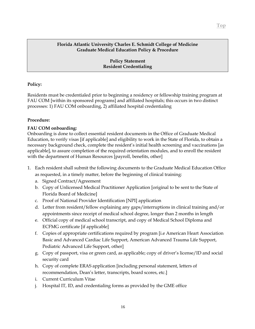**Policy Statement Resident Credentialing**

#### <span id="page-15-0"></span>**Policy:**

Residents must be credentialed prior to beginning a residency or fellowship training program at FAU COM [within its sponsored programs] and affiliated hospitals; this occurs in two distinct processes: 1) FAU COM onboarding, 2) affiliated hospital credentialing

#### **Procedure:**

#### **FAU COM onboarding:**

Onboarding is done to collect essential resident documents in the Office of Graduate Medical Education, to verify visas [if applicable] and eligibility to work in the State of Florida, to obtain a necessary background check, complete the resident's initial health screening and vaccinations [as applicable], to assure completion of the required orientation modules, and to enroll the resident with the department of Human Resources [payroll, benefits, other]

- 1. Each resident shall submit the following documents to the Graduate Medical Education Office as requested, in a timely matter, before the beginning of clinical training:
	- a. Signed Contract/Agreement
	- b. Copy of Unlicensed Medical Practitioner Application [original to be sent to the State of Florida Board of Medicine]
	- c. Proof of National Provider Identification [NPI] application
	- d. Letter from resident/fellow explaining any gaps/interruptions in clinical training and/or appointments since receipt of medical school degree, longer than 2 months in length
	- e. Official copy of medical school transcript, and copy of Medical School Diploma and ECFMG certificate [if applicable]
	- f. Copies of appropriate certifications required by program [i.e American Heart Association Basic and Advanced Cardiac Life Support, American Advanced Trauma Life Support, Pediatric Advanced Life Support, other]
	- g. Copy of passport, visa or green card, as applicable; copy of driver's license/ID and social security card
	- h. Copy of complete ERAS application [including personal statement, letters of recommendation, Dean's letter, transcripts, board scores, etc.]
	- i. Current Curriculum Vitae
	- j. Hospital IT, ID, and credentialing forms as provided by the GME office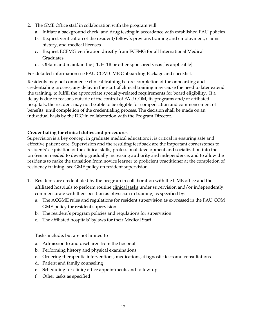- 2. The GME Office staff in collaboration with the program will:
	- a. Initiate a background check, and drug testing in accordance with established FAU policies
	- b. Request verification of the resident/fellow's previous training and employment, claims history, and medical licenses
	- c. Request ECFMG verification directly from ECFMG for all International Medical Graduates
	- d. Obtain and maintain the J-1, H-1B or other sponsored visas [as applicable]

For detailed information see FAU COM GME Onboarding Package and checklist.

Residents may not commence clinical training before completion of the onboarding and credentialing process; any delay in the start of clinical training may cause the need to later extend the training, to fulfill the appropriate specialty-related requirements for board eligibility. If a delay is due to reasons outside of the control of FAU COM, its programs and/or affiliated hospitals, the resident may not be able to be eligible for compensation and commencement of benefits, until completion of the credentialing process. The decision shall be made on an individual basis by the DIO in collaboration with the Program Director.

#### **Credentialing for clinical duties and procedures**

Supervision is a key concept in graduate medical education; it is critical in ensuring safe and effective patient care. Supervision and the resulting feedback are the important cornerstones to residents' acquisition of the clinical skills, professional development and socialization into the profession needed to develop gradually increasing authority and independence, and to allow the residents to make the transition from novice learner to proficient practitioner at the completion of residency training [see GME policy on resident supervision.

- 1. Residents are credentialed by the program in collaboration with the GME office and the affiliated hospitals to perform routine clinical tasks under supervision and/or independently, commensurate with their position as physician in training, as specified by:
	- a. The ACGME rules and regulations for resident supervision as expressed in the FAU COM GME policy for resident supervision
	- b. The resident's program policies and regulations for supervision
	- c. The affiliated hospitals' bylaws for their Medical Staff

Tasks include, but are not limited to

- a. Admission to and discharge from the hospital
- b. Performing history and physical examinations
- c. Ordering therapeutic interventions, medications, diagnostic tests and consultations
- d. Patient and family counseling
- e. Scheduling for clinic/office appointments and follow-up
- f. Other tasks as specified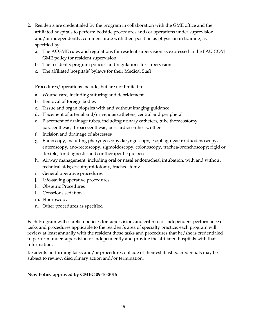- 2. Residents are credentialed by the program in collaboration with the GME office and the affiliated hospitals to perform bedside procedures and/or operations under supervision and/or independently, commensurate with their position as physician in training, as specified by:
	- a. The ACGME rules and regulations for resident supervision as expressed in the FAU COM GME policy for resident supervision
	- b. The resident's program policies and regulations for supervision
	- c. The affiliated hospitals' bylaws for their Medical Staff

Procedures/operations include, but are not limited to

- a. Wound care, including suturing and debridement
- b. Removal of foreign bodies
- c. Tissue and organ biopsies with and without imaging guidance
- d. Placement of arterial and/or venous catheters; central and peripheral
- e. Placement of drainage tubes, including urinary catheters, tube thoracostomy, paracenthesis, throacocenthesis, pericardiocenthesis, other
- f. Incision and drainage of abscesses
- g. Endoscopy, including pharyngoscopy, laryngoscopy, esophago-gastro-duodenoscopy, enteroscopy, ano-rectoscopy, sigmoidoscopy, colonoscopy, trachea-bronchoscopy; rigid or flexible, for diagnostic and/or therapeutic purposes
- h. Airway management, including oral or nasal endotracheal intubation, with and without technical aids; cricothyroidotomy, tracheostomy
- i. General operative procedures
- j. Life-saving operative procedures
- k. Obstetric Procedures
- l. Conscious sedation
- m. Fluoroscopy
- n. Other procedures as specified

Each Program will establish policies for supervision, and criteria for independent performance of tasks and procedures applicable to the resident's area of specialty practice; each program will review at least annually with the resident those tasks and procedures that he/she is credentialed to perform under supervision or independently and provide the affiliated hospitals with that information.

Residents performing tasks and/or procedures outside of their established credentials may be subject to review, disciplinary action and/or termination.

#### **New Policy approved by GMEC 09-16-2015**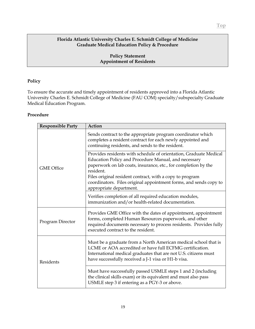#### **Policy Statement Appointment of Residents**

#### <span id="page-18-0"></span>**Policy**

To ensure the accurate and timely appointment of residents approved into a Florida Atlantic University Charles E. Schmidt College of Medicine (FAU COM) specialty/subspecialty Graduate Medical Education Program.

#### **Procedure**

| <b>Responsible Party</b> | Action                                                                                                                                                                                                                                                |
|--------------------------|-------------------------------------------------------------------------------------------------------------------------------------------------------------------------------------------------------------------------------------------------------|
| <b>GME Office</b>        | Sends contract to the appropriate program coordinator which<br>completes a resident contract for each newly appointed and<br>continuing residents, and sends to the resident.                                                                         |
|                          | Provides residents with schedule of orientation, Graduate Medical<br>Education Policy and Procedure Manual, and necessary<br>paperwork on lab coats, insurance, etc., for completion by the<br>resident.                                              |
|                          | Files original resident contract, with a copy to program<br>coordinators. Files original appointment forms, and sends copy to<br>appropriate department.                                                                                              |
|                          | Verifies completion of all required education modules,<br>immunization and/or health-related documentation.                                                                                                                                           |
| Program Director         | Provides GME Office with the dates of appointment, appointment<br>forms, completed Human Resources paperwork, and other<br>required documents necessary to process residents. Provides fully<br>executed contract to the resident.                    |
| Residents                | Must be a graduate from a North American medical school that is<br>LCME or AOA accredited or have full ECFMG certification.<br>International medical graduates that are not U.S. citizens must<br>have successfully received a J-1 visa or H1-b visa. |
|                          | Must have successfully passed USMLE steps 1 and 2 (including<br>the clinical skills exam) or its equivalent and must also pass<br>USMLE step 3 if entering as a PGY-3 or above.                                                                       |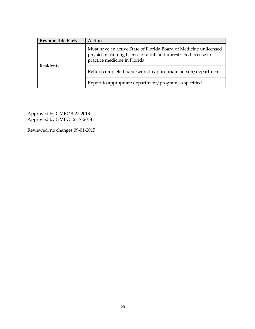| <b>Responsible Party</b> | Action                                                                                                                                                                 |
|--------------------------|------------------------------------------------------------------------------------------------------------------------------------------------------------------------|
| Residents                | Must have an active State of Florida Board of Medicine unlicensed<br>physician training license or a full and unrestricted license to<br>practice medicine in Florida. |
|                          | Return completed paperwork to appropriate person/department.                                                                                                           |
|                          | Report to appropriate department/program as specified.                                                                                                                 |

Approved by GMEC 8-27-2013 Approved by GMEC 12-17-2014

Reviewed, no changes 09-01-2015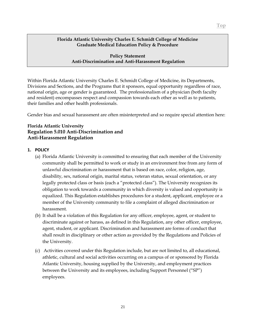#### <span id="page-20-0"></span>**Policy Statement Anti-Discrimination and Anti-Harassment Regulation**

Within Florida Atlantic University Charles E. Schmidt College of Medicine, its Departments, Divisions and Sections, and the Programs that it sponsors, equal opportunity regardless of race, national origin, age or gender is guaranteed. The professionalism of a physician (both faculty and resident) encompasses respect and compassion towards each other as well as to patients, their families and other health professionals.

Gender bias and sexual harassment are often misinterpreted and so require special attention here:

#### **Florida Atlantic University Regulation 5.010 Anti-Discrimination and Anti-Harassment Regulation**

#### **1. POLICY**

- (a) Florida Atlantic University is committed to ensuring that each member of the University community shall be permitted to work or study in an environment free from any form of unlawful discrimination or harassment that is based on race, color, religion, age, disability, sex, national origin, marital status, veteran status, sexual orientation, or any legally protected class or basis (each a "protected class"). The University recognizes its obligation to work towards a community in which diversity is valued and opportunity is equalized. This Regulation establishes procedures for a student, applicant, employee or a member of the University community to file a complaint of alleged discrimination or harassment.
- (b) It shall be a violation of this Regulation for any officer, employee, agent, or student to discriminate against or harass, as defined in this Regulation, any other officer, employee, agent, student, or applicant. Discrimination and harassment are forms of conduct that shall result in disciplinary or other action as provided by the Regulations and Policies of the University.
- (c) Activities covered under this Regulation include, but are not limited to, all educational, athletic, cultural and social activities occurring on a campus of or sponsored by Florida Atlantic University, housing supplied by the University, and employment practices between the University and its employees, including Support Personnel ("SP") employees.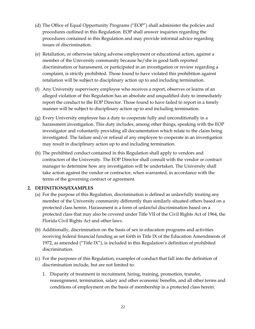- (d) The Office of Equal Opportunity Programs ("EOP") shall administer the policies and procedures outlined in this Regulation. EOP shall answer inquiries regarding the procedures contained in this Regulation and may provide informal advice regarding issues of discrimination.
- (e) Retaliation, or otherwise taking adverse employment or educational action, against a member of the University community because he/she in good faith reported discrimination or harassment, or participated in an investigation or review regarding a complaint, is strictly prohibited. Those found to have violated this prohibition against retaliation will be subject to disciplinary action up to and including termination.
- (f) Any University supervisory employee who receives a report, observes or learns of an alleged violation of this Regulation has an absolute and unqualified duty to immediately report the conduct to the EOP Director. Those found to have failed to report in a timely manner will be subject to disciplinary action up to and including termination.
- (g) Every University employee has a duty to cooperate fully and unconditionally in a harassment investigation. This duty includes, among other things, speaking with the EOP investigator and voluntarily providing all documentation which relate to the claim being investigated. The failure and/or refusal of any employee to cooperate in an investigation may result in disciplinary action up to and including termination.
- (h) The prohibited conduct contained in this Regulation shall apply to vendors and contractors of the University. The EOP Director shall consult with the vendor or contract manager to determine how any investigation will be undertaken. The University shall take action against the vendor or contractor, when warranted, in accordance with the terms of the governing contract or agreement.

#### **2. DEFINITIONS/EXAMPLES**

- (a) For the purpose of this Regulation, discrimination is defined as unlawfully treating any member of the University community differently than similarly situated others based on a protected class herein. Harassment is a form of unlawful discrimination based on a protected class that may also be covered under Title VII of the Civil Rights Act of 1964, the Florida Civil Rights Act and other laws.
- (b) Additionally, discrimination on the basis of sex in education programs and activities receiving federal financial funding as set forth in Title IX of the Education Amendments of 1972, as amended ("Title IX"), is included in this Regulation's definition of prohibited discrimination.
- (c) For the purposes of this Regulation, examples of conduct that fall into the definition of discrimination include, but are not limited to:
	- 1. Disparity of treatment in recruitment, hiring, training, promotion, transfer, reassignment, termination, salary and other economic benefits, and all other terms and conditions of employment on the basis of membership in a protected class herein.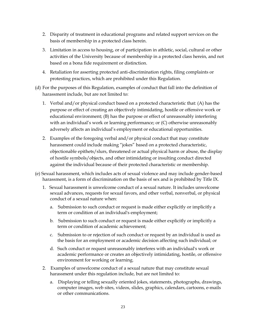- 2. Disparity of treatment in educational programs and related support services on the basis of membership in a protected class herein.
- 3. Limitation in access to housing, or of participation in athletic, social, cultural or other activities of the University because of membership in a protected class herein, and not based on a bona fide requirement or distinction.
- 4. Retaliation for asserting protected anti-discrimination rights, filing complaints or protesting practices, which are prohibited under this Regulation.
- (d) For the purposes of this Regulation, examples of conduct that fall into the definition of harassment include, but are not limited to:
	- 1. Verbal and/or physical conduct based on a protected characteristic that: (A) has the purpose or effect of creating an objectively intimidating, hostile or offensive work or educational environment; (B) has the purpose or effect of unreasonably interfering with an individual's work or learning performance; or (C) otherwise unreasonably adversely affects an individual's employment or educational opportunities.
	- 2. Examples of the foregoing verbal and/or physical conduct that may constitute harassment could include making "jokes" based on a protected characteristic, objectionable epithets/slurs, threatened or actual physical harm or abuse, the display of hostile symbols/objects, and other intimidating or insulting conduct directed against the individual because of their protected characteristic or membership.
- (e) Sexual harassment, which includes acts of sexual violence and may include gender-based harassment, is a form of discrimination on the basis of sex and is prohibited by Title IX.
	- 1. Sexual harassment is unwelcome conduct of a sexual nature. It includes unwelcome sexual advances, requests for sexual favors, and other verbal, nonverbal, or physical conduct of a sexual nature when:
		- a. Submission to such conduct or request is made either explicitly or implicitly a term or condition of an individual's employment;
		- b. Submission to such conduct or request is made either explicitly or implicitly a term or condition of academic achievement;
		- c. Submission to or rejection of such conduct or request by an individual is used as the basis for an employment or academic decision affecting such individual; or
		- d. Such conduct or request unreasonably interferes with an individual's work or academic performance or creates an objectively intimidating, hostile, or offensive environment for working or learning.
	- 2. Examples of unwelcome conduct of a sexual nature that may constitute sexual harassment under this regulation include, but are not limited to:
		- a. Displaying or telling sexually oriented jokes, statements, photographs, drawings, computer images, web sites, videos, slides, graphics, calendars, cartoons, e-mails or other communications.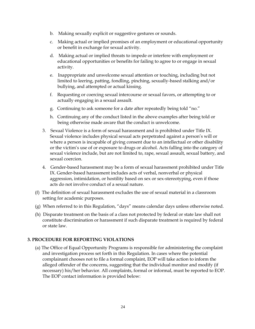- b. Making sexually explicit or suggestive gestures or sounds.
- c. Making actual or implied promises of an employment or educational opportunity or benefit in exchange for sexual activity.
- d. Making actual or implied threats to impede or interfere with employment or educational opportunities or benefits for failing to agree to or engage in sexual activity.
- e. Inappropriate and unwelcome sexual attention or touching, including but not limited to leering, patting, fondling, pinching, sexually-based stalking and/or bullying, and attempted or actual kissing.
- f. Requesting or coercing sexual intercourse or sexual favors, or attempting to or actually engaging in a sexual assault.
- g. Continuing to ask someone for a date after repeatedly being told "no."
- h. Continuing any of the conduct listed in the above examples after being told or being otherwise made aware that the conduct is unwelcome.
- 3. Sexual Violence is a form of sexual harassment and is prohibited under Title IX. Sexual violence includes physical sexual acts perpetrated against a person's will or where a person is incapable of giving consent due to an intellectual or other disability or the victim's use of or exposure to drugs or alcohol. Acts falling into the category of sexual violence include, but are not limited to, rape, sexual assault, sexual battery, and sexual coercion.
- 4. Gender-based harassment may be a form of sexual harassment prohibited under Title IX. Gender-based harassment includes acts of verbal, nonverbal or physical aggression, intimidation, or hostility based on sex or sex-stereotyping, even if those acts do not involve conduct of a sexual nature.
- (f) The definition of sexual harassment excludes the use of sexual material in a classroom setting for academic purposes.
- (g) When referred to in this Regulation, "days" means calendar days unless otherwise noted.
- (h) Disparate treatment on the basis of a class not protected by federal or state law shall not constitute discrimination or harassment if such disparate treatment is required by federal or state law.

#### **3. PROCEDURE FOR REPORTING VIOLATIONS**

(a) The Office of Equal Opportunity Programs is responsible for administering the complaint and investigation process set forth in this Regulation. In cases where the potential complainant chooses not to file a formal complaint, EOP will take action to inform the alleged offender of the concerns, suggesting that the individual monitor and modify (if necessary) his/her behavior. All complaints, formal or informal, must be reported to EOP. The EOP contact information is provided below: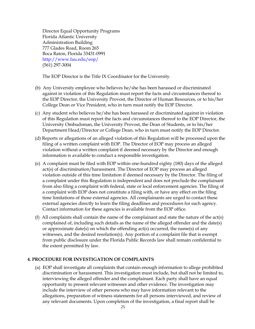Director Equal Opportunity Programs Florida Atlantic University Administration Building 777 Glades Road, Room 265 Boca Raton, Florida 33431-0991 http://www.fau.edu/eop/ (561) 297-3004

The EOP Director is the Title IX Coordinator for the University.

- (b) Any University employee who believes he/she has been harassed or discriminated against in violation of this Regulation must report the facts and circumstances thereof to the EOP Director, the University Provost, the Director of Human Resources, or to his/her College Dean or Vice President, who in turn must notify the EOP Director.
- (c) Any student who believes he/she has been harassed or discriminated against in violation of this Regulation must report the facts and circumstances thereof to the EOP Director, the University Ombudsman, the University Provost, the Dean of Students, or to his/her Department Head/Director or College Dean, who in turn must notify the EOP Director.
- (d) Reports or allegations of an alleged violation of this Regulation will be processed upon the filing of a written complaint with EOP. The Director of EOP may process an alleged violation without a written complaint if deemed necessary by the Director and enough information is available to conduct a responsible investigation.
- (e) A complaint must be filed with EOP within one-hundred eighty (180) days of the alleged act(s) of discrimination/harassment. The Director of EOP may process an alleged violation outside of this time limitation if deemed necessary by the Director. The filing of a complaint under this Regulation is independent and does not preclude the complainant from also filing a complaint with federal, state or local enforcement agencies. The filing of a complaint with EOP does not constitute a filing with, or have any effect on the filing time limitations of those external agencies. All complainants are urged to contact these external agencies directly to learn the filing deadlines and procedures for each agency. Contact information for these agencies is available from the EOP office.
- (f) All complaints shall contain the name of the complainant and state the nature of the act(s) complained of, including such details as the name of the alleged offender and the date(s) or approximate date(s) on which the offending act(s) occurred, the name(s) of any witnesses, and the desired resolution(s). Any portion of a complaint file that is exempt from public disclosure under the Florida Public Records law shall remain confidential to the extent permitted by law.

#### **4. PROCEDURE FOR INVESTIGATION OF COMPLAINTS**

(a) EOP shall investigate all complaints that contain enough information to allege prohibited discrimination or harassment. This investigation must include, but shall not be limited to, interviewing the alleged offender and the complainant. Each party shall have an equal opportunity to present relevant witnesses and other evidence. The investigation may include the interview of other persons who may have information relevant to the allegations, preparation of witness statements for all persons interviewed, and review of any relevant documents. Upon completion of the investigation, a final report shall be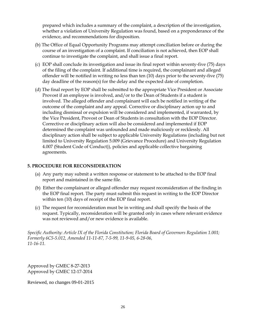prepared which includes a summary of the complaint, a description of the investigation, whether a violation of University Regulation was found, based on a preponderance of the evidence, and recommendations for disposition.

- (b) The Office of Equal Opportunity Programs may attempt conciliation before or during the course of an investigation of a complaint. If conciliation is not achieved, then EOP shall continue to investigate the complaint, and shall issue a final report.
- (c) EOP shall conclude its investigation and issue its final report within seventy-five (75) days of the filing of the complaint. If additional time is required, the complainant and alleged offender will be notified in writing no less than ten (10) days prior to the seventy-five (75) day deadline of the reason(s) for the delay and the expected date of completion.
- (d) The final report by EOP shall be submitted to the appropriate Vice President or Associate Provost if an employee is involved, and/or to the Dean of Students if a student is involved. The alleged offender and complainant will each be notified in writing of the outcome of the complaint and any appeal. Corrective or disciplinary action up to and including dismissal or expulsion will be considered and implemented, if warranted, by the Vice President, Provost or Dean of Students in consultation with the EOP Director. Corrective or disciplinary action will also be considered and implemented if EOP determined the complaint was unfounded and made maliciously or recklessly. All disciplinary action shall be subject to applicable University Regulations (including but not limited to University Regulation 5.009 (Grievance Procedure) and University Regulation 4.007 (Student Code of Conduct)), policies and applicable collective bargaining agreements.

#### **5. PROCEDURE FOR RECONSIDERATION**

- (a) Any party may submit a written response or statement to be attached to the EOP final report and maintained in the same file.
- (b) Either the complainant or alleged offender may request reconsideration of the finding in the EOP final report. The party must submit this request in writing to the EOP Director within ten (10) days of receipt of the EOP final report.
- (c) The request for reconsideration must be in writing and shall specify the basis of the request. Typically, reconsideration will be granted only in cases where relevant evidence was not reviewed and/or new evidence is available.

*Specific Authority: Article IX of the Florida Constitution; Florida Board of Governors Regulation 1.001; Formerly 6C5-5.012, Amended 11-11-87, 7-5-99, 11-9-05, 6-28-06, 11-16-11.*

Approved by GMEC 8-27-2013 Approved by GMEC 12-17-2014

Reviewed, no changes 09-01-2015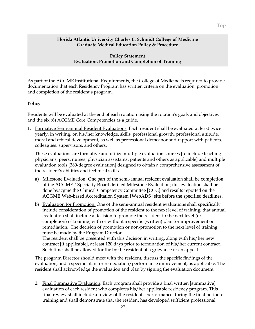#### **Policy Statement Evaluation, Promotion and Completion of Training**

<span id="page-26-0"></span>As part of the ACGME Institutional Requirements, the College of Medicine is required to provide documentation that each Residency Program has written criteria on the evaluation, promotion and completion of the resident's program.

#### **Policy**

Residents will be evaluated at the end of each rotation using the rotation's goals and objectives and the six (6) ACGME Core Competencies as a guide.

1. Formative Semi-annual Resident Evaluations: Each resident shall be evaluated at least twice yearly, in writing, on his/her knowledge, skills, professional growth, professional attitude, moral and ethical development, as well as professional demeanor and rapport with patients, colleagues, supervisors, and others.

These evaluations are formative and utilize multiple evaluation sources [to include teaching physicians, peers, nurses, physician assistants, patients and others as applicable] and multiple evaluation tools [360-degree evaluation] designed to obtain a comprehensive assessment of the resident's abilities and technical skills.

- a) Milestone Evaluation: One part of the semi-annual resident evaluation shall be completion of the ACGME / Specialty Board defined Milestone Evaluation; this evaluation shall be done byacgme the Clinical Competency Committee [CCC] and results reported on the ACGME Web-based Accreditation System [WebADS] site before the specified deadlines.
- b) Evaluation for Promotion: One of the semi-annual resident evaluations shall specifically include consideration of promotion of the resident to the next level of training; that annual evaluation shall include a decision to promote the resident to the next level (or completion) of training, with or without a specific (written) plan for improvement or remediation. The decision of promotion or non-promotion to the next level of training must be made by the Program Director.

The resident shall be presented with this decision in writing, along with his/her new contract [if applicable], at least 120 days prior to termination of his/her current contract. Such time shall be allowed for the by the resident of a grievance or an appeal.

The program Director should meet with the resident, discuss the specific findings of the evaluation, and a specific plan for remediation/performance improvement, as applicable. The resident shall acknowledge the evaluation and plan by signing the evaluation document.

2. Final Summative Evaluation: Each program shall provide a final written [summative] evaluation of each resident who completes his/her applicable residency program. This final review shall include a review of the resident's performance during the final period of training and shall demonstrate that the resident has developed sufficient professional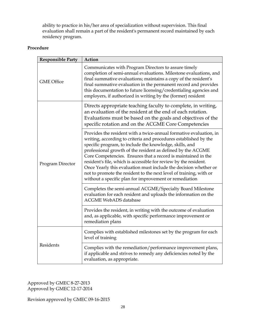ability to practice in his/her area of specialization without supervision. This final evaluation shall remain a part of the resident's permanent record maintained by each residency program.

#### **Procedure**

| <b>Responsible Party</b> | Action                                                                                                                                                                                                                                                                                                                                                                                                                                                                                                                                                                                                    |
|--------------------------|-----------------------------------------------------------------------------------------------------------------------------------------------------------------------------------------------------------------------------------------------------------------------------------------------------------------------------------------------------------------------------------------------------------------------------------------------------------------------------------------------------------------------------------------------------------------------------------------------------------|
| <b>GME Office</b>        | Communicates with Program Directors to assure timely<br>completion of semi-annual evaluations. Milestone evaluations, and<br>final summative evaluations; maintains a copy of the resident's<br>final summative evaluation in the permanent record and provides<br>this documentation to future licensing/credentialing agencies and<br>employers, if authorized in writing by the (former) resident                                                                                                                                                                                                      |
| Program Director         | Directs appropriate teaching faculty to complete, in writing,<br>an evaluation of the resident at the end of each rotation.<br>Evaluations must be based on the goals and objectives of the<br>specific rotation and on the ACGME Core Competencies                                                                                                                                                                                                                                                                                                                                                       |
|                          | Provides the resident with a twice-annual formative evaluation, in<br>writing, according to criteria and procedures established by the<br>specific program, to include the knowledge, skills, and<br>professional growth of the resident as defined by the ACGME<br>Core Competencies. Ensures that a record is maintained in the<br>resident's file, which is accessible for review by the resident.<br>Once Yearly this evaluation must include the decision whether or<br>not to promote the resident to the next level of training, with or<br>without a specific plan for improvement or remediation |
|                          | Completes the semi-annual ACGME/Specialty Board Milestone<br>evaluation for each resident and uploads the information on the<br><b>ACGME WebADS database</b>                                                                                                                                                                                                                                                                                                                                                                                                                                              |
|                          | Provides the resident, in writing with the outcome of evaluation<br>and, as applicable, with specific performance improvement or<br>remediation plans                                                                                                                                                                                                                                                                                                                                                                                                                                                     |
| Residents                | Complies with established milestones set by the program for each<br>level of training                                                                                                                                                                                                                                                                                                                                                                                                                                                                                                                     |
|                          | Complies with the remediation/performance improvement plans,<br>if applicable and strives to remedy any deficiencies noted by the<br>evaluation, as appropriate.                                                                                                                                                                                                                                                                                                                                                                                                                                          |

Approved by GMEC 8-27-2013 Approved by GMEC 12-17-2014

Revision approved by GMEC 09-16-2015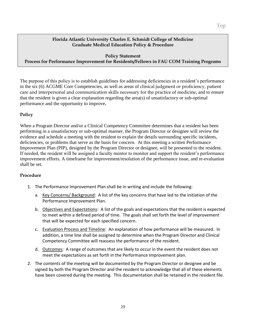#### **Policy Statement**

#### <span id="page-28-0"></span>**Process for Performance Improvement for Residents/Fellows in FAU COM Training Programs**

The purpose of this policy is to establish guidelines for addressing deficiencies in a resident's performance in the six (6) ACGME Core Competencies, as well as areas of clinical judgment or proficiency, patient care and interpersonal and communication skills necessary for the practice of medicine, and to ensure that the resident is given a clear explanation regarding the area(s) of unsatisfactory or sub-optimal performance and the opportunity to improve**.**

#### **Policy**

When a Program Director and/or a Clinical Competency Committee determines that a resident has been performing in a unsatisfactory or sub-optimal manner, the Program Director or designee will review the evidence and schedule a meeting with the resident to explain the details surrounding specific incidents, deficiencies, or problems that serve as the basis for concern. At this meeting a written Performance Improvement Plan (PIP), designed by the Program Director or designee, will be presented to the resident. If needed, the resident will be assigned a faculty mentor to monitor and support the resident's performance improvement efforts. A timeframe for improvement/resolution of the performance issue, and re-evaluation shall be set.

#### **Procedure**

- 1. The Performance Improvement Plan shall be in writing and include the following:
	- a. Key Concerns/ Background: A list of the key concerns that have led to the initiation of the Performance Improvement Plan.
	- b. Objectives and Expectations: A list of the goals and expectations that the resident is expected to meet within a defined period of time. The goals shall set forth the level of improvement that will be expected for each specified concern.
	- c. Evaluation Process and Timeline: An explanation of how performance will be measured. In addition, a time line shall be assigned to determine when the Program Director and Clinical Competency Committee will reassess the performance of the resident.
	- d. Outcomes: A range of outcomes that are likely to occur in the event the resident does not meet the expectations as set forth in the Performance Improvement plan.
- 2. The contents of the meeting will be documented by the Program Director or designee and be signed by both the Program Director and the resident to acknowledge that all of these elements have been covered during the meeting. This documentation shall be retained in the resident file.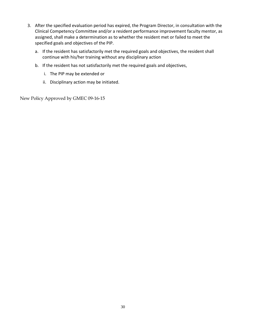- 3. After the specified evaluation period has expired, the Program Director, in consultation with the Clinical Competency Committee and/or a resident performance improvement faculty mentor, as assigned, shall make a determination as to whether the resident met or failed to meet the specified goals and objectives of the PIP.
	- a. If the resident has satisfactorily met the required goals and objectives, the resident shall continue with his/her training without any disciplinary action
	- b. If the resident has not satisfactorily met the required goals and objectives,
		- i. The PIP may be extended or
		- ii. Disciplinary action may be initiated.

New Policy Approved by GMEC 09-16-15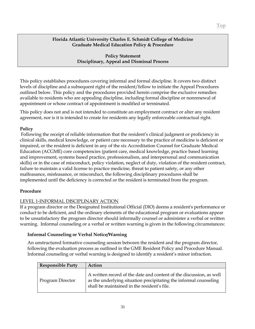**Policy Statement Disciplinary, Appeal and Dismissal Process**

<span id="page-30-0"></span>This policy establishes procedures covering informal and formal discipline. It covers two distinct levels of discipline and a subsequent right of the resident/fellow to initiate the Appeal Procedures outlined below. This policy and the procedures provided herein comprise the exclusive remedies available to residents who are appealing discipline, including formal discipline or nonrenewal of appointment or whose contract of appointment is modified or terminated.

This policy does not and is not intended to constitute an employment contract or alter any resident agreement, nor is it is intended to create for residents any legally enforceable contractual right.

#### **Policy**

Following the receipt of reliable information that the resident's clinical judgment or proficiency in clinical skills, medical knowledge, or patient care necessary to the practice of medicine is deficient or impaired, or the resident is deficient in any of the six Accreditation Counsel for Graduate Medical Education (ACGME) core competencies (patient care, medical knowledge, practice based learning and improvement, systems based practice, professionalism, and interpersonal and communication skills) or in the case of misconduct, policy violation, neglect of duty, violation of the resident contract, failure to maintain a valid license to practice medicine, threat to patient safety, or any other malfeasance, misfeasance, or misconduct, the following disciplinary procedures shall be implemented until the deficiency is corrected or the resident is terminated from the program.

#### **Procedure**

#### LEVEL 1-INFORMAL DISCIPLINARY ACTION

If a program director or the Designated Institutional Official (DIO) deems a resident's performance or conduct to be deficient, and the ordinary elements of the educational program or evaluations appear to be unsatisfactory the program director should informally counsel or administer a verbal or written warning. Informal counseling or a verbal or written warning is given in the following circumstances:

#### **Informal Counseling or Verbal Notice/Warning**

An unstructured formative counseling session between the resident and the program director, following the evaluation process as outlined in the GME Resident Policy and Procedure Manual. Informal counseling or verbal warning is designed to identify a resident's minor infraction.

| <b>Responsible Party</b> | <b>Action</b>                                                                                                                                                                           |
|--------------------------|-----------------------------------------------------------------------------------------------------------------------------------------------------------------------------------------|
| Program Director         | A written record of the date and content of the discussion, as well<br>as the underlying situation precipitating the informal counseling<br>shall be maintained in the resident's file. |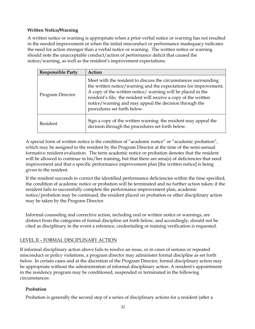#### **Written Notice/Warning**

A written notice or warning is appropriate when a prior verbal notice or warning has not resulted in the needed improvement or when the initial misconduct or performance inadequacy indicates the need for action stronger than a verbal notice or warning. The written notice or warning should note the unacceptable conduct/action of performance deficit that caused the notice/warning, as well as the resident's improvement expectations.

| <b>Responsible Party</b> | Action                                                                                                                                                                                                                                                                                                                                                         |
|--------------------------|----------------------------------------------------------------------------------------------------------------------------------------------------------------------------------------------------------------------------------------------------------------------------------------------------------------------------------------------------------------|
| Program Director         | Meet with the resident to discuss the circumstances surrounding<br>the written notice/warning and the expectations for improvement;<br>A copy of the written notice/warning will be placed in the<br>resident's file; the resident will receive a copy of the written<br>notice/warning and may appeal the decision through the<br>procedures set forth below. |
| Resident                 | Sign a copy of the written warning: the resident may appeal the<br>decision through the procedures set forth below.                                                                                                                                                                                                                                            |

A special form of written notice is the condition of "academic notice" or "academic probation", which may be assigned to the resident by the Program Director at the time of the semi-annual formative resident evaluation. The term academic notice or probation denotes that the resident will be allowed to continue in his/her training, but that there are area(s) of deficiencies that need improvement and that a specific performance improvement plan [the written notice] is being given to the resident.

If the resident succeeds to correct the identified performance deficiencies within the time specified, the condition of academic notice or probation will be terminated and no further action taken; if the resident fails to successfully complete the performance improvement plan, academic notice/probation may be continued, the resident placed on probation or other disciplinary action may be taken by the Program Director.

Informal counseling and corrective action, including oral or written notice or warnings, are distinct from the categories of formal discipline set forth below, and accordingly, should not be cited as disciplinary in the event a reference, credentialing or training verification is requested.

#### LEVEL II – FORMAL DISCIPLINARY ACTION

If informal disciplinary action above fails to resolve an issue, or in cases of serious or repeated misconduct or policy violations, a program director may administer formal discipline as set forth below. In certain cases and at the discretion of the Program Director, formal disciplinary action may be appropriate without the administration of informal disciplinary action. A resident's appointment in the residency program may be conditioned, suspended or terminated in the following circumstances:

#### **Probation**

Probation is generally the second step of a series of disciplinary actions for a resident (after a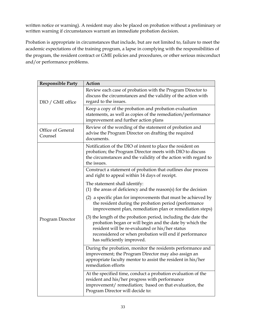written notice or warning). A resident may also be placed on probation without a preliminary or written warning if circumstances warrant an immediate probation decision.

Probation is appropriate in circumstances that include, but are not limited to, failure to meet the academic expectations of the training program, a lapse in complying with the responsibilities of the program, the resident contract or GME policies and procedures, or other serious misconduct and/or performance problems.

| <b>Responsible Party</b>     | <b>Action</b>                                                                                                                                                                                                                                                        |
|------------------------------|----------------------------------------------------------------------------------------------------------------------------------------------------------------------------------------------------------------------------------------------------------------------|
| DIO / GME office             | Review each case of probation with the Program Director to<br>discuss the circumstances and the validity of the action with<br>regard to the issues.                                                                                                                 |
|                              | Keep a copy of the probation and probation evaluation<br>statements, as well as copies of the remediation/performance<br>improvement and further action plans                                                                                                        |
| Office of General<br>Counsel | Review of the wording of the statement of probation and<br>advise the Program Director on drafting the required<br>documents.                                                                                                                                        |
|                              | Notification of the DIO of intent to place the resident on<br>probation; the Program Director meets with DIO to discuss<br>the circumstances and the validity of the action with regard to<br>the issues.                                                            |
|                              | Construct a statement of probation that outlines due process<br>and right to appeal within 14 days of receipt.                                                                                                                                                       |
|                              | The statement shall identify:<br>$(1)$ the areas of deficiency and the reason $(s)$ for the decision                                                                                                                                                                 |
| Program Director             | (2) a specific plan for improvements that must be achieved by<br>the resident during the probation period (performance<br>improvement plan, remediation plan or remediation steps)                                                                                   |
|                              | (3) the length of the probation period, including the date the<br>probation began or will begin and the date by which the<br>resident will be re-evaluated or his/her status<br>reconsidered or when probation will end if performance<br>has sufficiently improved. |
|                              | During the probation, monitor the residents performance and<br>improvement; the Program Director may also assign an<br>appropriate faculty mentor to assist the resident in his/her<br>remediation efforts                                                           |
|                              | At the specified time, conduct a probation evaluation of the<br>resident and his/her progress with performance<br>improvement/remediation; based on that evaluation, the<br>Program Director will decide to:                                                         |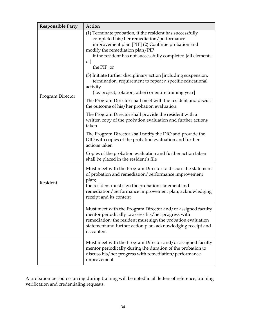| <b>Responsible Party</b> | Action                                                                                                                                                                                                                                                                              |
|--------------------------|-------------------------------------------------------------------------------------------------------------------------------------------------------------------------------------------------------------------------------------------------------------------------------------|
|                          | (1) Terminate probation, if the resident has successfully<br>completed his/her remediation/performance<br>improvement plan [PIP] (2) Continue probation and<br>modify the remediation plan/PIP<br>if the resident has not successfully completed [all elements<br>of<br>the PIP, or |
|                          | (3) Initiate further disciplinary action [including suspension,<br>termination, requirement to repeat a specific educational<br>activity<br>(i.e. project, rotation, other) or entire training year]                                                                                |
| Program Director         | The Program Director shall meet with the resident and discuss<br>the outcome of his/her probation evaluation;                                                                                                                                                                       |
|                          | The Program Director shall provide the resident with a<br>written copy of the probation evaluation and further actions<br>taken                                                                                                                                                     |
|                          | The Program Director shall notify the DIO and provide the<br>DIO with copies of the probation evaluation and further<br>actions taken                                                                                                                                               |
|                          | Copies of the probation evaluation and further action taken<br>shall be placed in the resident's file                                                                                                                                                                               |
| Resident                 | Must meet with the Program Director to discuss the statement<br>of probation and remediation/performance improvement<br>plan;<br>the resident must sign the probation statement and<br>remediation/performance improvement plan, acknowledging<br>receipt and its content           |
|                          | Must meet with the Program Director and/or assigned faculty<br>mentor periodically to assess his/her progress with<br>remediation; the resident must sign the probation evaluation<br>statement and further action plan, acknowledging receipt and<br>its content                   |
|                          | Must meet with the Program Director and/or assigned faculty<br>mentor periodically during the duration of the probation to<br>discuss his/her progress with remediation/performance<br>improvement                                                                                  |

A probation period occurring during training will be noted in all letters of reference, training verification and credentialing requests.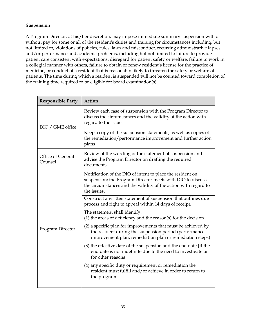#### **Suspension**

A Program Director, at his/her discretion, may impose immediate summary suspension with or without pay for some or all of the resident's duties and training for circumstances including, but not limited to, violations of policies, rules, laws and misconduct, recurring administrative lapses and/or performance and academic problems, including but not limited to failure to provide patient care consistent with expectations, disregard for patient safety or welfare, failure to work in a collegial manner with others, failure to obtain or renew resident's license for the practice of medicine, or conduct of a resident that is reasonably likely to threaten the safety or welfare of patients. The time during which a resident is suspended will not be counted toward completion of the training time required to be eligible for board examination(s).

| <b>Responsible Party</b>     | Action                                                                                                                                                                                                     |
|------------------------------|------------------------------------------------------------------------------------------------------------------------------------------------------------------------------------------------------------|
| DIO / GME office             | Review each case of suspension with the Program Director to<br>discuss the circumstances and the validity of the action with<br>regard to the issues.                                                      |
|                              | Keep a copy of the suspension statements, as well as copies of<br>the remediation/performance improvement and further action<br>plans                                                                      |
| Office of General<br>Counsel | Review of the wording of the statement of suspension and<br>advise the Program Director on drafting the required<br>documents.                                                                             |
| Program Director             | Notification of the DIO of intent to place the resident on<br>suspension; the Program Director meets with DIO to discuss<br>the circumstances and the validity of the action with regard to<br>the issues. |
|                              | Construct a written statement of suspension that outlines due<br>process and right to appeal within 14 days of receipt.                                                                                    |
|                              | The statement shall identify:<br>(1) the areas of deficiency and the reason(s) for the decision                                                                                                            |
|                              | (2) a specific plan for improvements that must be achieved by<br>the resident during the suspension period (performance<br>improvement plan, remediation plan or remediation steps)                        |
|                              | (3) the effective date of the suspension and the end date [if the<br>end date is not indefinite due to the need to investigate or<br>for other reasons                                                     |
|                              | (4) any specific duty or requirement or remediation the<br>resident must fulfill and/or achieve in order to return to<br>the program                                                                       |
|                              |                                                                                                                                                                                                            |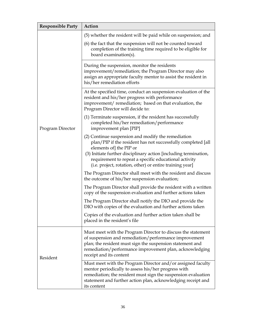| <b>Responsible Party</b> | Action                                                                                                                                                                                                                                                                                                                                 |
|--------------------------|----------------------------------------------------------------------------------------------------------------------------------------------------------------------------------------------------------------------------------------------------------------------------------------------------------------------------------------|
| Program Director         | (5) whether the resident will be paid while on suspension; and                                                                                                                                                                                                                                                                         |
|                          | (6) the fact that the suspension will not be counted toward<br>completion of the training time required to be eligible for<br>board examination(s).                                                                                                                                                                                    |
|                          | During the suspension, monitor the residents<br>improvement/remediation; the Program Director may also<br>assign an appropriate faculty mentor to assist the resident in<br>his/her remediation efforts                                                                                                                                |
|                          | At the specified time, conduct an suspension evaluation of the<br>resident and his/her progress with performance<br>improvement/ remediation; based on that evaluation, the<br>Program Director will decide to:                                                                                                                        |
|                          | (1) Terminate suspension, if the resident has successfully<br>completed his/her remediation/performance<br>improvement plan [PIP]                                                                                                                                                                                                      |
|                          | (2) Continue suspension and modify the remediation<br>plan/PIP if the resident has not successfully completed [all<br>elements of] the PIP or<br>(3) Initiate further disciplinary action [including termination,<br>requirement to repeat a specific educational activity<br>(i.e. project, rotation, other) or entire training year] |
|                          | The Program Director shall meet with the resident and discuss<br>the outcome of his/her suspension evaluation;                                                                                                                                                                                                                         |
|                          | The Program Director shall provide the resident with a written<br>copy of the suspension evaluation and further actions taken                                                                                                                                                                                                          |
|                          | The Program Director shall notify the DIO and provide the<br>DIO with copies of the evaluation and further actions taken                                                                                                                                                                                                               |
|                          | Copies of the evaluation and further action taken shall be<br>placed in the resident's file                                                                                                                                                                                                                                            |
| Resident                 | Must meet with the Program Director to discuss the statement<br>of suspension and remediation/performance improvement<br>plan; the resident must sign the suspension statement and<br>remediation/performance improvement plan, acknowledging<br>receipt and its content                                                               |
|                          | Must meet with the Program Director and/or assigned faculty<br>mentor periodically to assess his/her progress with<br>remediation; the resident must sign the suspension evaluation<br>statement and further action plan, acknowledging receipt and<br>its content                                                                     |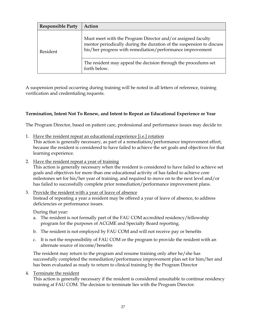| <b>Responsible Party</b> | Action                                                                                                                                                                                           |
|--------------------------|--------------------------------------------------------------------------------------------------------------------------------------------------------------------------------------------------|
| Resident                 | Must meet with the Program Director and/or assigned faculty<br>mentor periodically during the duration of the suspension to discuss<br>his/her progress with remediation/performance improvement |
|                          | The resident may appeal the decision through the procedures set<br>forth below.                                                                                                                  |

A suspension period occurring during training will be noted in all letters of reference, training verification and credentialing requests.

### **Termination, Intent Not To Renew, and Intent to Repeat an Educational Experience or Year**

The Program Director, based on patient care, professional and performance issues may decide to:

- 1. Have the resident repeat an educational experience [i.e.] rotation This action is generally necessary, as part of a remediation/performance improvement effort, because the resident is considered to have failed to achieve the set goals and objectives for that learning experience.
- 2. Have the resident repeat a year of training

This action is generally necessary when the resident is considered to have failed to achieve set goals and objectives for more than one educational activity of has failed to achieve core milestones set for his/her year of training, and required to move on to the next level and/or has failed to successfully complete prior remediation/performance improvement plans.

3. Provide the resident with a year of leave of absence Instead of repeating a year a resident may be offered a year of leave of absence, to address deficiencies or performance issues.

During that year:

- a. The resident is not formally part of the FAU COM accredited residency/fellowship program for the purposes of ACGME and Specialty Board reporting.
- b. The resident is not employed by FAU COM and will not receive pay or benefits
- c. It is not the responsibility of FAU COM or the program to provide the resident with an alternate source of income/benefits

The resident may return to the program and resume training only after he/she has successfully completed the remediation/performance improvement plan set for him/her and has been evaluated as ready to return to clinical training by the Program Director

4. Terminate the resident

This action is generally necessary if the resident is considered unsuitable to continue residency training at FAU COM. The decision to terminate lies with the Program Director.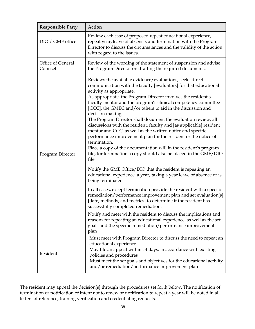| <b>Responsible Party</b>     | Action                                                                                                                                                                                                                                                                                                                                                                                                                                                                                                                                                                                                                                                                                                                                                                                                                  |
|------------------------------|-------------------------------------------------------------------------------------------------------------------------------------------------------------------------------------------------------------------------------------------------------------------------------------------------------------------------------------------------------------------------------------------------------------------------------------------------------------------------------------------------------------------------------------------------------------------------------------------------------------------------------------------------------------------------------------------------------------------------------------------------------------------------------------------------------------------------|
| DIO / GME office             | Review each case of proposed repeat educational experience,<br>repeat year, leave of absence, and termination with the Program<br>Director to discuss the circumstances and the validity of the action<br>with regard to the issues.                                                                                                                                                                                                                                                                                                                                                                                                                                                                                                                                                                                    |
| Office of General<br>Counsel | Review of the wording of the statement of suspension and advise<br>the Program Director on drafting the required documents.                                                                                                                                                                                                                                                                                                                                                                                                                                                                                                                                                                                                                                                                                             |
| Program Director             | Reviews the available evidence/evaluations, seeks direct<br>communication with the faculty [evaluators] for that educational<br>activity as appropriate.<br>As appropriate, the Program Director involves the resident's<br>faculty mentor and the program's clinical competency committee<br>[CCC], the GMEC and/or others to aid in the discussion and<br>decision making.<br>The Program Director shall document the evaluation review, all<br>discussions with the resident, faculty and [as applicable] resident<br>mentor and CCC, as well as the written notice and specific<br>performance improvement plan for the resident or the notice of<br>termination.<br>Place a copy of the documentation will in the resident's program<br>file; for termination a copy should also be placed in the GME/DIO<br>file. |
|                              | Notify the GME Office/DIO that the resident is repeating an<br>educational experience, a year, taking a year leave of absence or is<br>being terminated                                                                                                                                                                                                                                                                                                                                                                                                                                                                                                                                                                                                                                                                 |
|                              | In all cases, except termination provide the resident with a specific<br>remediation/performance improvement plan and set evaluation[s]<br>[date, methods, and metrics] to determine if the resident has<br>successfully completed remediation.                                                                                                                                                                                                                                                                                                                                                                                                                                                                                                                                                                         |
|                              | Notify and meet with the resident to discuss the implications and<br>reasons for repeating an educational experience, as well as the set<br>goals and the specific remediation/performance improvement<br>plan                                                                                                                                                                                                                                                                                                                                                                                                                                                                                                                                                                                                          |
| Resident                     | Must meet with Program Director to discuss the need to repeat an<br>educational experience<br>May file an appeal within 14 days, in accordance with existing<br>policies and procedures<br>Must meet the set goals and objectives for the educational activity<br>and/or remediation/performance improvement plan                                                                                                                                                                                                                                                                                                                                                                                                                                                                                                       |

The resident may appeal the decision[s] through the procedures set forth below. The notification of termination or notification of intent not to renew or notification to repeat a year will be noted in all letters of reference, training verification and credentialing requests.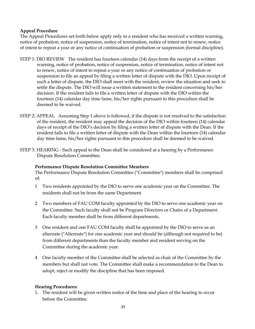### **Appeal Procedure**

The Appeal Procedures set forth below apply only to a resident who has received a written warning, notice of probation, notice of suspension, notice of termination, notice of intent not to renew, notice of intent to repeat a year or any notice of continuation of probation or suspension (formal discipline).

- STEP 1: DIO REVIEW The resident has fourteen calendar (14) days from the receipt of a written warning, notice of probation, notice of suspension, notice of termination, notice of intent not to renew, notice of intent to repeat a year or any notice of continuation of probation or suspension to file an appeal by filing a written letter of dispute with the DIO. Upon receipt of such a letter of dispute, the DIO shall meet with the resident, review the situation and seek to settle the dispute. The DIO will issue a written statement to the resident concerning his/her decision. If the resident fails to file a written letter of dispute with the DIO within the fourteen (14) calendar day time fame, his/her rights pursuant to this procedure shall be deemed to be waived.
- STEP 2: APPEAL Assuming Step 1 above is followed, if the dispute is not resolved to the satisfaction of the resident, the resident may appeal the decision of the DIO within fourteen (14) calendar days of receipt of the DIO's decision by filing a written letter of dispute with the Dean. If the resident fails to file a written letter of dispute with the Dean within the fourteen (14) calendar day time fame, his/her rights pursuant to this procedure shall be deemed to be waived.
- STEP 3: HEARING Such appeal to the Dean shall be considered at a hearing by a Performance Dispute Resolution Committee.

#### **Performance Dispute Resolution Committee Members**

The Performance Dispute Resolution Committee ("Committee") members shall be comprised of:

- 1 Two residents appointed by the DIO to serve one academic year on the Committee. The residents shall not be from the same Department.
- 2 Two members of FAU COM faculty appointed by the DIO to serve one academic year on the Committee. Such faculty shall not be Program Directors or Chairs of a Department. Each faculty member shall be from different departments.
- 3 One resident and one FAU COM faculty shall be appointed by the DIO to serve as an alternate ("Alternate") for one academic year and should be (although not required to be) from different departments than the faculty member and resident serving on the Committee during the academic year.
- 4 One faculty member of the Committee shall be selected as chair of the Committee by the members but shall not vote. The Committee shall make a recommendation to the Dean to adopt, reject or modify the discipline that has been imposed.

#### **Hearing Procedures:**

1. The resident will be given written notice of the time and place of the hearing to occur before the Committee.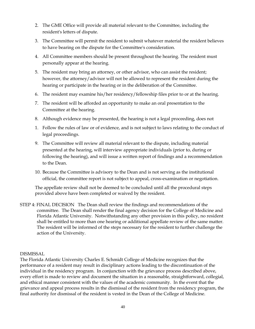- 2. The GME Office will provide all material relevant to the Committee, including the resident's letters of dispute.
- 3. The Committee will permit the resident to submit whatever material the resident believes to have bearing on the dispute for the Committee's consideration.
- 4. All Committee members should be present throughout the hearing. The resident must personally appear at the hearing.
- 5. The resident may bring an attorney, or other advisor, who can assist the resident; however, the attorney/advisor will not be allowed to represent the resident during the hearing or participate in the hearing or in the deliberation of the Committee.
- 6. The resident may examine his/her residency/fellowship files prior to or at the hearing.
- 7. The resident will be afforded an opportunity to make an oral presentation to the Committee at the hearing.
- 8. Although evidence may be presented, the hearing is not a legal proceeding, does not
- 1. Follow the rules of law or of evidence, and is not subject to laws relating to the conduct of legal proceedings.
- 9. The Committee will review all material relevant to the dispute, including material presented at the hearing, will interview appropriate individuals (prior to, during or following the hearing), and will issue a written report of findings and a recommendation to the Dean.
- 10. Because the Committee is advisory to the Dean and is not serving as the institutional official, the committee report is not subject to appeal, cross-examination or negotiation.

The appellate review shall not be deemed to be concluded until all the procedural steps provided above have been completed or waived by the resident.

STEP 4: FINAL DECISION The Dean shall review the findings and recommendations of the committee. The Dean shall render the final agency decision for the College of Medicine and Florida Atlantic University. Notwithstanding any other provision in this policy, no resident shall be entitled to more than one hearing or additional appellate review of the same matter. The resident will be informed of the steps necessary for the resident to further challenge the action of the University.

#### DISMISSAL

The Florida Atlantic University Charles E. Schmidt College of Medicine recognizes that the performance of a resident may result in disciplinary actions leading to the discontinuation of the individual in the residency program. In conjunction with the grievance process described above, every effort is made to review and document the situation in a reasonable, straightforward, collegial, and ethical manner consistent with the values of the academic community. In the event that the grievance and appeal process results in the dismissal of the resident from the residency program, the final authority for dismissal of the resident is vested in the Dean of the College of Medicine.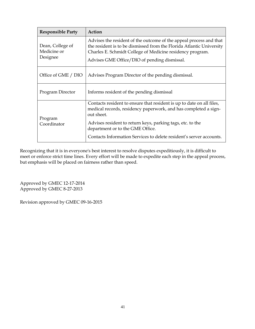| <b>Responsible Party</b>                    | Action                                                                                                                                                                                                                                                  |
|---------------------------------------------|---------------------------------------------------------------------------------------------------------------------------------------------------------------------------------------------------------------------------------------------------------|
| Dean, College of<br>Medicine or<br>Designee | Advises the resident of the outcome of the appeal process and that<br>the resident is to be dismissed from the Florida Atlantic University<br>Charles E. Schmidt College of Medicine residency program.<br>Advises GME Office/DIO of pending dismissal. |
| Office of GME / DIO                         | Advises Program Director of the pending dismissal.                                                                                                                                                                                                      |
| Program Director                            | Informs resident of the pending dismissal                                                                                                                                                                                                               |
| Program<br>Coordinator                      | Contacts resident to ensure that resident is up to date on all files,<br>medical records, residency paperwork, and has completed a sign-<br>out sheet.                                                                                                  |
|                                             | Advises resident to return keys, parking tags, etc. to the<br>department or to the GME Office.                                                                                                                                                          |
|                                             | Contacts Information Services to delete resident's server accounts.                                                                                                                                                                                     |

Recognizing that it is in everyone's best interest to resolve disputes expeditiously, it is difficult to meet or enforce strict time lines. Every effort will be made to expedite each step in the appeal process, but emphasis will be placed on fairness rather than speed.

Approved by GMEC 12-17-2014 Approved by GMEC 8-27-2013

Revision approved by GMEC 09-16-2015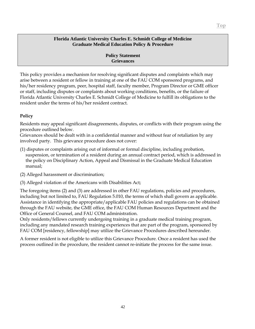This policy provides a mechanism for resolving significant disputes and complaints which may arise between a resident or fellow in training at one of the FAU COM sponsored programs, and his/her residency program, peer, hospital staff, faculty member, Program Director or GME officer or staff, including disputes or complaints about working conditions, benefits, or the failure of Florida Atlantic University Charles E. Schmidt College of Medicine to fulfill its obligations to the resident under the terms of his/her resident contract.

# **Policy**

Residents may appeal significant disagreements, disputes, or conflicts with their program using the procedure outlined below.

Grievances should be dealt with in a confidential manner and without fear of retaliation by any involved party. This grievance procedure does not cover:

- (1) disputes or complaints arising out of informal or formal discipline, including probation, suspension, or termination of a resident during an annual contract period, which is addressed in the policy on Disciplinary Action, Appeal and Dismissal in the Graduate Medical Education manual;
- (2) Alleged harassment or discrimination;
- (3) Alleged violation of the Americans with Disabilities Act;

The foregoing items (2) and (3) are addressed in other FAU regulations, policies and procedures, including but not limited to, FAU Regulation 5.010, the terms of which shall govern as applicable. Assistance in identifying the appropriate/applicable FAU policies and regulations can be obtained through the FAU website, the GME office, the FAU COM Human Resources Department and the Office of General Counsel, and FAU COM administration.

Only residents/fellows currently undergoing training in a graduate medical training program, including any mandated research training experiences that are part of the program, sponsored by FAU COM [residency, fellowship] may utilize the Grievance Procedures described hereunder.

A former resident is not eligible to utilize this Grievance Procedure. Once a resident has used the process outlined in the procedure, the resident cannot re-initiate the process for the same issue.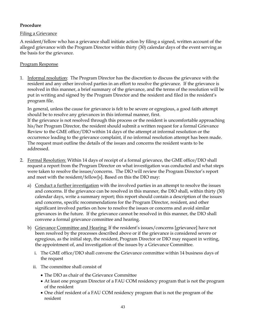## **Procedure**

## Filing a Grievance

A resident/fellow who has a grievance shall initiate action by filing a signed, written account of the alleged grievance with the Program Director within thirty (30) calendar days of the event serving as the basis for the grievance.

## Program Response

1. Informal resolution: The Program Director has the discretion to discuss the grievance with the resident and any other involved parties in an effort to resolve the grievance. If the grievance is resolved in this manner, a brief summary of the grievance, and the terms of the resolution will be put in writing and signed by the Program Director and the resident and filed in the resident's program file.

In general, unless the cause for grievance is felt to be severe or egregious, a good faith attempt should be to resolve any grievances in this informal manner, first. If the grievance is not resolved through this process or the resident is uncomfortable approaching his/her Program Director, the resident should submit a written request for a formal Grievance Review to the GME office/DIO within 14 days of the attempt at informal resolution or the occurrence leading to the grievance complaint, if no informal resolution attempt has been made. The request must outline the details of the issues and concerns the resident wants to be addressed.

- 2. Formal Resolution: Within 14 days of receipt of a formal grievance, the GME office/DIO shall request a report from the Program Director on what investigation was conducted and what steps were taken to resolve the issues/concerns. The DIO will review the Program Director's report and meet with the resident/fellow[s]. Based on this the DIO may:
	- a) Conduct a further investigation with the involved parties in an attempt to resolve the issues and concerns. If the grievance can be resolved in this manner, the DIO shall, within thirty (30) calendar days, write a summary report; this report should contain a description of the issues and concerns, specific recommendations for the Program Director, resident, and other significant involved parties on how to resolve the issues or concerns and avoid similar grievances in the future. If the grievance cannot be resolved in this manner, the DIO shall convene a formal grievance committee and hearing.
	- b) Grievance Committee and Hearing: If the resident's issues/concerns [grievance] have not been resolved by the processes described above or if the grievance is considered severe or egregious, as the initial step, the resident, Program Director or DIO may request in writing, the appointment of, and investigation of the issues by a Grievance Committee.
		- i. The GME office/DIO shall convene the Grievance committee within 14 business days of the request
		- ii. The committee shall consist of
			- The DIO as chair of the Grievance Committee
			- At least one program Director of a FAU COM residency program that is not the program of the resident
			- One chief resident of a FAU COM residency program that is not the program of the resident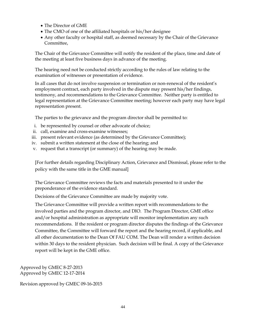- The Director of GME
- The CMO of one of the affiliated hospitals or his/her designee
- Any other faculty or hospital staff, as deemed necessary by the Chair of the Grievance Committee,

The Chair of the Grievance Committee will notify the resident of the place, time and date of the meeting at least five business days in advance of the meeting.

The hearing need not be conducted strictly according to the rules of law relating to the examination of witnesses or presentation of evidence.

In all cases that do not involve suspension or termination or non-renewal of the resident's employment contract, each party involved in the dispute may present his/her findings, testimony, and recommendations to the Grievance Committee. Neither party is entitled to legal representation at the Grievance Committee meeting; however each party may have legal representation present.

The parties to the grievance and the program director shall be permitted to:

- i. be represented by counsel or other advocate of choice;
- ii. call, examine and cross-examine witnesses;
- iii. present relevant evidence (as determined by the Grievance Committee);
- iv. submit a written statement at the close of the hearing; and
- v. request that a transcript (or summary) of the hearing may be made.

[For further details regarding Disciplinary Action, Grievance and Dismissal, please refer to the policy with the same title in the GME manual]

The Grievance Committee reviews the facts and materials presented to it under the preponderance of the evidence standard.

Decisions of the Grievance Committee are made by majority vote.

The Grievance Committee will provide a written report with recommendations to the involved parties and the program director, and DIO. The Program Director, GME office and/or hospital administration as appropriate will monitor implementation any such recommendations. If the resident or program director disputes the findings of the Grievance Committee, the Committee will forward the report and the hearing record, if applicable, and all other documentation to the Dean Of FAU COM. The Dean will render a written decision within 30 days to the resident physician. Such decision will be final. A copy of the Grievance report will be kept in the GME office.

Approved by GMEC 8-27-2013 Approved by GMEC 12-17-2014

Revision approved by GMEC 09-16-2015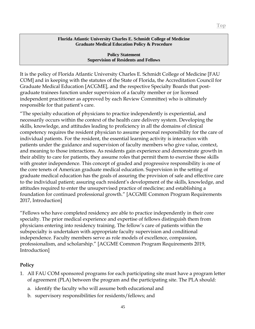**Policy Statement Supervision of Residents and Fellows**

It is the policy of Florida Atlantic University Charles E. Schmidt College of Medicine [FAU COM] and in keeping with the statutes of the State of Florida, the Accreditation Council for Graduate Medical Education [ACGME], and the respective Specialty Boards that postgraduate trainees function under supervision of a faculty member or (or licensed independent practitioner as approved by each Review Committee) who is ultimately responsible for that patient's care.

"The specialty education of physicians to practice independently is experiential, and necessarily occurs within the context of the health care delivery system. Developing the skills, knowledge, and attitudes leading to proficiency in all the domains of clinical competency requires the resident physician to assume personal responsibility for the care of individual patients. For the resident, the essential learning activity is interaction with patients under the guidance and supervision of faculty members who give value, context, and meaning to those interactions. As residents gain experience and demonstrate growth in their ability to care for patients, they assume roles that permit them to exercise those skills with greater independence. This concept of graded and progressive responsibility is one of the core tenets of American graduate medical education. Supervision in the setting of graduate medical education has the goals of assuring the provision of safe and effective care to the individual patient; assuring each resident's development of the skills, knowledge, and attitudes required to enter the unsupervised practice of medicine; and establishing a foundation for continued professional growth." [ACGME Common Program Requirements 2017, Introduction]

"Fellows who have completed residency are able to practice independently in their core specialty. The prior medical experience and expertise of fellows distinguish them from physicians entering into residency training. The fellow's care of patients within the subspecialty is undertaken with appropriate faculty supervision and conditional independence. Faculty members serve as role models of excellence, compassion, professionalism, and scholarship." [ACGME Common Program Requirements 2019, Introduction]

## **Policy**

- 1. All FAU COM sponsored programs for each participating site must have a program letter of agreement (PLA) between the program and the participating site. The PLA should:
	- a. identify the faculty who will assume both educational and
	- b. supervisory responsibilities for residents/fellows; and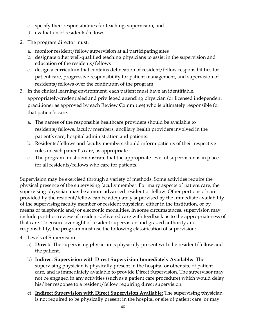- c. specify their responsibilities for teaching, supervision, and
- d. evaluation of residents/fellows
- 2. The program director must:
	- a. monitor resident/fellow supervision at all participating sites
	- b. designate other well-qualified teaching physicians to assist in the supervision and education of the residents/fellows
	- c. design a curriculum that contains delineation of resident/fellow responsibilities for patient care, progressive responsibility for patient management, and supervision of residents/fellows over the continuum of the program
- 3. In the clinical learning environment, each patient must have an identifiable, appropriately-credentialed and privileged attending physician (or licensed independent practitioner as approved by each Review Committee) who is ultimately responsible for that patient's care.
	- a. The names of the responsible healthcare providers should be available to residents/fellows, faculty members, ancillary health providers involved in the patient's care, hospital administration and patients.
	- b. Residents/fellows and faculty members should inform patients of their respective roles in each patient's care, as appropriate.
	- c. The program must demonstrate that the appropriate level of supervision is in place for all residents/fellows who care for patients.

Supervision may be exercised through a variety of methods. Some activities require the physical presence of the supervising faculty member. For many aspects of patient care, the supervising physician may be a more advanced resident or fellow. Other portions of care provided by the resident/fellow can be adequately supervised by the immediate availability of the supervising faculty member or resident physician, either in the institution, or by means of telephonic and/or electronic modalities. In some circumstances, supervision may include post-hoc review of resident-delivered care with feedback as to the appropriateness of that care. To ensure oversight of resident supervision and graded authority and responsibility, the program must use the following classification of supervision:

- 4. Levels of Supervision
	- a) **Direct:** The supervising physician is physically present with the resident/fellow and the patient.
	- b) **Indirect Supervision with Direct Supervision Immediately Available:** The supervising physician is physically present in the hospital or other site of patient care, and is immediately available to provide Direct Supervision. The supervisor may not be engaged in any activities (such as a patient care procedure) which would delay his/her response to a resident/fellow requiring direct supervision.
	- c) **Indirect Supervision with Direct Supervision Available:** The supervising physician is not required to be physically present in the hospital or site of patient care, or may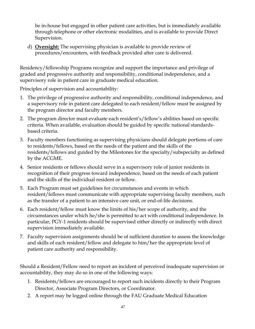be in-house but engaged in other patient care activities, but is immediately available through telephone or other electronic modalities, and is available to provide Direct Supervision.

d) **Oversight:** The supervising physician is available to provide review of procedures/encounters, with feedback provided after care is delivered.

Residency/fellowship Programs recognize and support the importance and privilege of graded and progressive authority and responsibility, conditional independence, and a supervisory role in patient care in graduate medical education.

Principles of supervision and accountability:

- 1. The privilege of progressive authority and responsibility, conditional independence, and a supervisory role in patient care delegated to each resident/fellow must be assigned by the program director and faculty members.
- 2. The program director must evaluate each resident's/fellow's abilities based on specific criteria. When available, evaluation should be guided by specific national standardsbased criteria.
- 3. Faculty members functioning as supervising physicians should delegate portions of care to residents/fellows, based on the needs of the patient and the skills of the residents/fellows and guided by the Milestones for the specialty/subspecialty as defined by the ACGME.
- 4. Senior residents or fellows should serve in a supervisory role of junior residents in recognition of their progress toward independence, based on the needs of each patient and the skills of the individual resident or fellow.
- 5. Each Program must set guidelines for circumstances and events in which resident/fellows must communicate with appropriate supervising faculty members, such as the transfer of a patient to an intensive care unit, or end-of-life decisions.
- 6. Each resident/fellow must know the limits of his/her scope of authority, and the circumstances under which he/she is permitted to act with conditional independence. In particular, PGY-1 residents should be supervised either directly or indirectly with direct supervision immediately available.
- 7. Faculty supervision assignments should be of sufficient duration to assess the knowledge and skills of each resident/fellow and delegate to him/her the appropriate level of patient care authority and responsibility.

Should a Resident/Fellow need to report an incident of perceived inadequate supervision or accountability, they may do so in one of the following ways:

- 1. Residents/fellows are encouraged to report such incidents directly to their Program Director, Associate Program Directors, or Coordinator.
- 2. A report may be logged online through the FAU Graduate Medical Education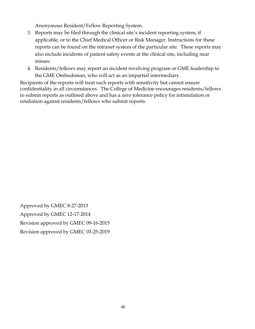Anonymous Resident/Fellow Reporting System.

- 3. Reports may be filed through the clinical site's incident reporting system, if applicable, or to the Chief Medical Officer or Risk Manager. Instructions for these reports can be found on the intranet system of the particular site. These reports may also include incidents of patient safety events at the clinical site, including near misses.
- 4. Residents/fellows may report an incident involving program or GME leadership to the GME Ombudsman, who will act as an impartial intermediary.

Recipients of the reports will treat such reports with sensitivity but cannot ensure confidentiality in all circumstances. The College of Medicine encourages residents/fellows to submit reports as outlined above and has a zero tolerance policy for intimidation or retaliation against residents/fellows who submit reports.

Approved by GMEC 8-27-2013 Approved by GMEC 12-17-2014 Revision approved by GMEC 09-16-2015 Revision approved by GMEC 03-25-2019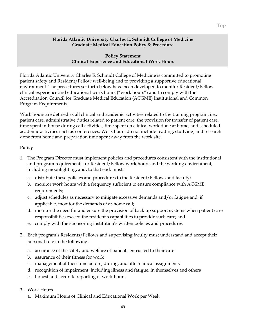**Policy Statement Clinical Experience and Educational Work Hours**

Florida Atlantic University Charles E. Schmidt College of Medicine is committed to promoting patient safety and Resident/Fellow well-being and to providing a supportive educational environment. The procedures set forth below have been developed to monitor Resident/Fellow clinical experience and educational work hours ("work hours") and to comply with the Accreditation Council for Graduate Medical Education (ACGME) Institutional and Common Program Requirements.

Work hours are defined as all clinical and academic activities related to the training program, i.e., patient care, administrative duties related to patient care, the provision for transfer of patient care, time spent in-house during call activities, time spent on clinical work done at home, and scheduled academic activities such as conferences. Work hours do not include reading, studying, and research done from home and preparation time spent away from the work site.

### **Policy**

- 1. The Program Director must implement policies and procedures consistent with the institutional and program requirements for Resident/Fellow work hours and the working environment, including moonlighting, and, to that end, must:
	- a. distribute these policies and procedures to the Resident/Fellows and faculty;
	- b. monitor work hours with a frequency sufficient to ensure compliance with ACGME requirements;
	- c. adjust schedules as necessary to mitigate excessive demands and/or fatigue and, if applicable, monitor the demands of at-home call;
	- d. monitor the need for and ensure the provision of back up support systems when patient care responsibilities exceed the resident's capabilities to provide such care; and
	- e. comply with the sponsoring institution's written policies and procedures
- 2. Each program's Residents/Fellows and supervising faculty must understand and accept their personal role in the following:
	- a. assurance of the safety and welfare of patients entrusted to their care
	- b. assurance of their fitness for work
	- c. management of their time before, during, and after clinical assignments
	- d. recognition of impairment, including illness and fatigue, in themselves and others
	- e. honest and accurate reporting of work hours
- 3. Work Hours
	- a. Maximum Hours of Clinical and Educational Work per Week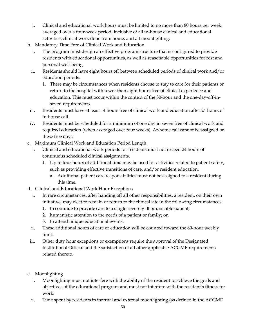- i. Clinical and educational work hours must be limited to no more than 80 hours per week, averaged over a four-week period, inclusive of all in-house clinical and educational activities, clinical work done from home, and all moonlighting.
- b. Mandatory Time Free of Clinical Work and Education
	- i. The program must design an effective program structure that is configured to provide residents with educational opportunities, as well as reasonable opportunities for rest and personal well-being.
	- ii. Residents should have eight hours off between scheduled periods of clinical work and/or education periods.
		- 1. There may be circumstances when residents choose to stay to care for their patients or return to the hospital with fewer than eight hours free of clinical experience and education. This must occur within the context of the 80-hour and the one-day-off-inseven requirements.
- iii. Residents must have at least 14 hours free of clinical work and education after 24 hours of in-house call.
- iv. Residents must be scheduled for a minimum of one day in seven free of clinical work and required education (when averaged over four weeks). At-home call cannot be assigned on these free days.
- c. Maximum Clinical Work and Education Period Length
	- i. Clinical and educational work periods for residents must not exceed 24 hours of continuous scheduled clinical assignments.
		- 1. Up to four hours of additional time may be used for activities related to patient safety, such as providing effective transitions of care, and/or resident education.
			- a. Additional patient care responsibilities must not be assigned to a resident during this time.
- d. Clinical and Educational Work Hour Exceptions
	- i. In rare circumstances, after handing off all other responsibilities, a resident, on their own initiative, may elect to remain or return to the clinical site in the following circumstances:
		- 1. to continue to provide care to a single severely ill or unstable patient;
		- 2. humanistic attention to the needs of a patient or family; or,
		- 3. to attend unique educational events.
	- ii. These additional hours of care or education will be counted toward the 80-hour weekly limit.
- iii. Other duty hour exceptions or exemptions require the approval of the Designated Institutional Official and the satisfaction of all other applicable ACGME requirements related thereto.
- e. Moonlighting
	- i. Moonlighting must not interfere with the ability of the resident to achieve the goals and objectives of the educational program and must not interfere with the resident's fitness for work.
	- ii. Time spent by residents in internal and external moonlighting (as defined in the ACGME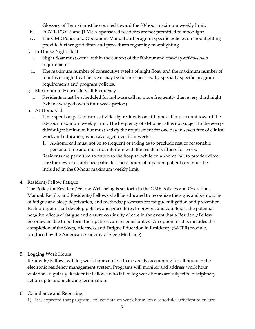Glossary of Terms) must be counted toward the 80-hour maximum weekly limit.

- iii. PGY-1, PGY 2, and J1 VISA-sponsored residents are not permitted to moonlight.
- iv. The GME Policy and Operations Manual and program specific policies on moonlighting provide further guidelines and procedures regarding moonlighting.
- f. In-House Night Float
	- i. Night float must occur within the context of the 80-hour and one-day-off-in-seven requirements.
	- ii. The maximum number of consecutive weeks of night float, and the maximum number of months of night float per year may be further specified by specialty specific program requirements and program policies.
- g. Maximum In-House On-Call Frequency
	- i. Residents must be scheduled for in-house call no more frequently than every third night (when averaged over a four-week period).
- h. At-Home Call
	- i. Time spent on patient care activities by residents on at-home call must count toward the 80-hour maximum weekly limit. The frequency of at-home call is not subject to the everythird-night limitation but must satisfy the requirement for one day in seven free of clinical work and education, when averaged over four weeks.
		- 1. At-home call must not be so frequent or taxing as to preclude rest or reasonable personal time and must not interfere with the resident's fitness for work. Residents are permitted to return to the hospital while on at-home call to provide direct care for new or established patients. These hours of inpatient patient care must be included in the 80-hour maximum weekly limit.
- 4. Resident/Fellow Fatigue

The Policy for Resident/Fellow Well-being is set forth in the GME Policies and Operations Manual. Faculty and Residents/Fellows shall be educated to recognize the signs and symptoms of fatigue and sleep deprivation, and methods/processes for fatigue mitigation and prevention. Each program shall develop policies and procedures to prevent and counteract the potential negative effects of fatigue and ensure continuity of care in the event that a Resident/Fellow becomes unable to perform their patient care responsibilities (An option for this includes the completion of the Sleep, Alertness and Fatigue Education in Residency (SAFER) module, produced by the American Academy of Sleep Medicine).

5. Logging Work Hours

Residents/Fellows will log work hours no less than weekly, accounting for all hours in the electronic residency management system. Programs will monitor and address work hour violations regularly. Residents/Fellows who fail to log work hours are subject to disciplinary action up to and including termination.

# 6. Compliance and Reporting

1) It is expected that programs collect data on work hours on a schedule sufficient to ensure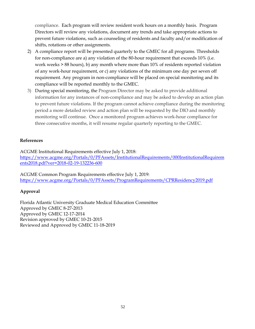compliance. Each program will review resident work hours on a monthly basis. Program Directors will review any violations, document any trends and take appropriate actions to prevent future violations, such as counseling of residents and faculty and/or modification of shifts, rotations or other assignments.

- 2) A compliance report will be presented quarterly to the GMEC for all programs. Thresholds for non-compliance are a) any violation of the 80-hour requirement that exceeds 10% (i.e. work weeks > 88 hours), b) any month where more than 10% of residents reported violation of any work-hour requirement, or c) any violations of the minimum one day per seven off requirement. Any program in non-compliance will be placed on special monitoring and its compliance will be reported monthly to the GMEC.
- 3) During special monitoring, the Program Director may be asked to provide additional information for any instances of non-compliance and may be asked to develop an action plan to prevent future violations. If the program cannot achieve compliance during the monitoring period a more detailed review and action plan will be requested by the DIO and monthly monitoring will continue. Once a monitored program achieves work-hour compliance for three consecutive months, it will resume regular quarterly reporting to the GMEC.

## **References**

ACGME Institutional Requirements effective July 1, 2018: [https://www.acgme.org/Portals/0/PFAssets/InstitutionalRequirements/000InstitutionalRequirem](https://www.acgme.org/Portals/0/PFAssets/InstitutionalRequirements/000InstitutionalRequirements2018.pdf?ver=2018-02-19-132236-600) [ents2018.pdf?ver=2018-02-19-132236-600](https://www.acgme.org/Portals/0/PFAssets/InstitutionalRequirements/000InstitutionalRequirements2018.pdf?ver=2018-02-19-132236-600)

ACGME Common Program Requirements effective July 1, 2019: <https://www.acgme.org/Portals/0/PFAssets/ProgramRequirements/CPRResidency2019.pdf>

# **Approval**

Florida Atlantic University Graduate Medical Education Committee Approved by GMEC 8-27-2013 Approved by GMEC 12-17-2014 Revision approved by GMEC 10-21-2015 Reviewed and Approved by GMEC 11-18-2019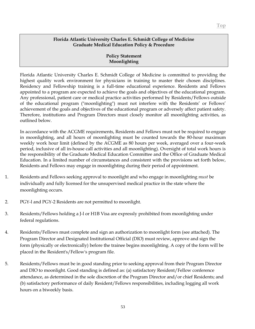#### **Policy Statement Moonlighting**

Florida Atlantic University Charles E. Schmidt College of Medicine is committed to providing the highest quality work environment for physicians in training to master their chosen disciplines. Residency and Fellowship training is a full-time educational experience. Residents and Fellows appointed to a program are expected to achieve the goals and objectives of the educational program. Any professional, patient care or medical practice activities performed by Residents/Fellows outside of the educational program ("moonlighting") must not interfere with the Residents' or Fellows' achievement of the goals and objectives of the educational program or adversely affect patient safety. Therefore, institutions and Program Directors must closely monitor all moonlighting activities, as outlined below.

In accordance with the ACGME requirements, Residents and Fellows must not be required to engage in moonlighting, and all hours of moonlighting must be counted towards the 80-hour maximum weekly work hour limit (defined by the ACGME as 80 hours per week, averaged over a four-week period, inclusive of all in-house call activities and all moonlighting). Oversight of total work hours is the responsibility of the Graduate Medical Education Committee and the Office of Graduate Medical Education. In a limited number of circumstances and consistent with the provisions set forth below, Residents and Fellows may engage in moonlighting during their period of appointment.

- 1. Residents and Fellows seeking approval to moonlight and who engage in moonlighting *must* be individually and fully licensed for the unsupervised medical practice in the state where the moonlighting occurs.
- 2. PGY-l and PGY-2 Residents are not permitted to moonlight.
- 3. Residents/Fellows holding a J-l or H1B Visa are expressly prohibited from moonlighting under federal regulations.
- 4. Residents/Fellows must complete and sign an authorization to moonlight form (see attached). The Program Director and Designated Institutional Official (DIO) must review, approve and sign the form (physically or electronically) before the trainee begins moonlighting. A copy of the form will be placed in the Resident's/Fellow's program file.
- 5. Residents/Fellows must be in good standing prior to seeking approval from their Program Director and DIO to moonlight. Good standing is defined as: (a) satisfactory Resident/Fellow conference attendance, as determined in the sole discretion of the Program Director and/or chief Residents; and (b) satisfactory performance of daily Resident/Fellows responsibilities, including logging all work hours on a biweekly basis.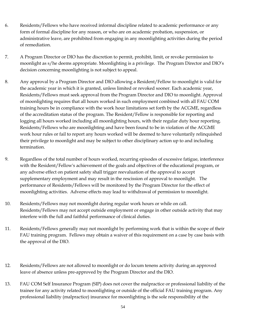- 6. Residents/Fellows who have received informal discipline related to academic performance or any form of formal discipline for any reason, or who are on academic probation, suspension, or administrative leave, are prohibited from engaging in any moonlighting activities during the period of remediation.
- 7. A Program Director or DIO has the discretion to permit, prohibit, limit, or revoke permission to moonlight as s/he deems appropriate. Moonlighting is a privilege. The Program Director and DIO's decision concerning moonlighting is not subject to appeal.
- 8. Any approval by a Program Director and DIO allowing a Resident/Fellow to moonlight is valid for the academic year in which it is granted, unless limited or revoked sooner. Each academic year, Residents/Fellows must seek approval from the Program Director and DIO to moonlight. Approval of moonlighting requires that all hours worked in such employment combined with all FAU COM training hours be in compliance with the work hour limitations set forth by the ACGME, regardless of the accreditation status of the program. The Resident/Fellow is responsible for reporting and logging all hours worked including all moonlighting hours, with their regular duty hour reporting. Residents/Fellows who are moonlighting and have been found to be in violation of the ACGME work hour rules or fail to report any hours worked will be deemed to have voluntarily relinquished their privilege to moonlight and may be subject to other disciplinary action up to and including termination.
- 9. Regardless of the total number of hours worked, recurring episodes of excessive fatigue, interference with the Resident/Fellow's achievement of the goals and objectives of the educational program, or any adverse effect on patient safety shall trigger reevaluation of the approval to accept supplementary employment and may result in the rescission of approval to moonlight. The performance of Residents/Fellows will be monitored by the Program Director for the effect of moonlighting activities. Adverse effects may lead to withdrawal of permission to moonlight.
- 10. Residents/Fellows may not moonlight during regular work hours or while on call. Residents/Fellows may not accept outside employment or engage in other outside activity that may interfere with the full and faithful performance of clinical duties.
- 11. Residents/Fellows generally may not moonlight by performing work that is within the scope of their FAU training program. Fellows may obtain a waiver of this requirement on a case by case basis with the approval of the DIO.
- 12. Residents/Fellows are not allowed to moonlight or do locum tenens activity during an approved leave of absence unless pre-approved by the Program Director and the DIO.
- 13. FAU COM Self Insurance Program (SIP) does not cover the malpractice or professional liability of the trainee for any activity related to moonlighting or outside of the official FAU training program. Any professional liability (malpractice) insurance for moonlighting is the sole responsibility of the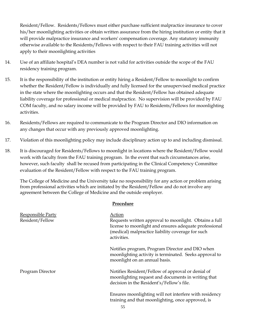Resident/Fellow. Residents/Fellows must either purchase sufficient malpractice insurance to cover his/her moonlighting activities or obtain written assurance from the hiring institution or entity that it will provide malpractice insurance and workers' compensation coverage. Any statutory immunity otherwise available to the Residents/Fellows with respect to their FAU training activities will not apply to their moonlighting activities

- 14. Use of an affiliate hospital's DEA number is not valid for activities outside the scope of the FAU residency training program.
- 15. It is the responsibility of the institution or entity hiring a Resident/Fellow to moonlight to confirm whether the Resident/Fellow is individually and fully licensed for the unsupervised medical practice in the state where the moonlighting occurs and that the Resident/Fellow has obtained adequate liability coverage for professional or medical malpractice. No supervision will be provided by FAU COM faculty, and no salary income will be provided by FAU to Residents/Fellows for moonlighting activities.
- 16. Residents/Fellows are required to communicate to the Program Director and DIO information on any changes that occur with any previously approved moonlighting.
- 17. Violation of this moonlighting policy may include disciplinary action up to and including dismissal.
- 18. It is discouraged for Residents/Fellows to moonlight in locations where the Resident/Fellow would work with faculty from the FAU training program. In the event that such circumstances arise, however, such faculty shall be recused from participating in the Clinical Competency Committee evaluation of the Resident/Fellow with respect to the FAU training program.

The College of Medicine and the University take no responsibility for any action or problem arising from professional activities which are initiated by the Resident/Fellow and do not involve any agreement between the College of Medicine and the outside employer.

| Responsible Party<br>Resident/Fellow | Action<br>Requests written approval to moonlight. Obtains a full<br>license to moonlight and ensures adequate professional<br>(medical) malpractice liability coverage for such<br>activities. |
|--------------------------------------|------------------------------------------------------------------------------------------------------------------------------------------------------------------------------------------------|
|                                      | Notifies program, Program Director and DIO when<br>moonlighting activity is terminated. Seeks approval to<br>moonlight on an annual basis.                                                     |
| Program Director                     | Notifies Resident/Fellow of approval or denial of<br>moonlighting request and documents in writing that<br>decision in the Resident's/Fellow's file.                                           |
|                                      | Ensures moonlighting will not interfere with residency<br>training and that moonlighting, once approved, is<br>55                                                                              |

#### **Procedure**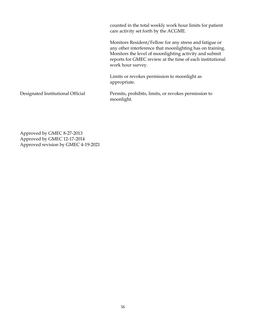counted in the total weekly work hour limits for patient care activity set forth by the ACGME. Monitors Resident/Fellow for any stress and fatigue or any other interference that moonlighting has on training. Monitors the level of moonlighting activity and submit reports for GMEC review at the time of each institutional work hour survey. Limits or revokes permission to moonlight as appropriate. Designated Institutional Official Permits, prohibits, limits, or revokes permission to moonlight.

Approved by GMEC 8-27-2013 Approved by GMEC 12-17-2014 Approved revision by GMEC 4-19-2021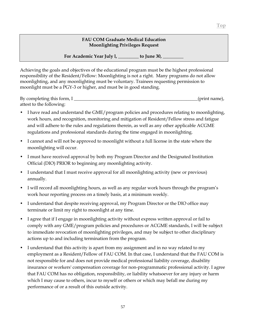#### **FAU COM Graduate Medical Education Moonlighting Privileges Request**

For Academic Year July l, to June 30,

Achieving the goals and objectives of the educational program must be the highest professional responsibility of the Resident/Fellow: Moonlighting is not a right. Many programs do not allow moonlighting, and any moonlighting must be voluntary. Trainees requesting permission to moonlight must be a PGY-3 or higher, and must be in good standing.

By completing this form, I \_\_\_\_\_\_\_\_\_\_\_\_\_\_\_\_\_\_\_\_\_\_\_\_\_\_\_\_\_\_\_\_\_\_\_\_\_\_\_\_\_\_\_\_\_\_\_\_\_\_\_\_\_\_(print name), attest to the following:

- I have read and understand the GME/program policies and procedures relating to moonlighting, work hours, and recognition, monitoring and mitigation of Resident/Fellow stress and fatigue and will adhere to the rules and regulations therein, as well as any other applicable ACGME regulations and professional standards during the time engaged in moonlighting.
- I cannot and will not be approved to moonlight without a full license in the state where the moonlighting will occur.
- I must have received approval by both my Program Director and the Designated Institution Official (DIO) PRIOR to beginning any moonlighting activity.
- I understand that I must receive approval for all moonlighting activity (new or previous) annually.
- I will record all moonlighting hours, as well as any regular work hours through the program's work hour reporting process on a timely basis, at a minimum weekly.
- I understand that despite receiving approval, my Program Director or the DIO office may terminate or limit my right to moonlight at any time.
- I agree that if I engage in moonlighting activity without express written approval or fail to comply with any GME/program policies and procedures or ACGME standards, I will be subject to immediate revocation of moonlighting privileges, and may be subject to other disciplinary actions up to and including termination from the program.
- I understand that this activity is apart from my assignment and in no way related to my employment as a Resident/Fellow of FAU COM. In that case, I understand that the FAU COM is not responsible for and does not provide medical professional liability coverage, disability insurance or workers' compensation coverage for non-programmatic professional activity. I agree that FAU COM has no obligation, responsibility, or liability whatsoever for any injury or harm which I may cause to others, incur to myself or others or which may befall me during my performance of or a result of this outside activity.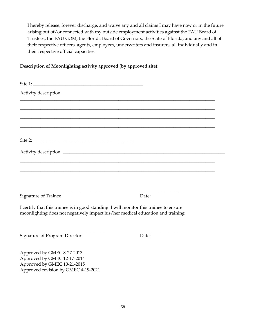I hereby release, forever discharge, and waive any and all claims I may have now or in the future arising out of/or connected with my outside employment activities against the FAU Board of Trustees, the FAU COM, the Florida Board of Governors, the State of Florida, and any and all of their respective officers, agents, employees, underwriters and insurers, all individually and in their respective official capacities.

## **Description of Moonlighting activity approved (by approved site):**

| Site 1:                                                                                                                                                                   |       |
|---------------------------------------------------------------------------------------------------------------------------------------------------------------------------|-------|
| Activity description:                                                                                                                                                     |       |
|                                                                                                                                                                           |       |
|                                                                                                                                                                           |       |
|                                                                                                                                                                           |       |
|                                                                                                                                                                           |       |
|                                                                                                                                                                           |       |
|                                                                                                                                                                           |       |
|                                                                                                                                                                           |       |
|                                                                                                                                                                           |       |
| Signature of Trainee                                                                                                                                                      | Date: |
| I certify that this trainee is in good standing. I will monitor this trainee to ensure<br>moonlighting does not negatively impact his/her medical education and training. |       |
| Signature of Program Director                                                                                                                                             | Date: |
| Approved by GMEC 8-27-2013                                                                                                                                                |       |
| Approved by GMEC 12-17-2014                                                                                                                                               |       |
| Approved by GMEC 10-21-2015                                                                                                                                               |       |

Approved revision by GMEC 4-19-2021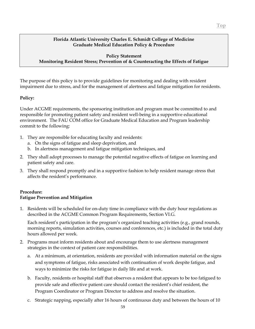#### **Policy Statement Monitoring Resident Stress; Prevention of & Counteracting the Effects of Fatigue**

The purpose of this policy is to provide guidelines for monitoring and dealing with resident impairment due to stress, and for the management of alertness and fatigue mitigation for residents.

### **Policy:**

Under ACGME requirements, the sponsoring institution and program must be committed to and responsible for promoting patient safety and resident well-being in a supportive educational environment. The FAU COM office for Graduate Medical Education and Program leadership commit to the following:

- 1. They are responsible for educating faculty and residents:
	- a. On the signs of fatigue and sleep deprivation, and
	- b. In alertness management and fatigue mitigation techniques, and
- 2. They shall adopt processes to manage the potential negative effects of fatigue on learning and patient safety and care.
- 3. They shall respond promptly and in a supportive fashion to help resident manage stress that affects the resident's performance.

### **Procedure: Fatigue Prevention and Mitigation**

1. Residents will be scheduled for on-duty time in compliance with the duty hour regulations as described in the ACGME Common Program Requirements, Section VI.G.

Each resident's participation in the program's organized teaching activities (e.g., grand rounds, morning reports, simulation activities, courses and conferences, etc.) is included in the total duty hours allowed per week.

- 2. Programs must inform residents about and encourage them to use alertness management strategies in the context of patient care responsibilities.
	- a. At a minimum, at orientation, residents are provided with information material on the signs and symptoms of fatigue, risks associated with continuation of work despite fatigue, and ways to minimize the risks for fatigue in daily life and at work.
	- b. Faculty, residents or hospital staff that observes a resident that appears to be too fatigued to provide safe and effective patient care should contact the resident's chief resident, the Program Coordinator or Program Director to address and resolve the situation.
	- c. Strategic napping, especially after 16 hours of continuous duty and between the hours of 10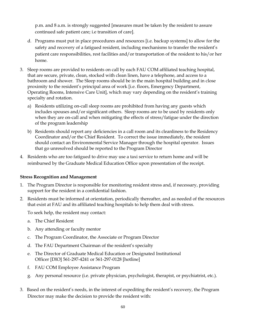p.m. and 8 a.m. is strongly suggested [measures must be taken by the resident to assure continued safe patient care; i.e transition of care].

- d. Programs must put in place procedures and resources [i.e. backup systems] to allow for the safety and recovery of a fatigued resident, including mechanisms to transfer the resident's patient care responsibilities, rest facilities and/or transportation of the resident to his/or her home.
- 3. Sleep rooms are provided to residents on call by each FAU COM affiliated teaching hospital, that are secure, private, clean, stocked with clean linen, have a telephone, and access to a bathroom and shower. The Sleep rooms should be in the main hospital building and in close proximity to the resident's principal area of work [i.e. floors, Emergency Department, Operating Rooms, Intensive Care Unit], which may vary depending on the resident's training specialty and rotation.
	- a) Residents utilizing on-call sleep rooms are prohibited from having any guests which includes spouses and/or significant others. Sleep rooms are to be used by residents only when they are on-call and when mitigating the effects of stress/fatigue under the direction of the program leadership
	- b) Residents should report any deficiencies in a call room and its cleanliness to the Residency Coordinator and/or the Chief Resident. To correct the issue immediately, the resident should contact an Environmental Service Manager through the hospital operator. Issues that go unresolved should be reported to the Program Director
- 4. Residents who are too fatigued to drive may use a taxi service to return home and will be reimbursed by the Graduate Medical Education Office upon presentation of the receipt.

## **Stress Recognition and Management**

- 1. The Program Director is responsible for monitoring resident stress and, if necessary, providing support for the resident in a confidential fashion.
- 2. Residents must be informed at orientation, periodically thereafter, and as needed of the resources that exist at FAU and its affiliated teaching hospitals to help them deal with stress.

To seek help, the resident may contact:

- a. The Chief Resident
- b. Any attending or faculty mentor
- c. The Program Coordinator, the Associate or Program Director
- d. The FAU Department Chairman of the resident's specialty
- e. The Director of Graduate Medical Education or Designated Institutional Officer [DIO] 561-297-4241 or 561-297-0128 [hotline]
- f. FAU COM Employee Assistance Program
- g. Any personal resource (i.e. private physician, psychologist, therapist, or psychiatrist, etc.).
- 3. Based on the resident's needs, in the interest of expediting the resident's recovery, the Program Director may make the decision to provide the resident with: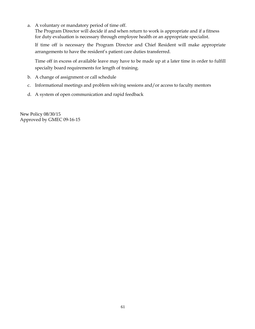a. A voluntary or mandatory period of time off.

The Program Director will decide if and when return to work is appropriate and if a fitness for duty evaluation is necessary through employee health or an appropriate specialist.

If time off is necessary the Program Director and Chief Resident will make appropriate arrangements to have the resident's patient care duties transferred.

Time off in excess of available leave may have to be made up at a later time in order to fulfill specialty board requirements for length of training.

- b. A change of assignment or call schedule
- c. Informational meetings and problem solving sessions and/or access to faculty mentors
- d. A system of open communication and rapid feedback

New Policy 08/30/15 Approved by GMEC 09-16-15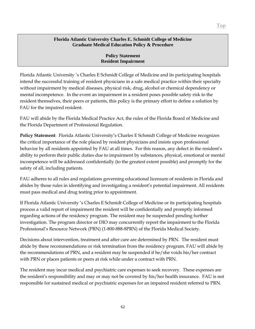#### **Policy Statement Resident Impairment**

Florida Atlantic University 's Charles E Schmidt College of Medicine and its participating hospitals intend the successful training of resident physicians in a safe medical practice within their specialty without impairment by medical diseases, physical risk, drug, alcohol or chemical dependency or mental incompetence. In the event an impairment in a resident poses possible safety risk to the resident themselves, their peers or patients, this policy is the primary effort to define a solution by FAU for the impaired resident.

FAU will abide by the Florida Medical Practice Act, the rules of the Florida Board of Medicine and the Florida Department of Professional Regulation.

**Policy Statement**: Florida Atlantic University's Charles E Schmidt College of Medicine recognizes the critical importance of the role placed by resident physicians and insists upon professional behavior by all residents appointed by FAU at all times. For this reason, any defect in the resident's ability to perform their public duties due to impairment by substances, physical, emotional or mental incompetence will be addressed confidentially (to the greatest extent possible) and promptly for the safety of all, including patients.

FAU adheres to all rules and regulations governing educational licensure of residents in Florida and abides by those rules in identifying and investigating a resident's potential impairment. All residents must pass medical and drug testing prior to appointment.

If Florida Atlantic University 's Charles E Schmidt College of Medicine or its participating hospitals process a valid report of impairment the resident will be confidentially and promptly informed regarding actions of the residency program. The resident may be suspended pending further investigation. The program director or DIO may concurrently report the impairment to the Florida Professional's Resource Network (PRN) (1-800-888-8PRN) of the Florida Medical Society.

Decisions about intervention, treatment and after care are determined by PRN. The resident must abide by these recommendations or risk termination from the residency program. FAU will abide by the recommendations of PRN, and a resident may be suspended if he/she voids his/her contract with PRN or places patients or peers at risk while under a contract with PRN.

The resident may incur medical and psychiatric care expenses to seek recovery. These expenses are the resident's responsibility and may or may not be covered by his/her health insurance. FAU is not responsible for sustained medical or psychiatric expenses for an impaired resident referred to PRN.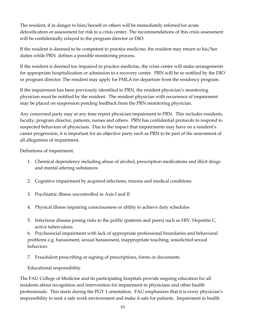The resident, if in danger to him/herself or others will be immediately referred for acute detoxification or assessment for risk to a crisis center. The recommendations of this crisis assessment will be confidentially relayed to the program director or DIO.

If the resident is deemed to be competent to practice medicine, the resident may return to his/her duties while PRN defines a possible monitoring process.

If the resident is deemed too impaired to practice medicine, the crisis center will make arrangements for appropriate hospitalization or admission to a recovery center. PRN will be so notified by the DIO or program director. The resident may apply for FMLA for departure from the residency program.

If the impairment has been previously identified to PRN, the resident physician's monitoring physician must be notified by the resident. The resident physician with recurrence of impairment may be placed on suspension pending feedback from the PRN monitoring physician.

Any concerned party may at any time report physician impairment to PRN. This includes residents, faculty, program director, patients, nurses and others. PRN has confidential protocols to respond to suspected behaviors of physicians. Due to the impact that impairments may have on a resident's career progression, it is important for an objective party such as PRN to be part of the assessment of all allegations of impairment.

Definitions of impairment:

- 1. Chemical dependency including abuse of alcohol, prescription medications and illicit drugs and mental altering substances
- 2. Cognitive impairment by acquired infections, trauma and medical conditions
- 3. Psychiatric illness uncontrolled in Axis I and II
- 4. Physical illness impairing consciousness or ability to achieve duty schedules
- 5. Infectious disease posing risks to the public (patients and peers) such as HIV, Hepatitis C, active tuberculosis

6. Psychosocial impairment with lack of appropriate professional boundaries and behavioral problems e.g. harassment, sexual harassment, inappropriate touching, unsolicited sexual behaviors

7. Fraudulent prescribing or signing of prescriptions, forms or documents.

Educational responsibility

The FAU College of Medicine and its participating hospitals provide ongoing education for all residents about recognition and intervention for impairment in physicians and other health professionals. This starts during the PGY 1 orientation. FAU emphasizes that it is every physician's responsibility to seek a safe work environment and make it safe for patients. Impairment in health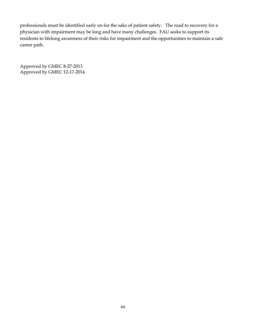professionals must be identified early on for the sake of patient safety. The road to recovery for a physician with impairment may be long and have many challenges. FAU seeks to support its residents to lifelong awareness of their risks for impairment and the opportunities to maintain a safe career path.

Approved by GMEC 8-27-2013 Approved by GMEC 12-17-2014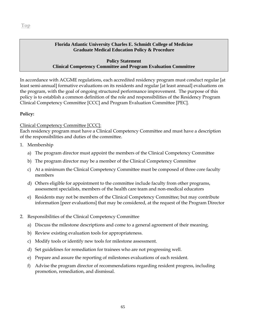#### **Policy Statement Clinical Competency Committee and Program Evaluation Committee**

In accordance with ACGME regulations, each accredited residency program must conduct regular [at least semi-annual] formative evaluations on its residents and regular [at least annual] evaluations on the program, with the goal of ongoing structured performance improvement. The purpose of this policy is to establish a common definition of the role and responsibilities of the Residency Program Clinical Competency Committee [CCC] and Program Evaluation Committee [PEC].

## **Policy:**

## Clinical Competency Committee [CCC]:

Each residency program must have a Clinical Competency Committee and must have a description of the responsibilities and duties of the committee.

- 1. Membership
	- a) The program director must appoint the members of the Clinical Competency Committee
	- b) The program director may be a member of the Clinical Competency Committee
	- c) At a minimum the Clinical Competency Committee must be composed of three core faculty members
	- d) Others eligible for appointment to the committee include faculty from other programs, assessment specialists, members of the health care team and non-medical educators
	- e) Residents may not be members of the Clinical Competency Committee; but may contribute information [peer evaluations] that may be considered, at the request of the Program Director
- 2. Responsibilities of the Clinical Competency Committee
	- a) Discuss the milestone descriptions and come to a general agreement of their meaning.
	- b) Review existing evaluation tools for appropriateness.
	- c) Modify tools or identify new tools for milestone assessment.
	- d) Set guidelines for remediation for trainees who are not progressing well.
	- e) Prepare and assure the reporting of milestones evaluations of each resident.
	- f) Advise the program director of recommendations regarding resident progress, including promotion, remediation, and dismissal.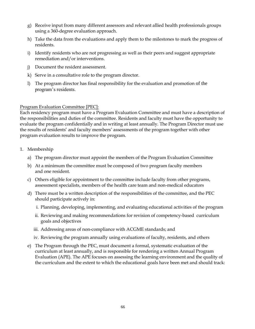- g) Receive input from many different assessors and relevant allied health professionals groups using a 360-degree evaluation approach.
- h) Take the data from the evaluations and apply them to the milestones to mark the progress of residents.
- i) Identify residents who are not progressing as well as their peers and suggest appropriate remediation and/or interventions.
- j) Document the resident assessment.
- k) Serve in a consultative role to the program director.
- l) The program director has final responsibility for the evaluation and promotion of the program's residents.

#### Program Evaluation Committee [PEC]:

Each residency program must have a Program Evaluation Committee and must have a description of the responsibilities and duties of the committee. Residents and faculty must have the opportunity to evaluate the program confidentially and in writing at least annually. The Program Director must use the results of residents' and faculty members' assessments of the program together with other program evaluation results to improve the program.

- 1. Membership
	- a) The program director must appoint the members of the Program Evaluation Committee
	- b) At a minimum the committee must be composed of two program faculty members and one resident.
	- c) Others eligible for appointment to the committee include faculty from other programs, assessment specialists, members of the health care team and non-medical educators
	- d) There must be a written description of the responsibilities of the committee, and the PEC should participate actively in:
		- i. Planning, developing, implementing, and evaluating educational activities of the program
		- ii. Reviewing and making recommendations for revision of competency-based curriculum goals and objectives
		- iii. Addressing areas of non-compliance with ACGME standards; and
		- iv. Reviewing the program annually using evaluations of faculty, residents, and others
	- e) The Program through the PEC, must document a formal, systematic evaluation of the curriculum at least annually, and is responsible for rendering a written Annual Program Evaluation (APE). The APE focuses on assessing the learning environment and the quality of the curriculum and the extent to which the educational goals have been met and should track: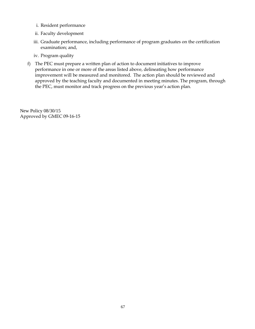- i. Resident performance
- ii. Faculty development
- iii. Graduate performance, including performance of program graduates on the certification examination; and,
- iv. Program quality
- f) The PEC must prepare a written plan of action to document initiatives to improve performance in one or more of the areas listed above, delineating how performance improvement will be measured and monitored. The action plan should be reviewed and approved by the teaching faculty and documented in meeting minutes. The program, through the PEC, must monitor and track progress on the previous year's action plan.

New Policy 08/30/15 Approved by GMEC 09-16-15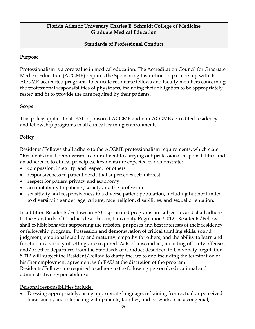# **Standards of Professional Conduct**

# **Purpose**

Professionalism is a core value in medical education. The Accreditation Council for Graduate Medical Education (ACGME) requires the Sponsoring Institution, in partnership with its ACGME-accredited programs, to educate residents/fellows and faculty members concerning the professional responsibilities of physicians, including their obligation to be appropriately rested and fit to provide the care required by their patients.

# **Scope**

This policy applies to all FAU-sponsored ACGME and non-ACGME accredited residency and fellowship programs in all clinical learning environments.

# **Policy**

Residents/Fellows shall adhere to the ACGME professionalism requirements, which state: "Residents must demonstrate a commitment to carrying out professional responsibilities and an adherence to ethical principles. Residents are expected to demonstrate:

- compassion, integrity, and respect for others
- responsiveness to patient needs that supersedes self-interest
- respect for patient privacy and autonomy
- accountability to patients, society and the profession
- sensitivity and responsiveness to a diverse patient population, including but not limited to diversity in gender, age, culture, race, religion, disabilities, and sexual orientation.

In addition Residents/Fellows in FAU-sponsored programs are subject to, and shall adhere to the Standards of Conduct described in, University Regulation 5.012. Residents/Fellows shall exhibit behavior supporting the mission, purposes and best interests of their residency or fellowship program. Possession and demonstration of critical thinking skills, sound judgment, emotional stability and maturity, empathy for others, and the ability to learn and function in a variety of settings are required. Acts of misconduct, including off-duty offenses, and/or other departures from the Standards of Conduct described in University Regulation 5.012 will subject the Resident/Fellow to discipline, up to and including the termination of his/her employment agreement with FAU at the discretion of the program. Residents/Fellows are required to adhere to the following personal, educational and administrative responsibilities:

Personal responsibilities include:

• Dressing appropriately, using appropriate language, refraining from actual or perceived harassment, and interacting with patients, families, and co-workers in a congenial,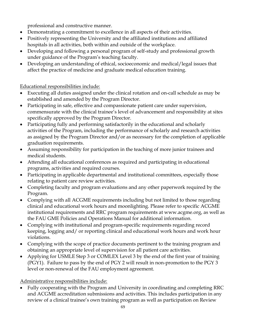professional and constructive manner.

- Demonstrating a commitment to excellence in all aspects of their activities.
- Positively representing the University and the affiliated institutions and affiliated hospitals in all activities, both within and outside of the workplace.
- Developing and following a personal program of self-study and professional growth under guidance of the Program's teaching faculty.
- Developing an understanding of ethical, socioeconomic and medical/legal issues that affect the practice of medicine and graduate medical education training.

Educational responsibilities include:

- Executing all duties assigned under the clinical rotation and on-call schedule as may be established and amended by the Program Director.
- Participating in safe, effective and compassionate patient care under supervision, commensurate with the clinical trainee's level of advancement and responsibility at sites specifically approved by the Program Director.
- Participating fully and performing satisfactorily in the educational and scholarly activities of the Program, including the performance of scholarly and research activities as assigned by the Program Director and/or as necessary for the completion of applicable graduation requirements.
- Assuming responsibility for participation in the teaching of more junior trainees and medical students.
- Attending all educational conferences as required and participating in educational programs, activities and required courses.
- Participating in applicable departmental and institutional committees, especially those relating to patient care review activities.
- Completing faculty and program evaluations and any other paperwork required by the Program.
- Complying with all ACGME requirements including but not limited to those regarding clinical and educational work hours and moonlighting. Please refer to specific ACGME institutional requirements and RRC program requirements at www.acgme.org, as well as the FAU GME Policies and Operations Manual for additional information.
- Complying with institutional and program-specific requirements regarding record keeping, logging and/ or reporting clinical and educational work hours and work hour violations.
- Complying with the scope of practice documents pertinent to the training program and obtaining an appropriate level of supervision for all patient care activities.
- Applying for USMLE Step 3 or COMLEX Level 3 by the end of the first year of training (PGY1). Failure to pass by the end of PGY 2 will result in non-promotion to the PGY 3 level or non-renewal of the FAU employment agreement.

Administrative responsibilities include:

• Fully cooperating with the Program and University in coordinating and completing RRC and ACGME accreditation submissions and activities. This includes participation in any review of a clinical trainee's own training program as well as participation on Review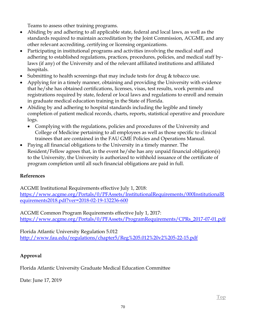Teams to assess other training programs.

- Abiding by and adhering to all applicable state, federal and local laws, as well as the standards required to maintain accreditation by the Joint Commission, ACGME, and any other relevant accrediting, certifying or licensing organizations.
- Participating in institutional programs and activities involving the medical staff and adhering to established regulations, practices, procedures, policies, and medical staff bylaws (if any) of the University and of the relevant affiliated institutions and affiliated hospitals.
- Submitting to health screenings that may include tests for drug & tobacco use.
- Applying for in a timely manner, obtaining and providing the University with evidence that he/she has obtained certifications, licenses, visas, test results, work permits and registrations required by state, federal or local laws and regulations to enroll and remain in graduate medical education training in the State of Florida.
- Abiding by and adhering to hospital standards including the legible and timely completion of patient medical records, charts, reports, statistical operative and procedure logs.
	- Complying with the regulations, policies and procedures of the University and College of Medicine pertaining to all employees as well as those specific to clinical trainees that are contained in the FAU GME Policies and Operations Manual.
- Paying all financial obligations to the University in a timely manner. The Resident/Fellow agrees that, in the event he/she has any unpaid financial obligation(s) to the University, the University is authorized to withhold issuance of the certificate of program completion until all such financial obligations are paid in full.

# **References**

ACGME Institutional Requirements effective July 1, 2018: [https://www.acgme.org/Portals/0/PFAssets/InstitutionalRequirements/000InstitutionalR](https://www.acgme.org/Portals/0/PFAssets/InstitutionalRequirements/000InstitutionalRequirements2018.pdf?ver=2018-02-19-132236-600) [equirements2018.pdf?ver=2018-02-19-132236-600](https://www.acgme.org/Portals/0/PFAssets/InstitutionalRequirements/000InstitutionalRequirements2018.pdf?ver=2018-02-19-132236-600)

ACGME Common Program Requirements effective July 1, 2017: [https://www.acgme.org/Portals/0/PFAssets/ProgramRequirements/CPRs\\_2017-07-01.pdf](https://www.acgme.org/Portals/0/PFAssets/ProgramRequirements/CPRs_2017-07-01.pdf)

Florida Atlantic University Regulation 5.012 <http://www.fau.edu/regulations/chapter5/Reg%205.012%20v2%205-22-15.pdf>

# **Approval**

Florida Atlantic University Graduate Medical Education Committee

Date: June 17, 2019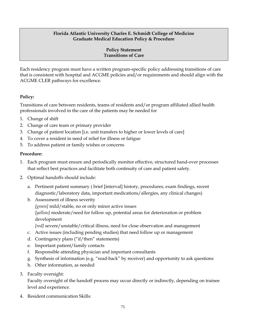#### **Policy Statement Transitions of Care**

Each residency program must have a written program-specific policy addressing transitions of care that is consistent with hospital and ACGME policies and/or requirements and should align with the ACGME CLER pathways for excellence.

# **Policy:**

Transitions of care between residents, teams of residents and/or program affiliated allied health professionals involved in the care of the patients may be needed for

- 1. Change of shift
- 2. Change of care team or primary provider
- 3. Change of patient location [i.e. unit transfers to higher or lower levels of care]
- 4. To cover a resident in need of relief for illness or fatigue
- 5. To address patient or family wishes or concerns

## **Procedure:**

- 1. Each program must ensure and periodically monitor effective, structured hand-over processes that reflect best practices and facilitate both continuity of care and patient safety.
- 2. Optimal handoffs should include:
	- a. Pertinent patient summary ( brief [interval] history, procedures, exam findings, recent diagnostic/laboratory data, important medications/allergies, any clinical changes)
	- b. Assessment of illness severity *[green]* mild/stable, no or only minor active issues *[yellow]* moderate/need for follow up, potential areas for deterioration or problem development *[red]* severe/unstable/critical illness, need for close observation and management
	- c. Active issues (including pending studies) that need follow up or management
	- d. Contingency plans ("if/then" statements)
	- e. Important patient/family contacts
	- f. Responsible attending physician and important consultants
	- g. Synthesis of information (e.g. "read-back" by receiver) and opportunity to ask questions
	- h. Other information, as needed
- 3. Faculty oversight:

Faculty oversight of the handoff process may occur directly or indirectly, depending on trainee level and experience.

4. Resident communication Skills: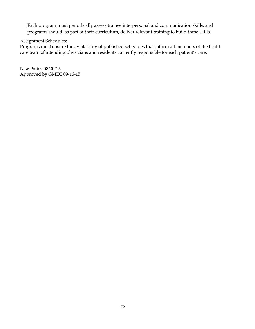Each program must periodically assess trainee interpersonal and communication skills, and programs should, as part of their curriculum, deliver relevant training to build these skills.

Assignment Schedules:

Programs must ensure the availability of published schedules that inform all members of the health care team of attending physicians and residents currently responsible for each patient's care.

New Policy 08/30/15 Approved by GMEC 09-16-15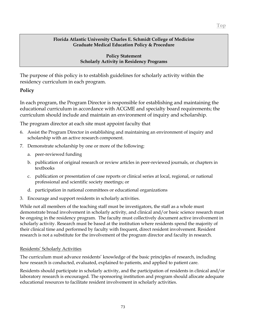**Policy Statement Scholarly Activity in Residency Programs**

The purpose of this policy is to establish guidelines for scholarly activity within the residency curriculum in each program.

# **Policy**

In each program, the Program Director is responsible for establishing and maintaining the educational curriculum in accordance with ACGME and specialty board requirements; the curriculum should include and maintain an environment of inquiry and scholarship.

The program director at each site must appoint faculty that

- 6. Assist the Program Director in establishing and maintaining an environment of inquiry and scholarship with an active research component.
- 7. Demonstrate scholarship by one or more of the following:
	- a. peer-reviewed funding
	- b. publication of original research or review articles in peer-reviewed journals, or chapters in textbooks
	- c. publication or presentation of case reports or clinical series at local, regional, or national professional and scientific society meetings; or
	- d. participation in national committees or educational organizations
- 3. Encourage and support residents in scholarly activities.

While not all members of the teaching staff must be investigators, the staff as a whole must demonstrate broad involvement in scholarly activity, and clinical and/or basic science research must be ongoing in the residency program. The faculty must collectively document active involvement in scholarly activity. Research must be based at the institution where residents spend the majority of their clinical time and performed by faculty with frequent, direct resident involvement. Resident research is not a substitute for the involvement of the program director and faculty in research.

### Residents' Scholarly Activities

The curriculum must advance residents' knowledge of the basic principles of research, including how research is conducted, evaluated, explained to patients, and applied to patient care.

Residents should participate in scholarly activity, and the participation of residents in clinical and/or laboratory research is encouraged. The sponsoring institution and program should allocate adequate educational resources to facilitate resident involvement in scholarly activities.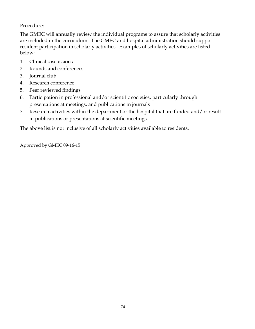# Procedure:

The GMEC will annually review the individual programs to assure that scholarly activities are included in the curriculum. The GMEC and hospital administration should support resident participation in scholarly activities. Examples of scholarly activities are listed below:

- 1. Clinical discussions
- 2. Rounds and conferences
- 3. Journal club
- 4. Research conference
- 5. Peer reviewed findings
- 6. Participation in professional and/or scientific societies, particularly through presentations at meetings, and publications in journals
- 7. Research activities within the department or the hospital that are funded and/or result in publications or presentations at scientific meetings.

The above list is not inclusive of all scholarly activities available to residents.

Approved by GMEC 09-16-15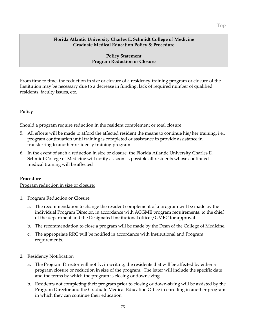### **Policy Statement Program Reduction or Closure**

From time to time, the reduction in size or closure of a residency-training program or closure of the Institution may be necessary due to a decrease in funding, lack of required number of qualified residents, faculty issues, etc.

### **Policy**

Should a program require reduction in the resident complement or total closure:

- 5. All efforts will be made to afford the affected resident the means to continue his/her training, i.e., program continuation until training is completed or assistance in provide assistance in transferring to another residency training program.
- 6. In the event of such a reduction in size or closure, the Florida Atlantic University Charles E. Schmidt College of Medicine will notify as soon as possible all residents whose continued medical training will be affected

### **Procedure**

Program reduction in size or closure:

- 1. Program Reduction or Closure
	- a. The recommendation to change the resident complement of a program will be made by the individual Program Director, in accordance with ACGME program requirements, to the chief of the department and the Designated Institutional officer/GMEC for approval.
	- b. The recommendation to close a program will be made by the Dean of the College of Medicine.
	- c. The appropriate RRC will be notified in accordance with Institutional and Program requirements.
- 2. Residency Notification
	- a. The Program Director will notify, in writing, the residents that will be affected by either a program closure or reduction in size of the program. The letter will include the specific date and the terms by which the program is closing or downsizing.
	- b. Residents not completing their program prior to closing or down-sizing will be assisted by the Program Director and the Graduate Medical Education Office in enrolling in another program in which they can continue their education.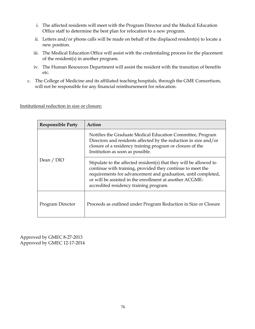- i. The affected residents will meet with the Program Director and the Medical Education Office staff to determine the best plan for relocation to a new program.
- ii. Letters and/or phone calls will be made on behalf of the displaced resident(s) to locate a new position.
- iii. The Medical Education Office will assist with the credentialing process for the placement of the resident(s) in another program.
- iv. The Human Resources Department will assist the resident with the transition of benefits etc.
- c. The College of Medicine and its affiliated teaching hospitals, through the GME Consortium, will not be responsible for any financial reimbursement for relocation.

#### Institutional reduction in size or closure:

| <b>Responsible Party</b> | Action                                                                                                                                                                                                                                                                                                 |
|--------------------------|--------------------------------------------------------------------------------------------------------------------------------------------------------------------------------------------------------------------------------------------------------------------------------------------------------|
| Dean / DIO               | Notifies the Graduate Medical Education Committee, Program<br>Directors and residents affected by the reduction in size and/or<br>closure of a residency training program or closure of the<br>Institution as soon as possible.                                                                        |
|                          | Stipulate to the affected resident(s) that they will be allowed to<br>continue with training, provided they continue to meet the<br>requirements for advancement and graduation, until completed,<br>or will be assisted in the enrollment at another ACGME-<br>accredited residency training program. |
| Program Director         | Proceeds as outlined under Program Reduction in Size or Closure                                                                                                                                                                                                                                        |

Approved by GMEC 8-27-2013 Approved by GMEC 12-17-2014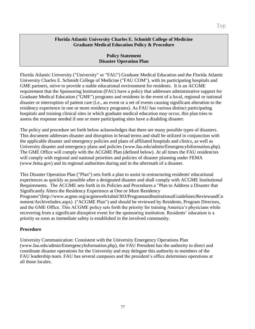### **Policy Statement Disaster Operation Plan**

Florida Atlantic University ("University" or "FAU") Graduate Medical Education and the Florida Atlantic University Charles E. Schmidt College of Medicine ("FAU COM"), with its participating hospitals and GME partners, strive to provide a stable educational environment for residents. It is an ACGME requirement that the Sponsoring Institution (FAU) have a policy that addresses administrative support for Graduate Medical Education ("GME") programs and residents in the event of a local, regional or national disaster or interruption of patient care (i.e., an event or a set of events causing significant alteration to the residency experience in one or more residency programs). As FAU has various distinct participating hospitals and training clinical sites in which graduate medical education may occur, this plan tries to assess the response needed if one or more participating sites have a disabling disaster.

The policy and procedure set forth below acknowledges that there are many possible types of disasters. This document addresses disaster and disruption in broad terms and shall be utilized in conjunction with the applicable disaster and emergency policies and plans of affiliated hospitals and clinics, as well as University disaster and emergency plans and policies [\(www.fau.edu/admin/EmergencyInformation.php\)](http://www.fau.edu/admin/EmergencyInformation.php). The GME Office will comply with the ACGME Plan (defined below). At all times the FAU residencies will comply with regional and national priorities and policies of disaster planning under FEMA [\(www.fema.gov\)](http://www.fema.gov/) and its regional authorities during and in the aftermath of a disaster.

This Disaster Operation Plan ("Plan") sets forth a plan to assist in restructuring residents' educational experiences as quickly as possible after a designated disaster and shall comply with ACGME Institutional Requirements. The ACGME sets forth in its Policies and Procedures a "Plan to Address a Disaster that Significantly Alters the Residency Experience at One or More Residency Programs"[\(http://www.acgme.org/acgmeweb/tabid/303/ProgramandInstitutionalGuidelines/ReviewandCo](http://www.acgme.org/acgmeweb/tabid/303/ProgramandInstitutionalGuidelines/ReviewandComment/ArchiveIndex.aspx) [mment/ArchiveIndex.aspx\)](http://www.acgme.org/acgmeweb/tabid/303/ProgramandInstitutionalGuidelines/ReviewandComment/ArchiveIndex.aspx) (''ACGME Plan") and should be reviewed by Residents, Program Directors, and the GME Office. This ACGME policy sets forth the priority for training America's physicians while recovering from a significant disruptive event for the sponsoring institution. Residents' education is a priority as soon as immediate safety is established in the involved community.

# **Procedure**

University Communication: Consistent with the University Emergency Operations Plan [\(www.fau.edu/admin/EmergencyInformation.php\)](http://www.fau.edu/admin/EmergencyInformation.php), the FAU President has the authority to direct and coordinate disaster operations for the University and may delegate this authority to members of the FAU leadership team. FAU has several campuses and the president's office determines operations at all those locales.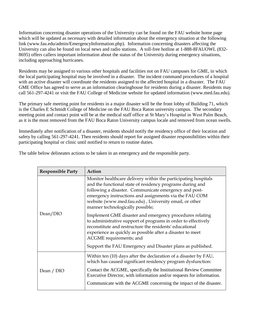Information concerning disaster operations of the University can be found on the FAU website home page which will be updated as necessary with detailed information about the emergency situation at the following link [\(www.fau.edu/admin/EmergencyInformation.php\)](http://www.fau.edu/admin/EmergencyInformation.php). Information concerning disasters affecting the University can also be found on local news and radio stations. A toll-free hotline at 1-888-8FAUOWL (832- 8695) offers callers important information about the status of the University during emergency situations, including approaching hurricanes.

Residents may be assigned to various other hospitals and facilities not on FAU campuses for GME, in which the local participating hospital may be involved in a disaster. The incident command procedures of a hospital with an active disaster will coordinate the residents assigned to the affected hospital in a disaster. The FAU GME Office has agreed to serve as an information clearinghouse for residents during a disaster. Residents may call 561-297-4241 or visit the FAU College of Medicine website for updated information (www.med.fau.edu).

The primary safe meeting point for residents in a major disaster will be the front lobby of Building 71, which is the Charles E Schmidt College of Medicine on the FAU Boca Raton university campus. The secondary meeting point and contact point will be at the medical staff office at St Mary's Hospital in West Palm Beach, as it is the most removed from the FAU Boca Raton University campus locale and removed from ocean swells.

Immediately after notification of a disaster, residents should notify the residency office of their location and safety by calling 561-297-4241. Then residents should report for assigned disaster responsibilities within their participating hospital or clinic until notified to return to routine duties.

|  |  |  |  | The table below delineates actions to be taken in an emergency and the responsible party. |  |
|--|--|--|--|-------------------------------------------------------------------------------------------|--|
|--|--|--|--|-------------------------------------------------------------------------------------------|--|

| <b>Responsible Party</b> | Action                                                                                                                                                                                                                                                                                                                                      |
|--------------------------|---------------------------------------------------------------------------------------------------------------------------------------------------------------------------------------------------------------------------------------------------------------------------------------------------------------------------------------------|
| Dean/DIO                 | Monitor healthcare delivery within the participating hospitals<br>and the functional state of residency programs during and<br>following a disaster. Communicate emergency and post-<br>emergency instructions and assignments via the FAU COM<br>website (www.med.fau.edu), University email, or other<br>manner technologically possible; |
|                          | Implement GME disaster and emergency procedures relating<br>to administrative support of programs in order to effectively<br>reconstitute and restructure the residents' educational<br>experience as quickly as possible after a disaster to meet<br>ACGME requirements; and                                                               |
|                          | Support the FAU Emergency and Disaster plans as published.                                                                                                                                                                                                                                                                                  |
| Dean / DIO               | Within ten (10) days after the declaration of a disaster by FAU,<br>which has caused significant residency program dysfunction:                                                                                                                                                                                                             |
|                          | Contact the ACGME, specifically the Institutional Review Committee<br>Executive Director, with information and/or requests for information.                                                                                                                                                                                                 |
|                          | Communicate with the ACGME concerning the impact of the disaster.                                                                                                                                                                                                                                                                           |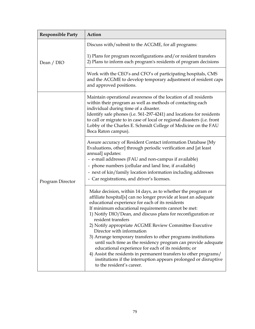| <b>Responsible Party</b> | Action                                                                                                                                                                                                                                                                                                                                                                                                                                                                                                                                                                                                                                                                                                                                                                                 |
|--------------------------|----------------------------------------------------------------------------------------------------------------------------------------------------------------------------------------------------------------------------------------------------------------------------------------------------------------------------------------------------------------------------------------------------------------------------------------------------------------------------------------------------------------------------------------------------------------------------------------------------------------------------------------------------------------------------------------------------------------------------------------------------------------------------------------|
| Dean / DIO               | Discuss with/submit to the ACGME, for all programs:                                                                                                                                                                                                                                                                                                                                                                                                                                                                                                                                                                                                                                                                                                                                    |
|                          | 1) Plans for program reconfigurations and/or resident transfers<br>2) Plans to inform each program's residents of program decisions                                                                                                                                                                                                                                                                                                                                                                                                                                                                                                                                                                                                                                                    |
|                          | Work with the CEO's and CFO's of participating hospitals, CMS<br>and the ACGME to develop temporary adjustment of resident caps<br>and approved positions.                                                                                                                                                                                                                                                                                                                                                                                                                                                                                                                                                                                                                             |
| Program Director         | Maintain operational awareness of the location of all residents<br>within their program as well as methods of contacting each<br>individual during time of a disaster.<br>Identify safe phones (i.e. 561-297-4241) and locations for residents<br>to call or migrate to in case of local or regional disasters (i.e. front<br>Lobby of the Charles E. Schmidt College of Medicine on the FAU<br>Boca Raton campus).                                                                                                                                                                                                                                                                                                                                                                    |
|                          | Assure accuracy of Resident Contact information Database [My<br>Evaluations, other] through periodic verification and [at least<br>annual] updates:<br>- e-mail addresses (FAU and non-campus if available)<br>- phone numbers (cellular and land line, if available)<br>- next of kin/family location information including addresses<br>- Car registrations, and driver's licenses.                                                                                                                                                                                                                                                                                                                                                                                                  |
|                          | Make decision, within 14 days, as to whether the program or<br>affiliate hospital[s] can no longer provide at least an adequate<br>educational experience for each of its residents<br>If minimum educational requirements cannot be met:<br>1) Notify DIO/Dean, and discuss plans for reconfiguration or<br>resident transfers<br>2) Notify appropriate ACGME Review Committee Executive<br>Director with information<br>3) Arrange temporary transfers to other programs institutions<br>until such time as the residency program can provide adequate<br>educational experience for each of its residents; or<br>4) Assist the residents in permanent transfers to other programs/<br>institutions if the interruption appears prolonged or disruptive<br>to the resident's career. |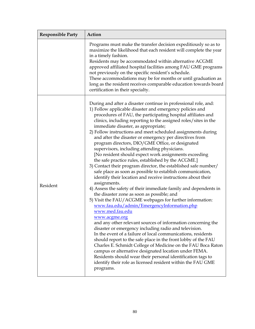| <b>Responsible Party</b> | Action                                                                                                                                                                                                                                                                                                                                                                                                                                                                                                                                                                                                                                                                                                                                                                                                                                                                                                                                                                                                                                                                                                                                                                                                                                                                                                                                                                                                                                                                                                                                                                                                                                                                     |
|--------------------------|----------------------------------------------------------------------------------------------------------------------------------------------------------------------------------------------------------------------------------------------------------------------------------------------------------------------------------------------------------------------------------------------------------------------------------------------------------------------------------------------------------------------------------------------------------------------------------------------------------------------------------------------------------------------------------------------------------------------------------------------------------------------------------------------------------------------------------------------------------------------------------------------------------------------------------------------------------------------------------------------------------------------------------------------------------------------------------------------------------------------------------------------------------------------------------------------------------------------------------------------------------------------------------------------------------------------------------------------------------------------------------------------------------------------------------------------------------------------------------------------------------------------------------------------------------------------------------------------------------------------------------------------------------------------------|
|                          | Programs must make the transfer decision expeditiously so as to<br>maximize the likelihood that each resident will complete the year<br>in a timely fashion.<br>Residents may be accommodated within alternative ACGME<br>approved affiliated hospital facilities among FAU GME programs<br>not previously on the specific resident's schedule.<br>These accommodations may be for months or until graduation as<br>long as the resident receives comparable education towards board<br>certification in their specialty.                                                                                                                                                                                                                                                                                                                                                                                                                                                                                                                                                                                                                                                                                                                                                                                                                                                                                                                                                                                                                                                                                                                                                  |
| Resident                 | During and after a disaster continue in professional role, and:<br>1) Follow applicable disaster and emergency policies and<br>procedures of FAU, the participating hospital affiliates and<br>clinics, including reporting to the assigned roles/sites in the<br>immediate disaster, as appropriate;<br>2) Follow instructions and meet scheduled assignments during<br>and after the disaster or emergency per directives from<br>program directors, DIO/GME Office, or designated<br>supervisors, including attending physicians.<br>[No resident should expect work assignments exceeding<br>the safe practice rules, established by the ACGME.]<br>3) Contact their program director, the established safe number/<br>safe place as soon as possible to establish communication,<br>identify their location and receive instructions about their<br>assignments.<br>4) Assess the safety of their immediate family and dependents in<br>the disaster zone as soon as possible; and<br>5) Visit the FAU/ACGME webpages for further information:<br>www.fau.edu/admin/EmergencyInformation.php<br>www.med.fau.edu<br><u>www.acgme.org</u><br>and any other relevant sources of information concerning the<br>disaster or emergency including radio and television.<br>In the event of a failure of local communications, residents<br>should report to the safe place in the front lobby of the FAU<br>Charles E. Schmidt College of Medicine on the FAU Boca Raton<br>campus or alternative designated location under FEMA.<br>Residents should wear their personal identification tags to<br>identify their role as licensed resident within the FAU GME<br>programs. |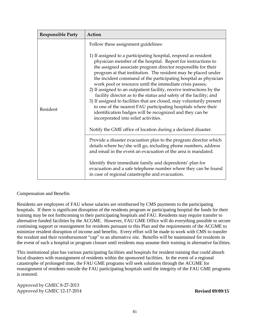| <b>Responsible Party</b> | Action                                                                                                                                                                                                                                                                                                                                                                                                                                                                                                                                                                                                                                                          |
|--------------------------|-----------------------------------------------------------------------------------------------------------------------------------------------------------------------------------------------------------------------------------------------------------------------------------------------------------------------------------------------------------------------------------------------------------------------------------------------------------------------------------------------------------------------------------------------------------------------------------------------------------------------------------------------------------------|
| Resident                 | Follow these assignment guidelines:<br>1) If assigned to a participating hospital, respond as resident<br>physician member of the hospital. Report for instructions to<br>the assigned associate program director responsible for their<br>program at that institution. The resident may be placed under<br>the incident command of the participating hospital as physician<br>work pool or resource until the immediate crisis passes;<br>2) If assigned to an outpatient facility, receive instructions by the<br>facility director as to the status and safety of the facility; and<br>3) If assigned to facilities that are closed, may voluntarily present |
|                          | to one of the nearest FAU participating hospitals where their<br>identification badges will be recognized and they can be<br>incorporated into relief activities.<br>Notify the GME office of location during a declared disaster.                                                                                                                                                                                                                                                                                                                                                                                                                              |
|                          | Provide a disaster evacuation plan to the program director which<br>details where he/she will go, including phone numbers, address<br>and email in the event an evacuation of the area is mandated.                                                                                                                                                                                                                                                                                                                                                                                                                                                             |
|                          | Identify their immediate family and dependents' plan for<br>evacuation and a safe telephone number where they can be found<br>in case of regional catastrophe and evacuation.                                                                                                                                                                                                                                                                                                                                                                                                                                                                                   |

Compensation and Benefits

Residents are employees of FAU whose salaries are reimbursed by CMS payments to the participating hospitals. If there is significant disruption of the residents program or participating hospital the funds for their training may be not forthcoming to their participating hospitals and FAU. Residents may require transfer to alternative funded facilities by the ACGME. However, FAU GME Office will do everything possible to secure continuing support or reassignment for residents pursuant to this Plan and the requirements of the ACGME to minimize resident disruption of income and benefits. Every effort will be made to work with CMS to transfer the resident and their reimbursement "cap" to an alternative site. Benefits will be maintained for residents in the event of such a hospital or program closure until residents may assume their training in alternative facilities.

This institutional plan has various participating facilities and hospitals for resident training that could absorb local disasters with reassignment of residents within the sponsored facilities. In the event of a regional catastrophe of prolonged time, the FAU GME programs will seek solutions through the ACGME for reassignment of residents outside the FAU participating hospitals until the integrity of the FAU GME programs is restored.

Approved by GMEC 8-27-2013 Approved by GMEC 12-17-2014 **Revised 09/09/15**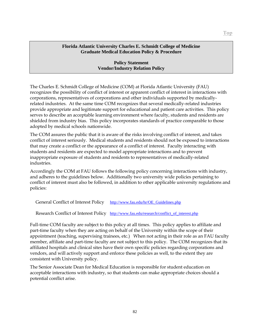### **Policy Statement Vendor/Industry Relation Policy**

The Charles E. Schmidt College of Medicine (COM) at Florida Atlantic University (FAU) recognizes the possibility of conflict of interest or apparent conflict of interest in interactions with corporations, representatives of corporations and other individuals supported by medicallyrelated industries. At the same time COM recognizes that several medically-related industries provide appropriate and legitimate support for educational and patient care activities. This policy serves to describe an acceptable learning environment where faculty, students and residents are shielded from industry bias. This policy incorporates standards of practice comparable to those adopted by medical schools nationwide.

The COM assures the public that it is aware of the risks involving conflict of interest, and takes conflict of interest seriously. Medical students and residents should not be exposed to interactions that may create a conflict or the appearance of a conflict of interest. Faculty interacting with students and residents are expected to model appropriate interactions and to prevent inappropriate exposure of students and residents to representatives of medically-related industries.

Accordingly the COM at FAU follows the following policy concerning interactions with industry, and adheres to the guidelines below. Additionally two university wide policies pertaining to conflict of interest must also be followed, in addition to other applicable university regulations and policies:

General Conflict of Interest Policy [http://www.fau.edu/hr/OE\\_Guidelines.php](http://www.fau.edu/hr/OE_Guidelines.php)

Research Conflict of Interest Policy http://www.fau.edu/research/conflict of interest.php

Full-time COM faculty are subject to this policy at all times. This policy applies to affiliate and part-time faculty when they are acting on behalf of the University within the scope of their appointment (teaching, supervising trainees, etc.) When not acting in their role as an FAU faculty member, affiliate and part-time faculty are not subject to this policy. The COM recognizes that its affiliated hospitals and clinical sites have their own specific policies regarding corporations and vendors, and will actively support and enforce these policies as well, to the extent they are consistent with University policy.

The Senior Associate Dean for Medical Education is responsible for student education on acceptable interactions with industry, so that students can make appropriate choices should a potential conflict arise.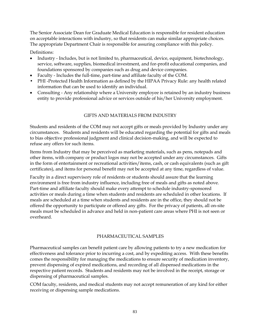The Senior Associate Dean for Graduate Medical Education is responsible for resident education on acceptable interactions with industry, so that residents can make similar appropriate choices. The appropriate Department Chair is responsible for assuring compliance with this policy.

Definitions:

- Industry Includes, but is not limited to, pharmaceutical, device, equipment, biotechnology, service, software, supplies, biomedical investment, and for-profit educational companies, and foundations sponsored by companies such as drug and device companies.
- Faculty Includes the full-time, part-time and affiliate faculty of the COM.
- PHI -Protected Health Information as defined by the HIPAA Privacy Rule: any health related information that can be used to identify an individual.
- Consulting Any relationship where a University employee is retained by an industry business entity to provide professional advice or services outside of his/her University employment.

# GIFTS AND MATERIALS FROM INDUSTRY

Students and residents of the COM may not accept gifts or meals provided by Industry under any circumstances. Students and residents will be educated regarding the potential for gifts and meals to bias objective professional judgment and clinical decision-making, and will be expected to refuse any offers for such items.

Items from Industry that may be perceived as marketing materials, such as pens, notepads and other items, with company or product logos may not be accepted under any circumstances. Gifts in the form of entertainment or recreational activities/items, cash, or cash equivalents (such as gift certificates), and items for personal benefit may not be accepted at any time, regardless of value.

Faculty in a direct supervisory role of residents or students should assure that the learning environment is free from industry influence, including free of meals and gifts as noted above. Part-time and affiliate faculty should make every attempt to schedule industry-sponsored activities or meals during a time when students and residents are scheduled in other locations. If meals are scheduled at a time when students and residents are in the office, they should not be offered the opportunity to participate or offered any gifts. For the privacy of patients, all on-site meals must be scheduled in advance and held in non-patient care areas where PHI is not seen or overheard.

# PHARMACEUTICAL SAMPLES

Pharmaceutical samples can benefit patient care by allowing patients to try a new medication for effectiveness and tolerance prior to incurring a cost, and by expediting access. With these benefits comes the responsibility for managing the medications to ensure security of medication inventory, prevent dispensing of expired medications, and recording of all dispensed medications in the respective patient records. Students and residents may not be involved in the receipt, storage or dispensing of pharmaceutical samples.

COM faculty, residents, and medical students may not accept remuneration of any kind for either receiving or dispensing sample medications.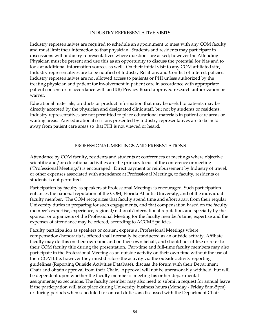#### INDUSTRY REPRESENTATIVE VISITS

Industry representatives are required to schedule an appointment to meet with any COM faculty and must limit their interaction to that physician. Students and residents may participate in discussions with industry representatives where questions are asked; however the Attending Physician must be present and use this as an opportunity to discuss the potential for bias and to look at additional information sources as well. On their initial visit to any COM affiliated site, Industry representatives are to be notified of Industry Relations and Conflict of Interest policies. Industry representatives are not allowed access to patients or PHI unless authorized by the treating physician and patient for involvement in patient care in accordance with appropriate patient consent or in accordance with an IRB/Privacy Board approved research authorization or waiver.

Educational materials, products or product information that may be useful to patients may be directly accepted by the physician and designated clinic staff, but not by students or residents. Industry representatives are not permitted to place educational materials in patient care areas or waiting areas. Any educational sessions presented by Industry representatives are to be held away from patient care areas so that PHI is not viewed or heard.

#### PROFESSIONAL MEETINGS AND PRESENTATIONS

Attendance by COM faculty, residents and students at conferences or meetings where objective scientific and/or educational activities are the primary focus of the conference or meeting ("Professional Meetings") is encouraged. Direct payment or reimbursement by Industry of travel, or other expenses associated with attendance at Professional Meetings, to faculty, residents or students is not permitted.

Participation by faculty as speakers at Professional Meetings is encouraged. Such participation enhances the national reputation of the COM, Florida Atlantic University, and of the individual faculty member. The COM recognizes that faculty spend time and effort apart from their regular University duties in preparing for such engagements, and that compensation based on the faculty member's expertise, experience, regional/national/international reputation, and specialty by the sponsor or organizers of the Professional Meeting for the faculty member's time, expertise and the expenses of attendance may be offered, according to ACCME policies.

Faculty participation as speakers or content experts at Professional Meetings where compensation/honoraria is offered shall normally be conducted as an outside activity. Affiliate faculty may do this on their own time and on their own behalf, and should not utilize or refer to their COM faculty title during the presentation. Part-time and full-time faculty members may also participate in the Professional Meeting as an outside activity on their own time without the use of their COM title; however they must disclose the activity via the outside activity reporting guidelines (Reporting Outside Activities Database), discuss the forum with their Department Chair and obtain approval from their Chair. Approval will not be unreasonably withheld, but will be dependent upon whether the faculty member is meeting his or her departmental assignments/expectations. The faculty member may also need to submit a request for annual leave if the participation will take place during University business hours (Monday - Friday 8am-5pm) or during periods when scheduled for on-call duties, as discussed with the Department Chair.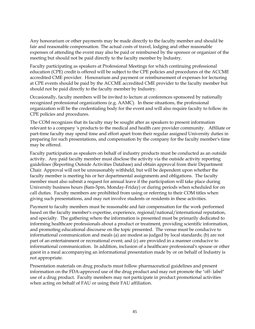Any honorarium or other payments may be made directly to the faculty member and should be fair and reasonable compensation. The actual costs of travel, lodging and other reasonable expenses of attending the event may also be paid or reimbursed by the sponsor or organizer of the meeting but should not be paid directly to the faculty member by Industry.

Faculty participating as speakers at Professional Meetings for which continuing professional education (CPE) credit is offered will be subject to the CPE policies and procedures of the ACCME accredited CME provider. Honorarium and payment or reimbursement of expenses for lecturing at CPE events should be paid by the ACCME accredited CME provider to the faculty member but should not be paid directly to the faculty member by Industry.

Occasionally, faculty members will be invited to lecture at conferences sponsored by nationally recognized professional organizations (e.g. AAMC). In these situations, the professional organization will be the credentialing body for the event and will also require faculty to follow its CPE policies and procedures.

The COM recognizes that its faculty may be sought after as speakers to present information relevant to a company 's products to the medical and health care provider community. Affiliate or part-time faculty may spend time and effort apart from their regular assigned University duties in preparing for such presentations, and compensation by the company for the faculty member's time may be offered.

Faculty participation as speakers on behalf of industry products must be conducted as an outside activity. Any paid faculty member must disclose the activity via the outside activity reporting guidelines (Reporting Outside Activities Database) and obtain approval from their Department Chair. Approval will not be unreasonably withheld, but will be dependent upon whether the faculty member is meeting his or her departmental assignments and obligations. The faculty member must also submit a request for annual leave if the participation will take place during University business hours (8am-5pm, Monday-Friday) or during periods when scheduled for on call duties. Faculty members are prohibited from using or referring to their COM titles when giving such presentations, and may not involve students or residents in these activities.

Payment to faculty members must be reasonable and fair compensation for the work performed based on the faculty member's expertise, experience, regional/national/international reputation, and specialty. The gathering where the information is presented must be primarily dedicated to informing healthcare professionals about a product or treatment, providing scientific information, and promoting educational discourse on the topic presented. The venue must be conducive to informational communication and meals (a) are modest as judged by local standards; (b) are not part of an entertainment or recreational event; and (c) are provided in a manner conducive to informational communication. In addition, inclusion of a healthcare professional's spouse or other guest in a meal accompanying an informational presentation made by or on behalf of Industry is not appropriate.

Presentation materials on drug products must follow pharmaceutical guidelines and present information on the FDA-approved use of the drug product and may not promote the "off- label" use of a drug product. Faculty members may not participate in product promotional activities when acting on behalf of FAU or using their FAU affiliation.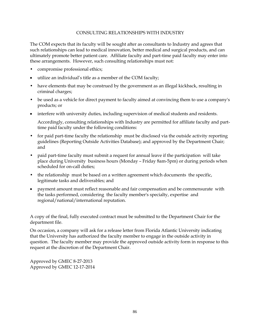#### CONSULTING RELATIONSHIPS WITH INDUSTRY

The COM expects that its faculty will be sought after as consultants to Industry and agrees that such relationships can lead to medical innovation, better medical and surgical products, and can ultimately promote better patient care. Affiliate faculty and part-time paid faculty may enter into these arrangements. However, such consulting relationships must not:

- compromise professional ethics;
- utilize an individual's title as a member of the COM faculty;
- have elements that may be construed by the government as an illegal kickback, resulting in criminal charges;
- be used as a vehicle for direct payment to faculty aimed at convincing them to use a company's products; or
- interfere with university duties, including supervision of medical students and residents.

Accordingly, consulting relationships with Industry are permitted for affiliate faculty and parttime paid faculty under the following conditions:

- for paid part-time faculty the relationship must be disclosed via the outside activity reporting guidelines (Reporting Outside Activities Database); and approved by the Department Chair; and
- paid part-time faculty must submit a request for annual leave if the participation will take place during University business hours (Monday – Friday 8am-5pm) or during periods when scheduled for on-call duties;
- the relationship must be based on a written agreement which documents the specific, legitimate tasks and deliverables; and
- payment amount must reflect reasonable and fair compensation and be commensurate with the tasks performed, considering the faculty member's specialty, expertise and regional/national/international reputation.

A copy of the final, fully executed contract must be submitted to the Department Chair for the department file.

On occasion, a company will ask for a release letter from Florida Atlantic University indicating that the University has authorized the faculty member to engage in the outside activity in question. The faculty member may provide the approved outside activity form in response to this request at the discretion of the Department Chair.

Approved by GMEC 8-27-2013 Approved by GMEC 12-17-2014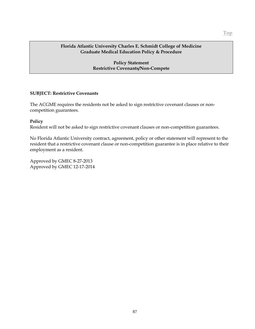### **Policy Statement Restrictive Covenants/Non-Compete**

### **SUBJECT: Restrictive Covenants**

The ACGME requires the residents not be asked to sign restrictive covenant clauses or noncompetition guarantees.

### **Policy**

Resident will not be asked to sign restrictive covenant clauses or non-competition guarantees.

No Florida Atlantic University contract, agreement, policy or other statement will represent to the resident that a restrictive covenant clause or non-competition guarantee is in place relative to their employment as a resident.

Approved by GMEC 8-27-2013 Approved by GMEC 12-17-2014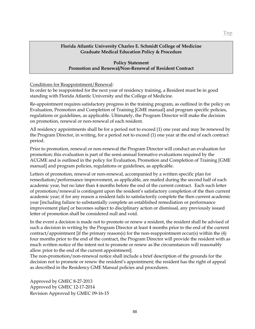### **Policy Statement Promotion and Renewal/Non-Renewal of Resident Contract**

### Conditions for Reappointment/Renewal:

In order to be reappointed for the next year of residency training, a Resident must be in good standing with Florida Atlantic University and the College of Medicine.

Re-appointment requires satisfactory progress in the training program, as outlined in the policy on Evaluation, Promotion and Completion of Training [GME manual] and program specific policies, regulations or guidelines, as applicable. Ultimately, the Program Director will make the decision on promotion, renewal or non-renewal of each resident.

All residency appointments shall be for a period not to exceed (1) one year and may be renewed by the Program Director, in writing, for a period not to exceed (1) one year at the end of each contract period.

Prior to promotion, renewal or non-renewal the Program Director will conduct an evaluation for promotion; this evaluation is part of the semi-annual formative evaluations required by the ACGME and is outlined in the policy for Evaluation, Promotion and Completion of Training [GME manual] and program policies, regulations or guidelines, as applicable.

Letters of promotion, renewal or non-renewal, accompanied by a written specific plan for remediation/performance improvement, as applicable, are mailed during the second half of each academic year, but no later than 4 months before the end of the current contract. Each such letter of promotion/renewal is contingent upon the resident's satisfactory completion of the then current academic year; if for any reason a resident fails to satisfactorily complete the then current academic year [including failure to substantially complete an established remediation or performance improvement plan] or becomes subject to disciplinary action or dismissal, any previously issued letter of promotion shall be considered null and void.

In the event a decision is made not to promote or renew a resident, the resident shall be advised of such a decision in writing by the Program Director at least 4 months prior to the end of the current contract/appointment [if the primary reason(s) for the non-reappointment occur(s) within the (4) four months prior to the end of the contract, the Program Director will provide the resident with as much written notice of the intent not to promote or renew as the circumstances will reasonably allow prior to the end of the current appointment].

The non-promotion/non-renewal notice shall include a brief description of the grounds for the decision not to promote or renew the resident's appointment; the resident has the right of appeal as described in the Residency GME Manual policies and procedures.

Approved by GMEC 8-27-2013 Approved by GMEC 12-17-2014 Revision Approved by GMEC 09-16-15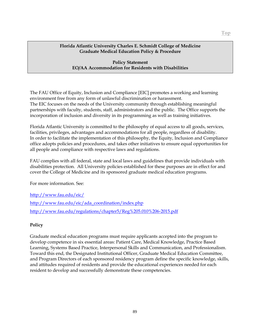### **Policy Statement EO/AA Accommodation for Residents with Disabilities**

The FAU Office of Equity, Inclusion and Compliance [EIC] promotes a working and learning environment free from any form of unlawful discrimination or harassment. The EIC focuses on the needs of the University community through establishing meaningful partnerships with faculty, students, staff, administrators and the public. The Office supports the incorporation of inclusion and diversity in its programming as well as training initiatives.

Florida Atlantic University is committed to the philosophy of equal access to all goods, services, facilities, privileges, advantages and accommodations for all people, regardless of disability. In order to facilitate the implementation of this philosophy, the Equity, Inclusion and Compliance office adopts policies and procedures, and takes other initiatives to ensure equal opportunities for all people and compliance with respective laws and regulations.

FAU complies with all federal, state and local laws and guidelines that provide individuals with disabilities protection. All University policies established for these purposes are in effect for and cover the College of Medicine and its sponsored graduate medical education programs.

For more information. See:

<http://www.fau.edu/eic/>

[http://www.fau.edu/eic/ada\\_coordination/index.php](http://www.fau.edu/eic/ada_coordination/index.php) <http://www.fau.edu/regulations/chapter5/Reg%205.010%206-2015.pdf>

# **Policy**

Graduate medical education programs must require applicants accepted into the program to develop competence in six essential areas: Patient Care, Medical Knowledge, Practice Based Learning, Systems Based Practice, Interpersonal Skills and Communication, and Professionalism. Toward this end, the Designated Institutional Officer, Graduate Medical Education Committee, and Program Directors of each sponsored residency program define the specific knowledge, skills, and attitudes required of residents and provide the educational experiences needed for each resident to develop and successfully demonstrate these competencies.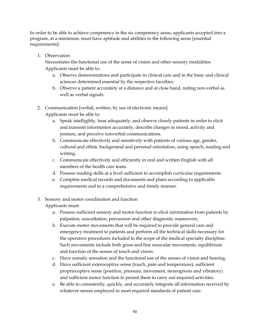In order to be able to achieve competency in the six competency areas, applicants accepted into a program, at a minimum, must have aptitude and abilities in the following areas [essential requirements]:

1. Observation

Necessitates the functional use of the sense of vision and other sensory modalities. Applicants must be able to:

- a. Observe demonstrations and participate in clinical care and in the basic and clinical sciences determined essential by the respective faculties.
- b. Observe a patient accurately at a distance and at close hand, noting non-verbal as well as verbal signals.
- 2. Communication [verbal, written, by use of electronic means] Applicants must be able to:
	- a. Speak intelligibly, hear adequately, and observe closely patients in order to elicit and transmit information accurately, describe changes in mood, activity and posture, and perceive nonverbal communications.
	- b. Communicate effectively and sensitively with patients of various age, gender, cultural and ethnic background and personal orientation, using speech, reading and writing.
	- c. Communicate effectively and efficiently in oral and written English with all members of the health care team.
	- d. Possess reading skills at a level sufficient to accomplish curricular requirements
	- e. Complete medical records and documents and plans according to applicable requirements and in a comprehensive and timely manner.
- 3. Sensory and motor coordination and function

Applicants must:

- a. Possess sufficient sensory and motor function to elicit information from patients by palpation, auscultation, percussion and other diagnostic maneuvers.
- b. Execute motor movements that will be required to provide general care and emergency treatment to patients and perform all the technical skills necessary for the operative procedures included in the scope of the medical specialty discipline. Such movements include both gross and fine muscular movements, equilibrium and function of the senses of touch and vision.
- c. Have somatic sensation and the functional use of the senses of vision and hearing.
- d. Have sufficient exteroceptive sense (touch, pain and temperature), sufficient proprioceptive sense (position, pressure, movement, stereognosis and vibratory) and sufficient motor function to permit them to carry out required activities.
- e. Be able to consistently, quickly, and accurately integrate all information received by whatever senses employed to meet required standards of patient care.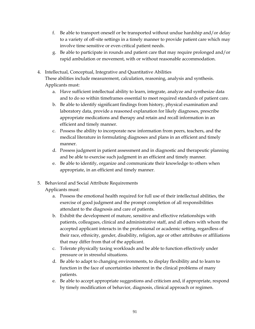- f. Be able to transport oneself or be transported without undue hardship and/or delay to a variety of off-site settings in a timely manner to provide patient care which may involve time sensitive or even critical patient needs.
- g. Be able to participate in rounds and patient care that may require prolonged and/or rapid ambulation or movement, with or without reasonable accommodation.
- 4. Intellectual, Conceptual, Integrative and Quantitative Abilities These abilities include measurement, calculation, reasoning, analysis and synthesis. Applicants must:
	- a. Have sufficient intellectual ability to learn, integrate, analyze and synthesize data and to do so within timeframes essential to meet required standards of patient care.
	- b. Be able to identify significant findings from history, physical examination and laboratory data, provide a reasoned explanation for likely diagnoses, prescribe appropriate medications and therapy and retain and recall information in an efficient and timely manner.
	- c. Possess the ability to incorporate new information from peers, teachers, and the medical literature in formulating diagnoses and plans in an efficient and timely manner.
	- d. Possess judgment in patient assessment and in diagnostic and therapeutic planning and be able to exercise such judgment in an efficient and timely manner.
	- e. Be able to identify, organize and communicate their knowledge to others when appropriate, in an efficient and timely manner.
- 5. Behavioral and Social Attribute Requirements Applicants must:
	- a. Possess the emotional health required for full use of their intellectual abilities, the exercise of good judgment and the prompt completion of all responsibilities attendant to the diagnosis and care of patients.
	- b. Exhibit the development of mature, sensitive and effective relationships with patients, colleagues, clinical and administrative staff, and all others with whom the accepted applicant interacts in the professional or academic setting, regardless of their race, ethnicity, gender, disability, religion, age or other attributes or affiliations that may differ from that of the applicant.
	- c. Tolerate physically taxing workloads and be able to function effectively under pressure or in stressful situations.
	- d. Be able to adapt to changing environments, to display flexibility and to learn to function in the face of uncertainties inherent in the clinical problems of many patients.
	- e. Be able to accept appropriate suggestions and criticism and, if appropriate, respond by timely modification of behavior, diagnosis, clinical approach or regimen.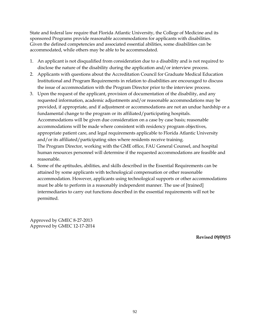State and federal law require that Florida Atlantic University, the College of Medicine and its sponsored Programs provide reasonable accommodations for applicants with disabilities. Given the defined competencies and associated essential abilities, some disabilities can be accommodated, while others may be able to be accommodated.

- 1. An applicant is not disqualified from consideration due to a disability and is not required to disclose the nature of the disability during the application and/or interview process.
- 2. Applicants with questions about the Accreditation Council for Graduate Medical Education Institutional and Program Requirements in relation to disabilities are encouraged to discuss the issue of accommodation with the Program Director prior to the interview process.
- 3. Upon the request of the applicant, provision of documentation of the disability, and any requested information, academic adjustments and/or reasonable accommodations may be provided, if appropriate, and if adjustment or accommodations are not an undue hardship or a fundamental change to the program or its affiliated/participating hospitals. Accommodations will be given due consideration on a case by case basis; reasonable accommodations will be made where consistent with residency program objectives, appropriate patient care, and legal requirements applicable to Florida Atlantic University and/or its affiliated/participating sites where residents receive training. The Program Director, working with the GME office, FAU General Counsel, and hospital human resources personnel will determine if the requested accommodations are feasible and reasonable.
- 4. Some of the aptitudes, abilities, and skills described in the Essential Requirements can be attained by some applicants with technological compensation or other reasonable accommodation. However, applicants using technological supports or other accommodations must be able to perform in a reasonably independent manner. The use of [trained] intermediaries to carry out functions described in the essential requirements will not be permitted.

Approved by GMEC 8-27-2013 Approved by GMEC 12-17-2014

**Revised 09/09/15**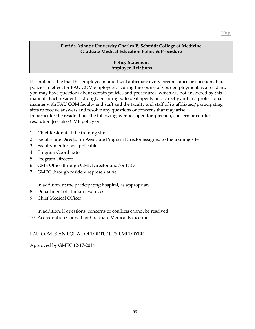### **Policy Statement Employee Relations**

It is not possible that this employee manual will anticipate every circumstance or question about policies in effect for FAU COM employees. During the course of your employment as a resident, you may have questions about certain policies and procedures, which are not answered by this manual. Each resident is strongly encouraged to deal openly and directly and in a professional manner with FAU COM faculty and staff and the faculty and staff of its affiliated/participating sites to receive answers and resolve any questions or concerns that may arise. In particular the resident has the following avenues open for question, concern or conflict resolution [see also GME policy on :

- 1. Chief Resident at the training site
- 2. Faculty Site Director or Associate Program Director assigned to the training site
- 3. Faculty mentor [as applicable]
- 4. Program Coordinator
- 5. Program Director
- 6. GME Office through GME Director and/or DIO
- 7. GMEC through resident representative

in addition, at the participating hospital, as appropriate

- 8. Department of Human resources
- 9. Chief Medical Officer

in addition, if questions, concerns or conflicts cannot be resolved

10. Accreditation Council for Graduate Medical Education

### FAU COM IS AN EQUAL OPPORTUNITY EMPLOYER

Approved by GMEC 12-17-2014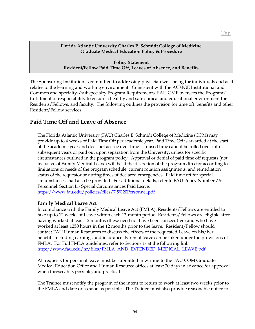**Policy Statement Resident/Fellow Paid Time Off, Leaves of Absence, and Benefits**

The Sponsoring Institution is committed to addressing physician well-being for individuals and as it relates to the learning and working environment. Consistent with the ACMGE Institutional and Common and specialty-/subspecialty Program Requirements, FAU GME oversees the Programs' fulfillment of responsibility to ensure a healthy and safe clinical and educational environment for Residents/Fellows, and faculty. The following outlines the provision for time off, benefits and other Resident/Fellow services.

# **Paid Time Off and Leave of Absence**

The Florida Atlantic University (FAU) Charles E. Schmidt College of Medicine (COM) may provide up to 4 weeks of Paid Time Off per academic year. Paid Time Off is awarded at the start of the academic year and does not accrue over time. Unused time cannot be rolled over into subsequent years or paid out upon separation from the University, unless for specific circumstances outlined in the program policy. Approval or denial of paid time off requests (not inclusive of Family Medical Leave) will be at the discretion of the program director according to limitations or needs of the program schedule, current rotation assignments, and remediation status of the requestor or during times of declared emergencies. Paid time off for special circumstances shall also be provided. For additional details, refer to FAU Policy Number 7.5: Personnel, Section L.- Special Circumstances Paid Leave. <https://www.fau.edu/policies/files/7.5%20Personnel.pdf>

# **Family Medical Leave Act**

In compliance with the Family Medical Leave Act (FMLA), Residents/Fellows are entitled to take up to 12 weeks of Leave within each 12-month period. Residents/Fellows are eligible after having worked at least 12 months (these need not have been consecutive) and who have worked at least 1250 hours in the 12 months prior to the leave. Resident/Fellow should contact FAU Human Resources to discuss the effects of the requested Leave on his/her benefits including earnings and insurance. Parental leave can be taken under the provisions of FMLA. For Full FMLA guidelines, refer to Sections 1- at the following link: [http://www.fau.edu/hr/files/FMLA\\_AND\\_EXTENDED\\_MEDICAL\\_LEAVE.pdf](http://www.fau.edu/hr/files/FMLA_AND_EXTENDED_MEDICAL_LEAVE.pdf)

All requests for personal leave must be submitted in writing to the FAU COM Graduate Medical Education Office and Human Resource offices at least 30 days in advance for approval when foreseeable, possible, and practical.

The Trainee must notify the program of the intent to return to work at least two weeks prior to the FMLA end date or as soon as possible. The Trainee must also provide reasonable notice to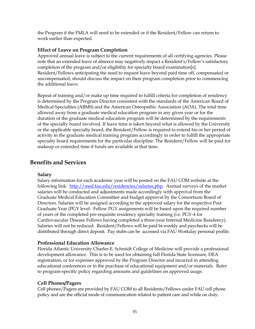the Program if the FMLA will need to be extended or if the Resident/Fellow can return to work earlier than expected.

### **Effect of Leave on Program Completion**

Approved annual leave is subject to the current requirements of all certifying agencies. Please note that an extended leave of absence may negatively impact a Resident's/Fellow's satisfactory completion of the program and/or eligibility for specialty board examination[s]. Resident/Fellows anticipating the need to request leave beyond paid time off, compensated or uncompensated, should discuss the impact on their program completion prior to commencing the additional leave.

Repeat of training and/or make up time required to fulfill criteria for completion of residency is determined by the Program Director consistent with the standards of the American Board of Medical Specialties (ABMS) and the American Osteopathic Association (AOA). The total time allowed away from a graduate medical education program in any given year or for the duration of the graduate medical education program will be determined by the requirements of the specialty board involved. If leave time is taken beyond what is allowed by the University or the applicable specialty board, the Resident/Fellow is required to extend his or her period of activity in the graduate medical training program accordingly in order to fulfill the appropriate specialty board requirements for the particular discipline. The Resident/Fellow will be paid for makeup or extended time if funds are available at that time.

# **Benefits and Services**

### **Salary**

Salary information for each academic year will be posted on the FAU COM website at the following link: [http://med.fau.edu/residencies/salaries.php.](http://med.fau.edu/residencies/salaries.php) Annual surveys of the market salaries will be conducted and adjustments made accordingly with approval from the Graduate Medical Education Committee and budget approval by the Consortium Board of Directors. Salaries will be assigned according to the approved salary for the respective Post Graduate Year (PGY level. Fellow PGY assignments will be based upon the required number of years of the completed pre-requisite residency specialty training (i.e. PGY-4 for Cardiovascular Disease Fellows having completed a three-year Internal Medicine Residency). Salaries will not be reduced. Resident/Fellows will be paid bi-weekly and paychecks will be distributed through direct deposit. Pay stubs can be accessed via FAU Workday personal profile.

# **Professional Education Allowance**

Florida Atlantic University Charles E. Schmidt College of Medicine will provide a professional development allowance. This is to be used for obtaining full Florida State licensure, DEA registration, or for expenses approved by the Program Director and incurred in attending educational conferences or in the purchase of educational equipment and/or materials. Refer to program-specific policy regarding amounts and guidelines on approved usage.

# **Cell Phones/Pagers**

Cell phones/Pagers are provided by FAU COM to all Residents/Fellows under FAU cell phone policy and are the official mode of communication related to patient care and while on duty.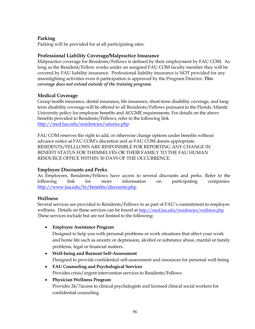# **Parking**

Parking will be provided for at all participating sites.

# **Professional Liability Coverage/Malpractice Insurance**

Malpractice coverage for Residents/Fellows is defined by their employment by FAU COM. As long as the Resident/Fellow works under an assigned FAU COM faculty member they will be covered by FAU liability insurance. Professional liability insurance is NOT provided for any moonlighting activities even if participation is approved by the Program Director. *This coverage does not extend outside of the training program.*

# **Medical Coverage**

Group health insurance, dental insurance, life insurance, short-term disability coverage, and longterm disability coverage will be offered to all Residents/Fellows pursuant to the Florida Atlantic University policy for employee benefits and ACGME requirements. For details on the above benefits provided to Residents/Fellows, refer to the following link <http://med.fau.edu/residencies/salaries.php>

FAU COM reserves the right to add, or otherwise change options under benefits without advance notice at FAU COM's discretion and as FAU COM deems appropriate. RESIDENTS/FELLLOWS ARE RESPONSIBLE FOR REPORTING ANY CHANGE IN BENEFIT STATUS FOR THEMSELVES OR THEIR FAMILY TO THE FAU HUMAN RESOURCE OFFICE WITHIN 30 DAYS OF THE OCCURRENCE.

# **Employee Discounts and Perks**

As Employees, Residents/Fellows have access to several discounts and perks. Refer to the following link for more information on participating companies. <http://www.fau.edu/hr/benefits/discounts.php>

# **Wellness**

Several services are provided to Residents/Fellows to as part of FAU's commitment to employee wellness. Details on these services can be found at <http://med.fau.edu/residencies/wellness.php> These services include but are not limited to the following:

# • **Employee Assistance Program**

Designed to help you with personal problems or work situations that affect your work and home life such as anxiety or depression, alcohol or substance abuse, marital or family problems, legal or financial matters.

- **Well-being and Burnout Self-Assessment** Designed to provide confidential self-assessment and resources for personal well-being
- **FAU Counseling and Psychological Services** Provides crisis/urgent intervention services to Residents/Fellows

# • **Physician Wellness Program**

Provides 24/7access to clinical psychologists and licensed clinical social workers for confidential counseling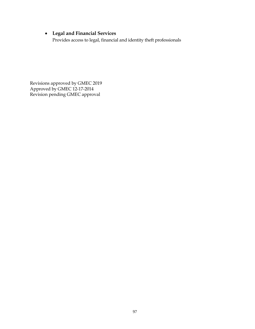# • **Legal and Financial Services**

Provides access to legal, financial and identity theft professionals

Revisions approved by GMEC 2019 Approved by GMEC 12-17-2014 Revision pending GMEC approval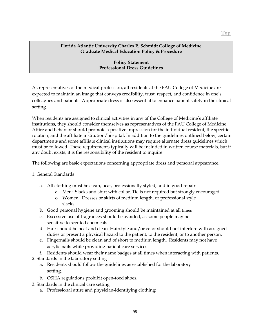### **Policy Statement Professional Dress Guidelines**

As representatives of the medical profession, all residents at the FAU College of Medicine are expected to maintain an image that conveys credibility, trust, respect, and confidence in one's colleagues and patients. Appropriate dress is also essential to enhance patient safety in the clinical setting.

When residents are assigned to clinical activities in any of the College of Medicine's affiliate institutions, they should consider themselves as representatives of the FAU College of Medicine. Attire and behavior should promote a positive impression for the individual resident, the specific rotation, and the affiliate institution/hospital. In addition to the guidelines outlined below, certain departments and some affiliate clinical institutions may require alternate dress guidelines which must be followed. These requirements typically will be included in written course materials, but if any doubt exists, it is the responsibility of the resident to inquire.

The following are basic expectations concerning appropriate dress and personal appearance.

### 1. General Standards

- a. All clothing must be clean, neat, professionally styled, and in good repair.
	- o Men: Slacks and shirt with collar. Tie is not required but strongly encouraged.
	- o Women: Dresses or skirts of medium length, or professional style slacks.
- b. Good personal hygiene and grooming should be maintained at all times
- c. Excessive use of fragrances should be avoided, as some people may be sensitive to scented chemicals.
- d. Hair should be neat and clean. Hairstyle and/or color should not interfere with assigned duties or present a physical hazard to the patient, to the resident, or to another person.
- e. Fingernails should be clean and of short to medium length. Residents may not have acrylic nails while providing patient care services.
- f. Residents should wear their name badges at all times when interacting with patients.
- 2. Standards in the laboratory setting
	- a. Residents should follow the guidelines as established for the laboratory setting.
	- b. OSHA regulations prohibit open-toed shoes.
- 3. Standards in the clinical care setting
	- a. Professional attire and physician-identifying clothing: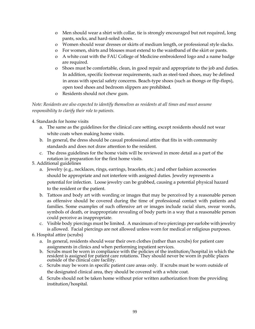- o Men should wear a shirt with collar, tie is strongly encouraged but not required, long pants, socks, and hard-soled shoes.
- o Women should wear dresses or skirts of medium length, or professional style slacks.
- o For women, shirts and blouses must extend to the waistband of the skirt or pants.
- o A white coat with the FAU College of Medicine embroidered logo and a name badge are required.
- o Shoes must be comfortable, clean, in good repair and appropriate to the job and duties. In addition, specific footwear requirements, such as steel-toed shoes, may be defined in areas with special safety concerns. Beach-type shoes (such as thongs or flip-flops), open toed shoes and bedroom slippers are prohibited.
- o Residents should not chew gum.

# *Note: Residents are also expected to identify themselves as residents at all times and must assume responsibility to clarify their role to patients.*

### 4. Standards for home visits

- a. The same as the guidelines for the clinical care setting, except residents should not wear white coats when making home visits.
- b. In general, the dress should be casual professional attire that fits in with community standards and does not draw attention to the resident.
- c. The dress guidelines for the home visits will be reviewed in more detail as a part of the rotation in preparation for the first home visits.
- 5. Additional guidelines
	- a. Jewelry (e.g., necklaces, rings, earrings, bracelets, etc.) and other fashion accessories should be appropriate and not interfere with assigned duties. Jewelry represents a potential for infection. Loose jewelry can be grabbed, causing a potential physical hazard to the resident or the patient.
	- b. Tattoos and body art with wording or images that may be perceived by a reasonable person as offensive should be covered during the time of professional contact with patients and families. Some examples of such offensive art or images include racial slurs, swear words, symbols of death, or inappropriate revealing of body parts in a way that a reasonable person could perceive as inappropriate.
	- c. Visible body piercings must be limited. A maximum of two piercings per earlobe with jewelry is allowed. Facial piercings are not allowed unless worn for medical or religious purposes.

### 6. Hospital attire (scrubs)

- a. In general, residents should wear their own clothes (rather than scrubs) for patient care assignments in clinics and when performing inpatient services.
- b. Scrubs must be worn in compliance with the policies of the institution/hospital in which the resident is assigned for patient care rotations. They should never be worn in public places outside of the clinical care facility.
- c. Scrubs may be worn in specific patient care areas only. If scrubs must be worn outside of the designated clinical area, they should be covered with a white coat.
- d. Scrubs should not be taken home without prior written authorization from the providing institution/hospital.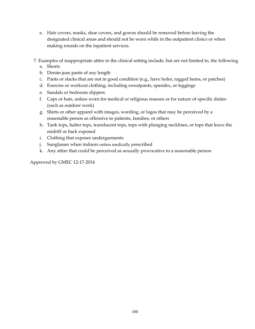- e. Hair covers, masks, shoe covers, and gowns should be removed before leaving the designated clinical areas and should not be worn while in the outpatient clinics or when making rounds on the inpatient services.
- 7. Examples of inappropriate attire in the clinical setting include, but are not limited to, the following a. Shorts
	- b. Denim jean pants of any length
	- c. Pants or slacks that are not in good condition (e.g., have holes, ragged hems, or patches)
	- d. Exercise or workout clothing, including sweatpants, spandex, or leggings
	- e. Sandals or bedroom slippers
	- f. Caps or hats, unless worn for medical or religious reasons or for nature of specific duties (such as outdoor work)
	- g. Shirts or other apparel with images, wording, or logos that may be perceived by a reasonable person as offensive to patients, families, or others
	- h. Tank tops, halter tops, translucent tops, tops with plunging necklines, or tops that leave the midriff or back exposed
	- i. Clothing that exposes undergarments
	- j. Sunglasses when indoors unless medically prescribed
	- k. Any attire that could be perceived as sexually provocative to a reasonable person

Approved by GMEC 12-17-2014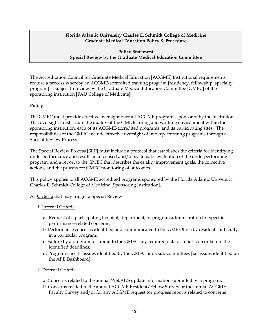### **Policy Statement Special Review by the Graduate Medical Education Committee**

The Accreditation Council for Graduate Medical Education [ACGME] Institutional requirements require a process whereby an ACGME-accredited training program [residency, fellowship, specialty program] is subject to review by the Graduate Medical Education Committee [GMEC] of the sponsoring institution [FAU College of Medicine].

### **Policy**

The GMEC must provide effective oversight over all ACGME programs sponsored by the institution. This oversight must assure the quality of the GME learning and working environment within the sponsoring institution, each of its ACGME-accredited programs, and its participating sites. The responsibilities of the GMEC include effective oversight of underperforming programs through a Special Review Process.

The Special Review Process [SRP] must include a protocol that establishes the criteria for identifying underperformance and results in a focused and/or systematic evaluation of the underperforming program, and a report to the GMEC that describes the quality improvement goals, the corrective actions, and the process for GMEC monitoring of outcomes.

This policy applies to all ACGME accredited programs sponsored by the Florida Atlantic University Charles E. Schmidt College of Medicine [Sponsoring Institution].

A. **Criteria** that may trigger a Special Review:

# 1. Internal Criteria

- a. Request of a participating hospital, department, or program administration for specific performance-related concerns;
- b. Performance concerns identified and communicated to the GME Office by residents or faculty in a particular program;
- c. Failure by a program to submit to the GMEC any required data or reports on or before the identified deadlines;
- d. Program-specific issues identified by the GMEC or its sub-committees [i.e. issues identified on the APE Dashboard].

# 2. External Criteria

- a. Concerns related to the annual WebADS update information submitted by a program;
- b. Concerns related to the annual ACGME Resident/Fellow Survey or the annual ACGME Faculty Survey and/or for any ACGME request for progress reports related to concerns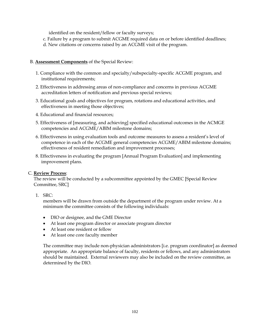identified on the resident/fellow or faculty surveys;

- c. Failure by a program to submit ACGME required data on or before identified deadlines;
- d. New citations or concerns raised by an ACGME visit of the program.

# B. **Assessment Components** of the Special Review:

- 1. Compliance with the common and specialty/subspecialty-specific ACGME program, and institutional requirements;
- 2. Effectiveness in addressing areas of non-compliance and concerns in previous ACGME accreditation letters of notification and previous special reviews;
- 3. Educational goals and objectives for program, rotations and educational activities, and effectiveness in meeting those objectives;
- 4. Educational and financial resources;
- 5. Effectiveness of [measuring, and achieving] specified educational outcomes in the ACMGE competencies and ACGME/ABIM milestone domains;
- 6. Effectiveness in using evaluation tools and outcome measures to assess a resident's level of competence in each of the ACGME general competencies ACGME/ABIM milestone domains; effectiveness of resident remediation and improvement processes;
- 8. Effectiveness in evaluating the program [Annual Program Evaluation] and implementing improvement plans.

### C. **Review Process**:

The review will be conducted by a subcommittee appointed by the GMEC [Special Review Committee, SRC]

1. SRC:

members will be drawn from outside the department of the program under review. At a minimum the committee consists of the following individuals:

- DIO or designee, and the GME Director
- At least one program director or associate program director
- At least one resident or fellow
- At least one core faculty member

The committee may include non-physician administrators [i.e. program coordinator] as deemed appropriate. An appropriate balance of faculty, residents or fellows, and any administrators should be maintained. External reviewers may also be included on the review committee, as determined by the DIO.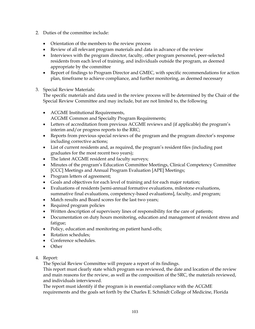- 2. Duties of the committee include:
	- Orientation of the members to the review process
	- Review of all relevant program materials and data in advance of the review
	- Interviews with the program director, faculty, other program personnel, peer-selected residents from each level of training, and individuals outside the program, as deemed appropriate by the committee
	- Report of findings to Program Director and GMEC, with specific recommendations for action plan, timeframe to achieve compliance, and further monitoring, as deemed necessary
- 3. Special Review Materials:

The specific materials and data used in the review process will be determined by the Chair of the Special Review Committee and may include, but are not limited to, the following

- ACGME Institutional Requirements, ACGME Common and Specialty Program Requirements;
- Letters of accreditation from previous ACGME reviews and (if applicable) the program's interim and/or progress reports to the RRC;
- Reports from previous special reviews of the program and the program director's response including corrective actions;
- List of current residents and, as required, the program's resident files (including past graduates for the most recent two years);
- The latest ACGME resident and faculty surveys;
- Minutes of the program's Education Committee Meetings, Clinical Competency Committee [CCC] Meetings and Annual Program Evaluation [APE] Meetings;
- Program letters of agreement;
- Goals and objectives for each level of training and for each major rotation;
- Evaluations of residents [semi-annual formative evaluations, milestone evaluations, summative final evaluations, competency-based evaluations], faculty, and program;
- Match results and Board scores for the last two years;
- Required program policies
- Written description of supervisory lines of responsibility for the care of patients;
- Documentation on duty hours monitoring, education and management of resident stress and fatigue;
- Policy, education and monitoring on patient hand-offs;
- Rotation schedules:
- Conference schedules.
- Other

# 4. Report:

The Special Review Committee will prepare a report of its findings.

This report must clearly state which program was reviewed, the date and location of the review and main reasons for the review, as well as the composition of the SRC, the materials reviewed, and individuals interviewed.

The report must identify if the program is in essential compliance with the ACGME requirements and the goals set forth by the Charles E. Schmidt College of Medicine, Florida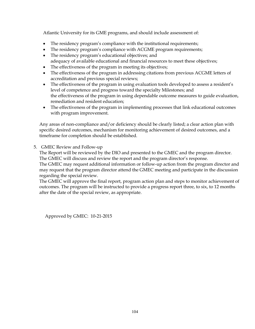Atlantic University for its GME programs, and should include assessment of:

- The residency program's compliance with the institutional requirements;
- The residency program's compliance with ACGME program requirements;
- The residency program's educational objectives; and adequacy of available educational and financial resources to meet these objectives;
- The effectiveness of the program in meeting its objectives;
- The effectiveness of the program in addressing citations from previous ACGME letters of accreditation and previous special reviews;
- The effectiveness of the program in using evaluation tools developed to assess a resident's level of competence and progress toward the specialty Milestones; and the effectiveness of the program in using dependable outcome measures to guide evaluation, remediation and resident education;
- The effectiveness of the program in implementing processes that link educational outcomes with program improvement.

Any areas of non-compliance and/or deficiency should be clearly listed; a clear action plan with specific desired outcomes, mechanism for monitoring achievement of desired outcomes, and a timeframe for completion should be established.

5. GMEC Review and Follow-up

The Report will be reviewed by the DIO and presented to the GMEC and the program director. The GMEC will discuss and review the report and the program director's response.

The GMEC may request additional information or follow-up action from the program director and may request that the program director attend the GMEC meeting and participate in the discussion regarding the special review.

The GMEC will approve the final report, program action plan and steps to monitor achievement of outcomes. The program will be instructed to provide a progress report three, to six, to 12 months after the date of the special review, as appropriate.

Approved by GMEC: 10-21-2015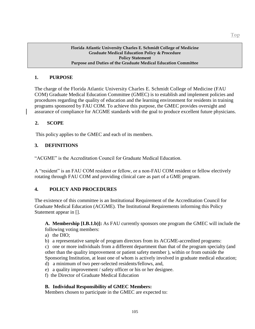### **1. PURPOSE**

The charge of the Florida Atlantic University Charles E. Schmidt College of Medicine (FAU COM) Graduate Medical Education Committee (GMEC) is to establish and implement policies and procedures regarding the quality of education and the learning environment for residents in training programs sponsored by FAU COM. To achieve this purpose, the GMEC provides oversight and assurance of compliance for ACGME standards with the goal to produce excellent future physicians.

### **2. SCOPE**

This policy applies to the GMEC and each of its members.

### **3. DEFINITIONS**

"ACGME" is the Accreditation Council for Graduate Medical Education.

A "resident" is an FAU COM resident or fellow, or a non-FAU COM resident or fellow electively rotating through FAU COM and providing clinical care as part of a GME program.

### **4. POLICY AND PROCEDURES**

The existence of this committee is an Institutional Requirement of the Accreditation Council for Graduate Medical Education (ACGME). The Institutional Requirements informing this Policy Statement appear in [].

**A. Membership [I.B.1.b)]:** As FAU currently sponsors one program the GMEC will include the following voting members:

- a) the DIO;
- b) a representative sample of program directors from its ACGME-accredited programs:

c) one or more individuals from a different department than that of the program specialty (and other than the quality improvement or patient safety member ), within or from outside the Sponsoring Institution, at least one of whom is actively involved in graduate medical education;

- d) a minimum of two peer-selected residents/fellows, and,
- e) a quality improvement / safety officer or his or her designee.
- f) the Director of Graduate Medical Education

### **B. Individual Responsibility of GMEC Members:**

Members chosen to participate in the GMEC are expected to: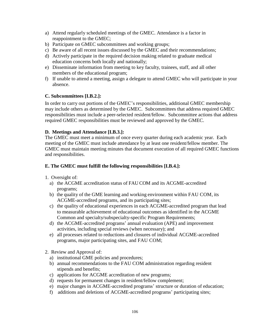- a) Attend regularly scheduled meetings of the GMEC. Attendance is a factor in reappointment to the GMEC;
- b) Participate on GMEC subcommittees and working groups;
- c) Be aware of all recent issues discussed by the GMEC and their recommendations;
- d) Actively participate in the required decision making related to graduate medical education concerns both locally and nationally;
- e) Disseminate information from meeting to key faculty, trainees, staff, and all other members of the educational program;
- f) If unable to attend a meeting, assign a delegate to attend GMEC who will participate in your absence.

### **C. Subcommittees [I.B.2.]:**

In order to carry out portions of the GMEC's responsibilities, additional GMEC membership may include others as determined by the GMEC. Subcommittees that address required GMEC responsibilities must include a peer-selected resident/fellow. Subcommittee actions that address required GMEC responsibilities must be reviewed and approved by the GMEC.

### **D. Meetings and Attendance [I.B.3.]:**

The GMEC must meet a minimum of once every quarter during each academic year. Each meeting of the GMEC must include attendance by at least one resident/fellow member. The GMEC must maintain meeting minutes that document execution of all required GMEC functions and responsibilities.

### **E. The GMEC must fulfill the following responsibilities [I.B.4.]:**

- 1. Oversight of:
	- a) the ACGME accreditation status of FAU COM and its ACGME-accredited programs;
	- b) the quality of the GME learning and working environment within FAU COM, its ACGME-accredited programs, and its participating sites;
	- c) the quality of educational experiences in each ACGME-accredited program that lead to measurable achievement of educational outcomes as identified in the ACGME Common and specialty/subspecialty-specific Program Requirements;
	- d) the ACGME-accredited programs' annual evaluation (APE) and improvement activities, including special reviews (when necessary); and
	- e) all processes related to reductions and closures of individual ACGME-accredited programs, major participating sites, and FAU COM;
- 2. Review and Approval of:
	- a) institutional GME policies and procedures;
	- b) annual recommendations to the FAU COM administration regarding resident stipends and benefits;
	- c) applications for ACGME accreditation of new programs;
	- d) requests for permanent changes in resident/fellow complement;
	- e) major changes in ACGME-accredited programs' structure or duration of education;
	- f) additions and deletions of ACGME-accredited programs' participating sites;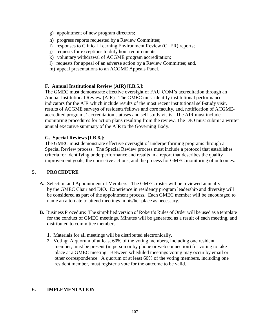- g) appointment of new program directors;
- h) progress reports requested by a Review Committee;
- i) responses to Clinical Learning Environment Review (CLER) reports;
- j) requests for exceptions to duty hour requirements;
- k) voluntary withdrawal of ACGME program accreditation;
- l) requests for appeal of an adverse action by a Review Committee; and,
- m) appeal presentations to an ACGME Appeals Panel.

### **F. Annual Institutional Review (AIR) [I.B.5.]:**

The GMEC must demonstrate effective oversight of FAU COM's accreditation through an Annual Institutional Review (AIR). The GMEC must identify institutional performance indicators for the AIR which include results of the most recent institutional self-study visit, results of ACGME surveys of residents/fellows and core faculty, and, notification of ACGMEaccredited programs' accreditation statuses and self-study visits. The AIR must include monitoring procedures for action plans resulting from the review. The DIO must submit a written annual executive summary of the AIR to the Governing Body.

### **G. Special Reviews [I.B.6.]:**

The GMEC must demonstrate effective oversight of underperforming programs through a Special Review process. The Special Review process must include a protocol that establishes criteria for identifying underperformance and results in a report that describes the quality improvement goals, the corrective actions, and the process for GMEC monitoring of outcomes.

# **5. PROCEDURE**

- **A.** Selection and Appointment of Members: The GMEC roster will be reviewed annually by the GMEC Chair and DIO. Experience in residency program leadership and diversity will be considered as part of the appointment process. Each GMEC member will be encouraged to name an alternate to attend meetings in his/her place as necessary.
- **B.** Business Procedure: The simplified version of Robert's Rules of Order will be used as a template for the conduct of GMEC meetings. Minutes will be generated as a result of each meeting, and distributed to committee members.
	- **1.** Materials for all meetings will be distributed electronically.
	- **2.** Voting: A quorum of at least 60% of the voting members, including one resident member, must be present (in person or by phone or web connection) for voting to take place at a GMEC meeting. Between scheduled meetings voting may occur by email or other correspondence. A quorum of at least 60% of the voting members, including one resident member, must register a vote for the outcome to be valid.

# **6. IMPLEMENTATION**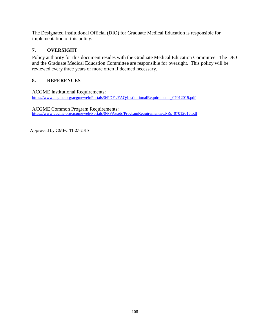The Designated Institutional Official (DIO) for Graduate Medical Education is responsible for implementation of this policy.

# **7. OVERSIGHT**

Policy authority for this document resides with the Graduate Medical Education Committee. The DIO and the Graduate Medical Education Committee are responsible for oversight. This policy will be reviewed every three years or more often if deemed necessary.

# **8. REFERENCES**

ACGME Institutional Requirements: [https://www.acgme.org/acgmeweb/Portals/0/PDFs/FAQ/InstitutionalRequirements\\_07012015.pdf](https://www.acgme.org/acgmeweb/Portals/0/PDFs/FAQ/InstitutionalRequirements_07012015.pdf)

ACGME Common Program Requirements: [https://www.acgme.org/acgmeweb/Portals/0/PFAssets/ProgramRequirements/CPRs\\_07012015.pdf](https://www.acgme.org/acgmeweb/Portals/0/PFAssets/ProgramRequirements/CPRs_07012015.pdf)

Approved by GMEC 11-27-2015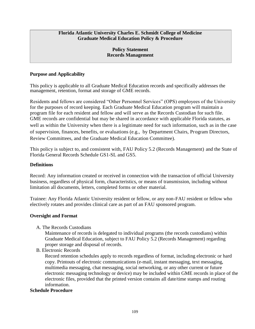### **Florida Atlantic University Charles E. Schmidt College of Medicine Graduate Medical Education Policy & Procedure**

### **Policy Statement Records Management**

# **Purpose and Applicability**

This policy is applicable to all Graduate Medical Education records and specifically addresses the management, retention, format and storage of GME records.

Residents and fellows are considered "Other Personnel Services" (OPS) employees of the University for the purposes of record keeping. Each Graduate Medical Education program will maintain a program file for each resident and fellow and will serve as the Records Custodian for such file. GME records are confidential but may be shared in accordance with applicable Florida statutes, as well as within the University when there is a legitimate need for such information, such as in the case of supervision, finances, benefits, or evaluations (e.g., by Department Chairs, Program Directors, Review Committees, and the Graduate Medical Education Committee).

This policy is subject to, and consistent with, FAU Policy 5.2 (Records Management) and the State of Florida General Records Schedule GS1-SL and GS5.

### **Definitions**

Record: Any information created or received in connection with the transaction of official University business, regardless of physical form, characteristics, or means of transmission, including without limitation all documents, letters, completed forms or other material.

Trainee: Any Florida Atlantic University resident or fellow, or any non-FAU resident or fellow who electively rotates and provides clinical care as part of an FAU sponsored program.

# **Oversight and Format**

A. The Records Custodians

Maintenance of records is delegated to individual programs (the records custodians) within Graduate Medical Education, subject to FAU Policy 5.2 (Records Management) regarding proper storage and disposal of records.

B. Electronic Records

Record retention schedules apply to records regardless of format, including electronic or hard copy. Printouts of electronic communications (e-mail, instant messaging, text messaging, multimedia messaging, chat messaging, social networking, or any other current or future electronic messaging technology or device) may be included within GME records in place of the electronic files, provided that the printed version contains all date/time stamps and routing information.

# **Schedule Procedure**